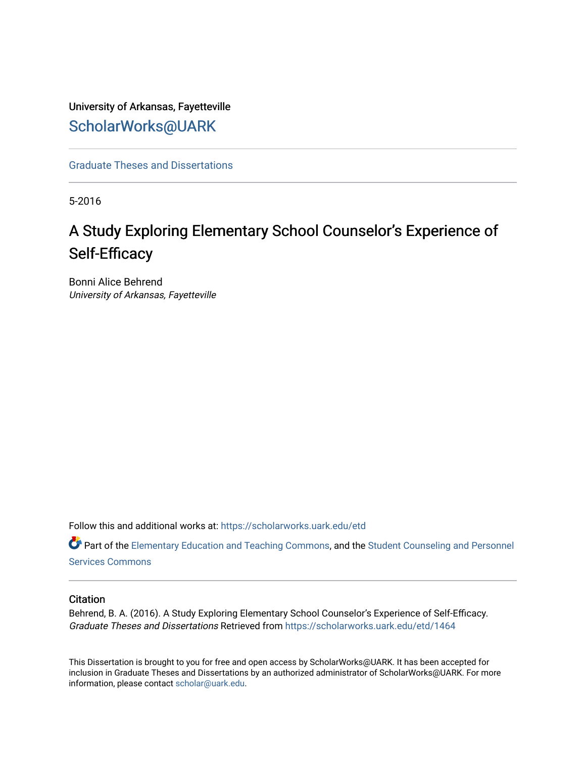# University of Arkansas, Fayetteville [ScholarWorks@UARK](https://scholarworks.uark.edu/)

[Graduate Theses and Dissertations](https://scholarworks.uark.edu/etd) 

5-2016

# A Study Exploring Elementary School Counselor's Experience of Self-Efficacy

Bonni Alice Behrend University of Arkansas, Fayetteville

Follow this and additional works at: [https://scholarworks.uark.edu/etd](https://scholarworks.uark.edu/etd?utm_source=scholarworks.uark.edu%2Fetd%2F1464&utm_medium=PDF&utm_campaign=PDFCoverPages)

**C** Part of the [Elementary Education and Teaching Commons,](http://network.bepress.com/hgg/discipline/805?utm_source=scholarworks.uark.edu%2Fetd%2F1464&utm_medium=PDF&utm_campaign=PDFCoverPages) and the [Student Counseling and Personnel](http://network.bepress.com/hgg/discipline/802?utm_source=scholarworks.uark.edu%2Fetd%2F1464&utm_medium=PDF&utm_campaign=PDFCoverPages) [Services Commons](http://network.bepress.com/hgg/discipline/802?utm_source=scholarworks.uark.edu%2Fetd%2F1464&utm_medium=PDF&utm_campaign=PDFCoverPages)

### **Citation**

Behrend, B. A. (2016). A Study Exploring Elementary School Counselor's Experience of Self-Efficacy. Graduate Theses and Dissertations Retrieved from [https://scholarworks.uark.edu/etd/1464](https://scholarworks.uark.edu/etd/1464?utm_source=scholarworks.uark.edu%2Fetd%2F1464&utm_medium=PDF&utm_campaign=PDFCoverPages)

This Dissertation is brought to you for free and open access by ScholarWorks@UARK. It has been accepted for inclusion in Graduate Theses and Dissertations by an authorized administrator of ScholarWorks@UARK. For more information, please contact [scholar@uark.edu.](mailto:scholar@uark.edu)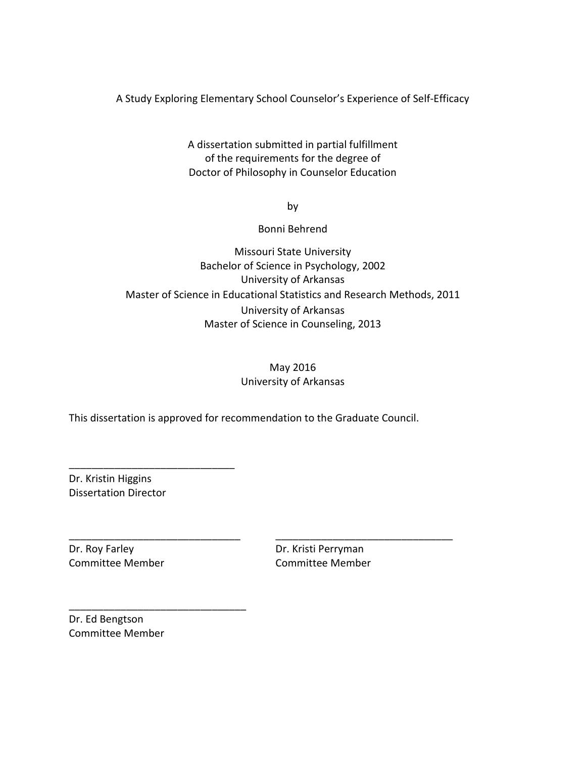A Study Exploring Elementary School Counselor's Experience of Self-Efficacy

A dissertation submitted in partial fulfillment of the requirements for the degree of Doctor of Philosophy in Counselor Education

by

Bonni Behrend

### Missouri State University Bachelor of Science in Psychology, 2002 University of Arkansas Master of Science in Educational Statistics and Research Methods, 2011 University of Arkansas Master of Science in Counseling, 2013

### May 2016 University of Arkansas

This dissertation is approved for recommendation to the Graduate Council.

\_\_\_\_\_\_\_\_\_\_\_\_\_\_\_\_\_\_\_\_\_\_\_\_\_\_\_\_\_\_ \_\_\_\_\_\_\_\_\_\_\_\_\_\_\_\_\_\_\_\_\_\_\_\_\_\_\_\_\_\_\_

Dr. Kristin Higgins Dissertation Director

\_\_\_\_\_\_\_\_\_\_\_\_\_\_\_\_\_\_\_\_\_\_\_\_\_\_\_\_\_

\_\_\_\_\_\_\_\_\_\_\_\_\_\_\_\_\_\_\_\_\_\_\_\_\_\_\_\_\_\_\_

Dr. Roy Farley **Dr. Kristi Perryman** 

Committee Member Committee Member

Dr. Ed Bengtson Committee Member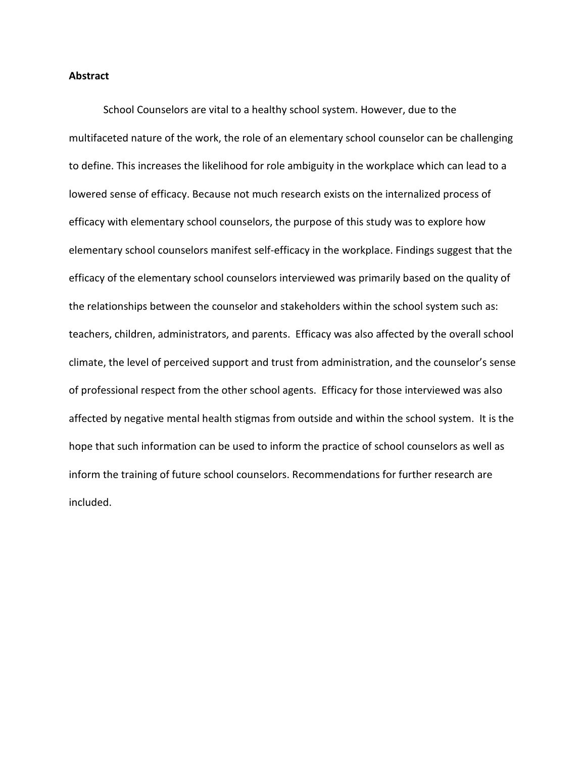#### **Abstract**

School Counselors are vital to a healthy school system. However, due to the multifaceted nature of the work, the role of an elementary school counselor can be challenging to define. This increases the likelihood for role ambiguity in the workplace which can lead to a lowered sense of efficacy. Because not much research exists on the internalized process of efficacy with elementary school counselors, the purpose of this study was to explore how elementary school counselors manifest self-efficacy in the workplace. Findings suggest that the efficacy of the elementary school counselors interviewed was primarily based on the quality of the relationships between the counselor and stakeholders within the school system such as: teachers, children, administrators, and parents. Efficacy was also affected by the overall school climate, the level of perceived support and trust from administration, and the counselor's sense of professional respect from the other school agents. Efficacy for those interviewed was also affected by negative mental health stigmas from outside and within the school system. It is the hope that such information can be used to inform the practice of school counselors as well as inform the training of future school counselors. Recommendations for further research are included.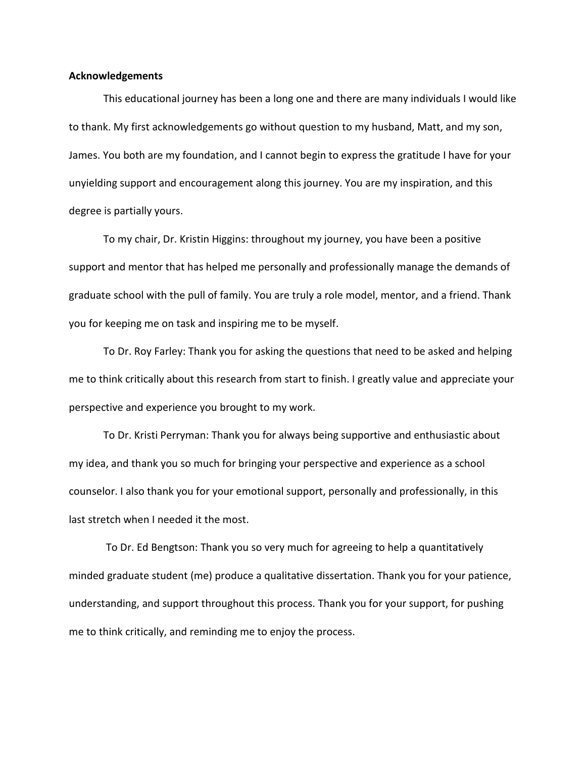### **Acknowledgements**

This educational journey has been a long one and there are many individuals I would like to thank. My first acknowledgements go without question to my husband, Matt, and my son, James. You both are my foundation, and I cannot begin to express the gratitude I have for your unyielding support and encouragement along this journey. You are my inspiration, and this degree is partially yours.

To my chair, Dr. Kristin Higgins: throughout my journey, you have been a positive support and mentor that has helped me personally and professionally manage the demands of graduate school with the pull of family. You are truly a role model, mentor, and a friend. Thank you for keeping me on task and inspiring me to be myself.

To Dr. Roy Farley: Thank you for asking the questions that need to be asked and helping me to think critically about this research from start to finish. I greatly value and appreciate your perspective and experience you brought to my work.

To Dr. Kristi Perryman: Thank you for always being supportive and enthusiastic about my idea, and thank you so much for bringing your perspective and experience as a school counselor. I also thank you for your emotional support, personally and professionally, in this last stretch when I needed it the most.

 To Dr. Ed Bengtson: Thank you so very much for agreeing to help a quantitatively minded graduate student (me) produce a qualitative dissertation. Thank you for your patience, understanding, and support throughout this process. Thank you for your support, for pushing me to think critically, and reminding me to enjoy the process.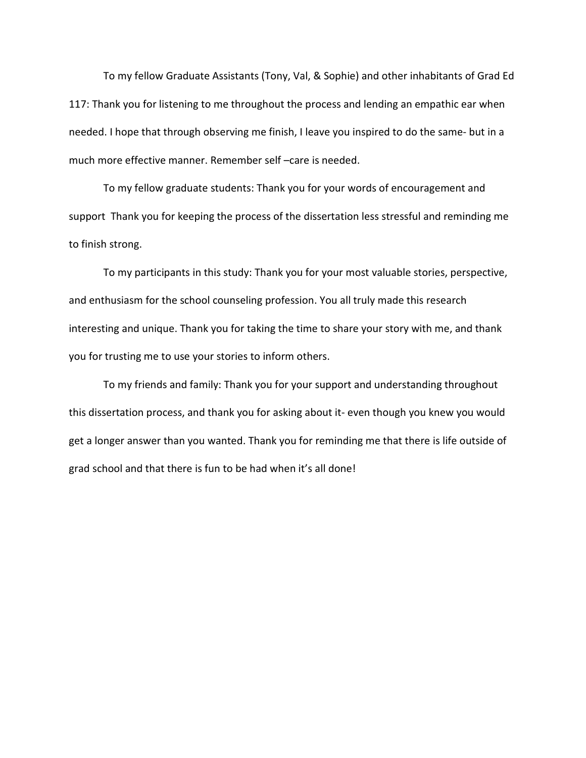To my fellow Graduate Assistants (Tony, Val, & Sophie) and other inhabitants of Grad Ed 117: Thank you for listening to me throughout the process and lending an empathic ear when needed. I hope that through observing me finish, I leave you inspired to do the same- but in a much more effective manner. Remember self –care is needed.

 To my fellow graduate students: Thank you for your words of encouragement and support Thank you for keeping the process of the dissertation less stressful and reminding me to finish strong.

 To my participants in this study: Thank you for your most valuable stories, perspective, and enthusiasm for the school counseling profession. You all truly made this research interesting and unique. Thank you for taking the time to share your story with me, and thank you for trusting me to use your stories to inform others.

 To my friends and family: Thank you for your support and understanding throughout this dissertation process, and thank you for asking about it- even though you knew you would get a longer answer than you wanted. Thank you for reminding me that there is life outside of grad school and that there is fun to be had when it's all done!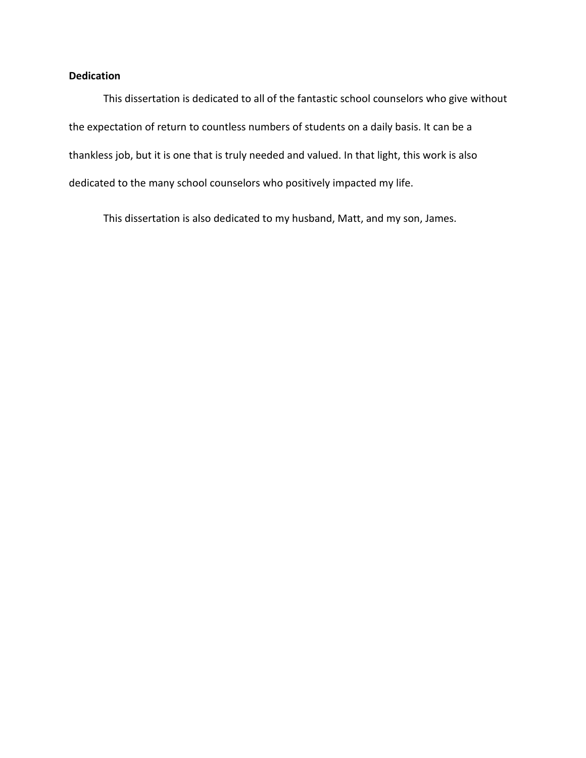### **Dedication**

This dissertation is dedicated to all of the fantastic school counselors who give without the expectation of return to countless numbers of students on a daily basis. It can be a thankless job, but it is one that is truly needed and valued. In that light, this work is also dedicated to the many school counselors who positively impacted my life.

This dissertation is also dedicated to my husband, Matt, and my son, James.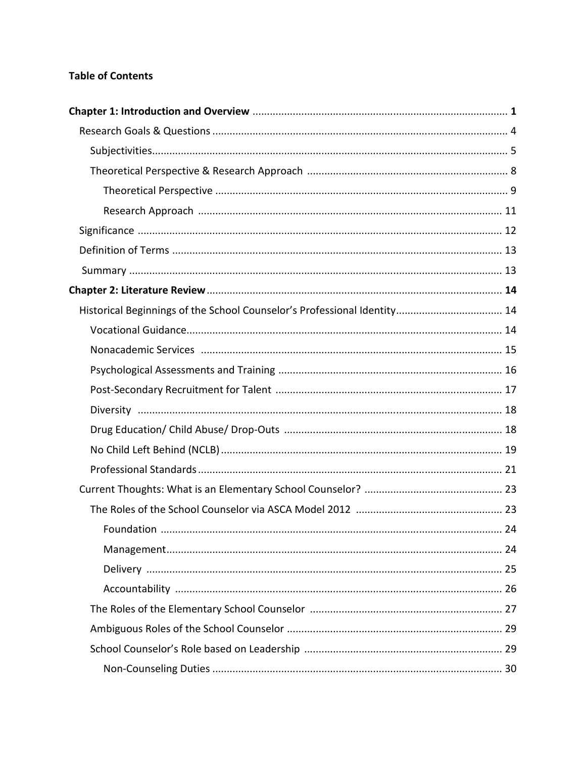### **Table of Contents**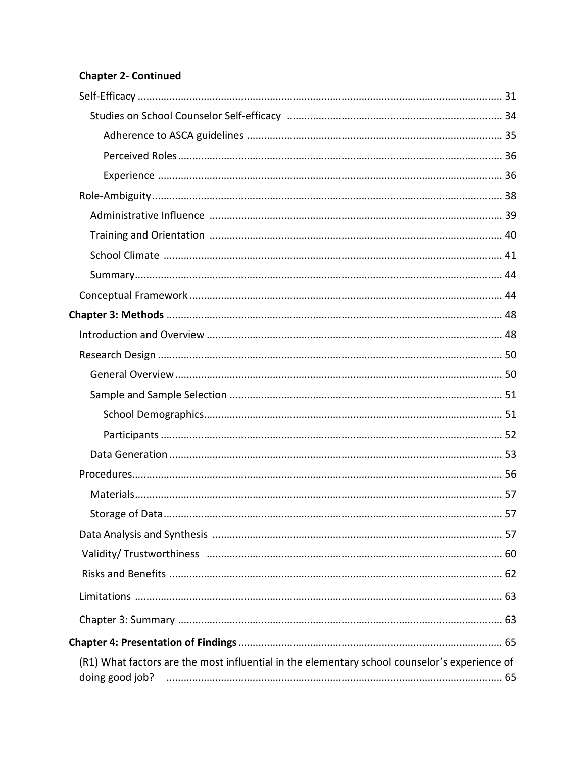### **Chapter 2- Continued**

| (R1) What factors are the most influential in the elementary school counselor's experience of<br>doing good job? |
|------------------------------------------------------------------------------------------------------------------|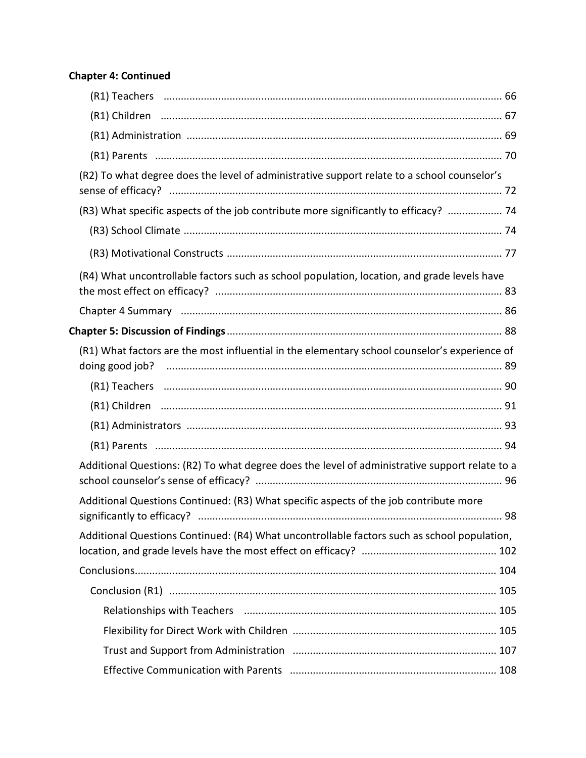### **Chapter 4: Continued**

| (R2) To what degree does the level of administrative support relate to a school counselor's    |
|------------------------------------------------------------------------------------------------|
| (R3) What specific aspects of the job contribute more significantly to efficacy?  74           |
|                                                                                                |
|                                                                                                |
| (R4) What uncontrollable factors such as school population, location, and grade levels have    |
|                                                                                                |
|                                                                                                |
| (R1) What factors are the most influential in the elementary school counselor's experience of  |
|                                                                                                |
|                                                                                                |
|                                                                                                |
|                                                                                                |
| Additional Questions: (R2) To what degree does the level of administrative support relate to a |
| Additional Questions Continued: (R3) What specific aspects of the job contribute more          |
| Additional Questions Continued: (R4) What uncontrollable factors such as school population,    |
|                                                                                                |
|                                                                                                |
|                                                                                                |
|                                                                                                |
|                                                                                                |
|                                                                                                |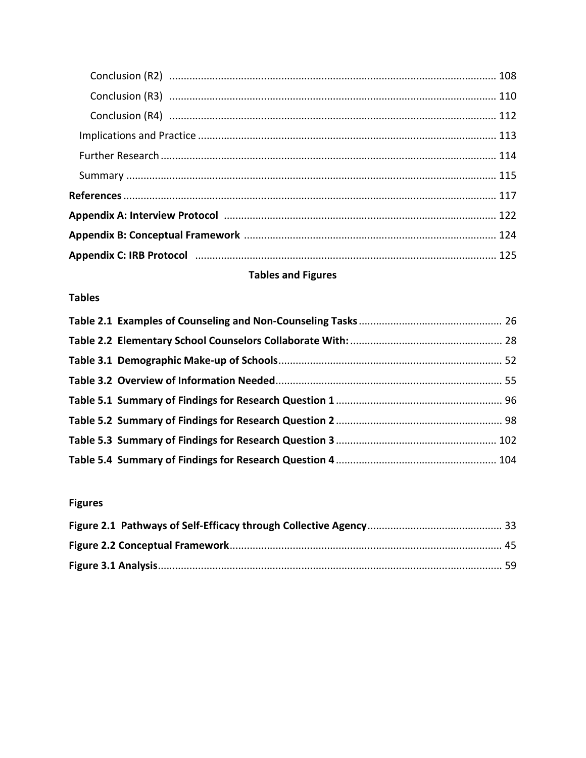# **Tables and Figures**

### **Tables**

# **Figures**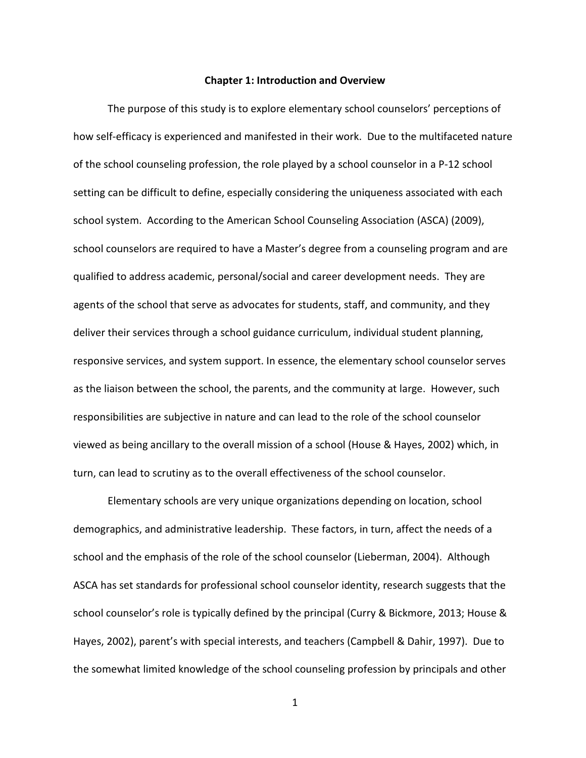#### **Chapter 1: Introduction and Overview**

The purpose of this study is to explore elementary school counselors' perceptions of how self-efficacy is experienced and manifested in their work. Due to the multifaceted nature of the school counseling profession, the role played by a school counselor in a P-12 school setting can be difficult to define, especially considering the uniqueness associated with each school system. According to the American School Counseling Association (ASCA) (2009), school counselors are required to have a Master's degree from a counseling program and are qualified to address academic, personal/social and career development needs. They are agents of the school that serve as advocates for students, staff, and community, and they deliver their services through a school guidance curriculum, individual student planning, responsive services, and system support. In essence, the elementary school counselor serves as the liaison between the school, the parents, and the community at large. However, such responsibilities are subjective in nature and can lead to the role of the school counselor viewed as being ancillary to the overall mission of a school (House & Hayes, 2002) which, in turn, can lead to scrutiny as to the overall effectiveness of the school counselor.

Elementary schools are very unique organizations depending on location, school demographics, and administrative leadership. These factors, in turn, affect the needs of a school and the emphasis of the role of the school counselor (Lieberman, 2004). Although ASCA has set standards for professional school counselor identity, research suggests that the school counselor's role is typically defined by the principal (Curry & Bickmore, 2013; House & Hayes, 2002), parent's with special interests, and teachers (Campbell & Dahir, 1997). Due to the somewhat limited knowledge of the school counseling profession by principals and other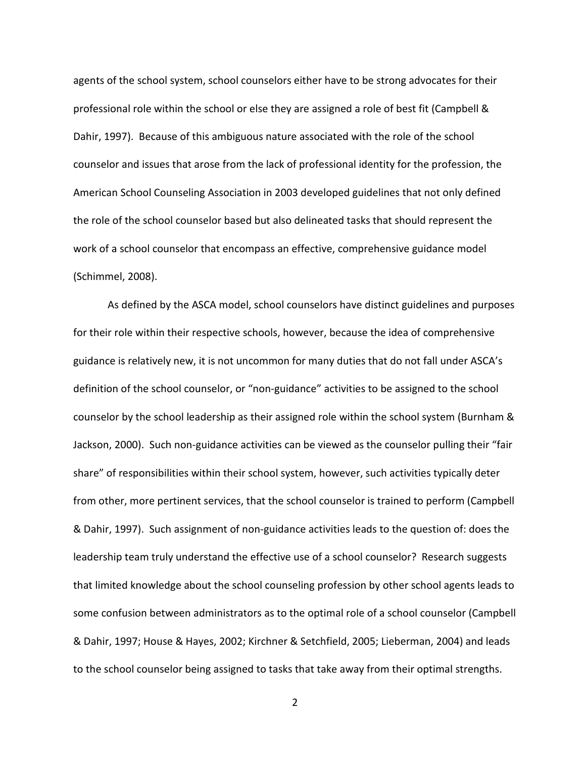agents of the school system, school counselors either have to be strong advocates for their professional role within the school or else they are assigned a role of best fit (Campbell & Dahir, 1997). Because of this ambiguous nature associated with the role of the school counselor and issues that arose from the lack of professional identity for the profession, the American School Counseling Association in 2003 developed guidelines that not only defined the role of the school counselor based but also delineated tasks that should represent the work of a school counselor that encompass an effective, comprehensive guidance model (Schimmel, 2008).

As defined by the ASCA model, school counselors have distinct guidelines and purposes for their role within their respective schools, however, because the idea of comprehensive guidance is relatively new, it is not uncommon for many duties that do not fall under ASCA's definition of the school counselor, or "non-guidance" activities to be assigned to the school counselor by the school leadership as their assigned role within the school system (Burnham & Jackson, 2000). Such non-guidance activities can be viewed as the counselor pulling their "fair share" of responsibilities within their school system, however, such activities typically deter from other, more pertinent services, that the school counselor is trained to perform (Campbell & Dahir, 1997). Such assignment of non-guidance activities leads to the question of: does the leadership team truly understand the effective use of a school counselor? Research suggests that limited knowledge about the school counseling profession by other school agents leads to some confusion between administrators as to the optimal role of a school counselor (Campbell & Dahir, 1997; House & Hayes, 2002; Kirchner & Setchfield, 2005; Lieberman, 2004) and leads to the school counselor being assigned to tasks that take away from their optimal strengths.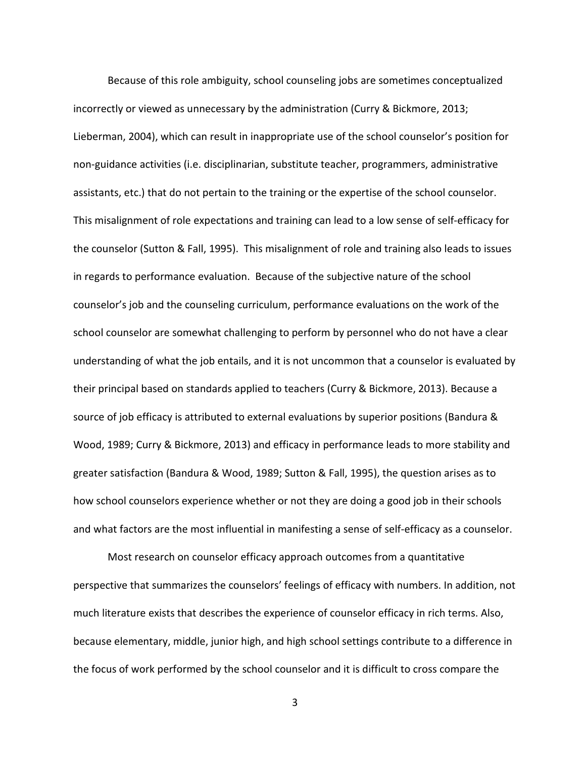Because of this role ambiguity, school counseling jobs are sometimes conceptualized incorrectly or viewed as unnecessary by the administration (Curry & Bickmore, 2013; Lieberman, 2004), which can result in inappropriate use of the school counselor's position for non-guidance activities (i.e. disciplinarian, substitute teacher, programmers, administrative assistants, etc.) that do not pertain to the training or the expertise of the school counselor. This misalignment of role expectations and training can lead to a low sense of self-efficacy for the counselor (Sutton & Fall, 1995). This misalignment of role and training also leads to issues in regards to performance evaluation. Because of the subjective nature of the school counselor's job and the counseling curriculum, performance evaluations on the work of the school counselor are somewhat challenging to perform by personnel who do not have a clear understanding of what the job entails, and it is not uncommon that a counselor is evaluated by their principal based on standards applied to teachers (Curry & Bickmore, 2013). Because a source of job efficacy is attributed to external evaluations by superior positions (Bandura & Wood, 1989; Curry & Bickmore, 2013) and efficacy in performance leads to more stability and greater satisfaction (Bandura & Wood, 1989; Sutton & Fall, 1995), the question arises as to how school counselors experience whether or not they are doing a good job in their schools and what factors are the most influential in manifesting a sense of self-efficacy as a counselor.

Most research on counselor efficacy approach outcomes from a quantitative perspective that summarizes the counselors' feelings of efficacy with numbers. In addition, not much literature exists that describes the experience of counselor efficacy in rich terms. Also, because elementary, middle, junior high, and high school settings contribute to a difference in the focus of work performed by the school counselor and it is difficult to cross compare the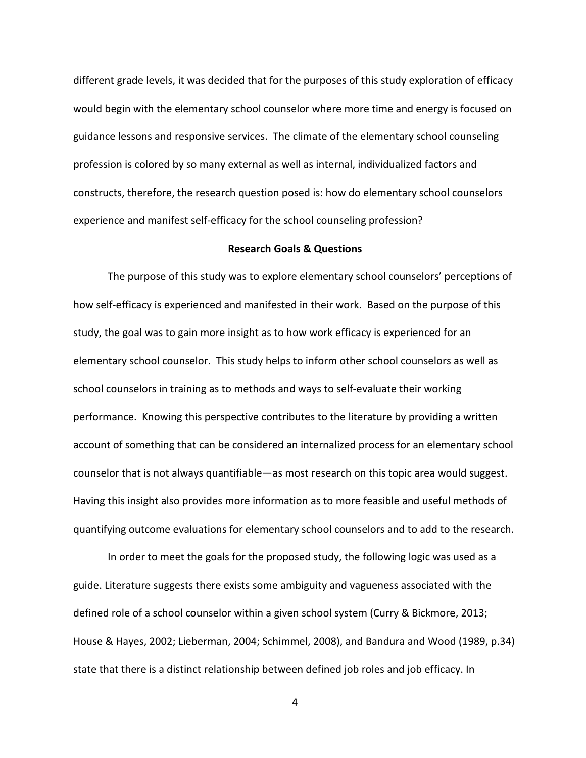different grade levels, it was decided that for the purposes of this study exploration of efficacy would begin with the elementary school counselor where more time and energy is focused on guidance lessons and responsive services. The climate of the elementary school counseling profession is colored by so many external as well as internal, individualized factors and constructs, therefore, the research question posed is: how do elementary school counselors experience and manifest self-efficacy for the school counseling profession?

### **Research Goals & Questions**

The purpose of this study was to explore elementary school counselors' perceptions of how self-efficacy is experienced and manifested in their work. Based on the purpose of this study, the goal was to gain more insight as to how work efficacy is experienced for an elementary school counselor. This study helps to inform other school counselors as well as school counselors in training as to methods and ways to self-evaluate their working performance. Knowing this perspective contributes to the literature by providing a written account of something that can be considered an internalized process for an elementary school counselor that is not always quantifiable—as most research on this topic area would suggest. Having this insight also provides more information as to more feasible and useful methods of quantifying outcome evaluations for elementary school counselors and to add to the research.

In order to meet the goals for the proposed study, the following logic was used as a guide. Literature suggests there exists some ambiguity and vagueness associated with the defined role of a school counselor within a given school system (Curry & Bickmore, 2013; House & Hayes, 2002; Lieberman, 2004; Schimmel, 2008), and Bandura and Wood (1989, p.34) state that there is a distinct relationship between defined job roles and job efficacy. In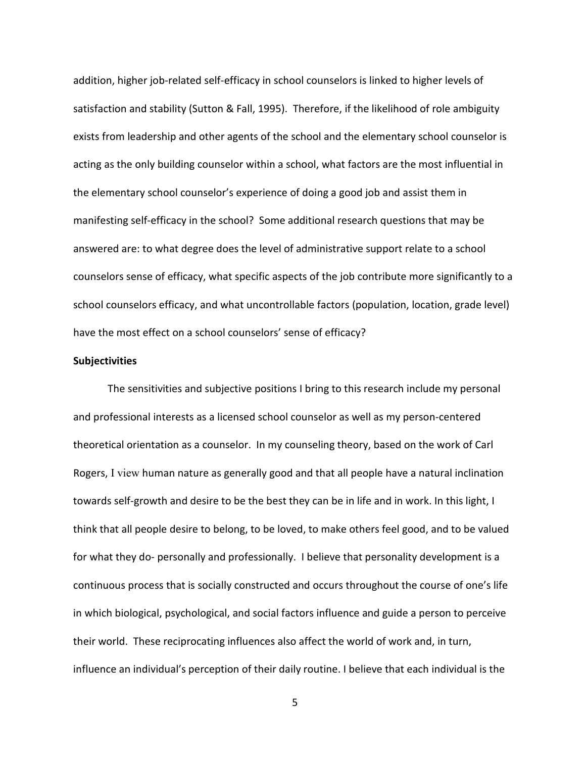addition, higher job-related self-efficacy in school counselors is linked to higher levels of satisfaction and stability (Sutton & Fall, 1995). Therefore, if the likelihood of role ambiguity exists from leadership and other agents of the school and the elementary school counselor is acting as the only building counselor within a school, what factors are the most influential in the elementary school counselor's experience of doing a good job and assist them in manifesting self-efficacy in the school? Some additional research questions that may be answered are: to what degree does the level of administrative support relate to a school counselors sense of efficacy, what specific aspects of the job contribute more significantly to a school counselors efficacy, and what uncontrollable factors (population, location, grade level) have the most effect on a school counselors' sense of efficacy?

#### **Subjectivities**

The sensitivities and subjective positions I bring to this research include my personal and professional interests as a licensed school counselor as well as my person-centered theoretical orientation as a counselor. In my counseling theory, based on the work of Carl Rogers, I view human nature as generally good and that all people have a natural inclination towards self-growth and desire to be the best they can be in life and in work. In this light, I think that all people desire to belong, to be loved, to make others feel good, and to be valued for what they do- personally and professionally. I believe that personality development is a continuous process that is socially constructed and occurs throughout the course of one's life in which biological, psychological, and social factors influence and guide a person to perceive their world. These reciprocating influences also affect the world of work and, in turn, influence an individual's perception of their daily routine. I believe that each individual is the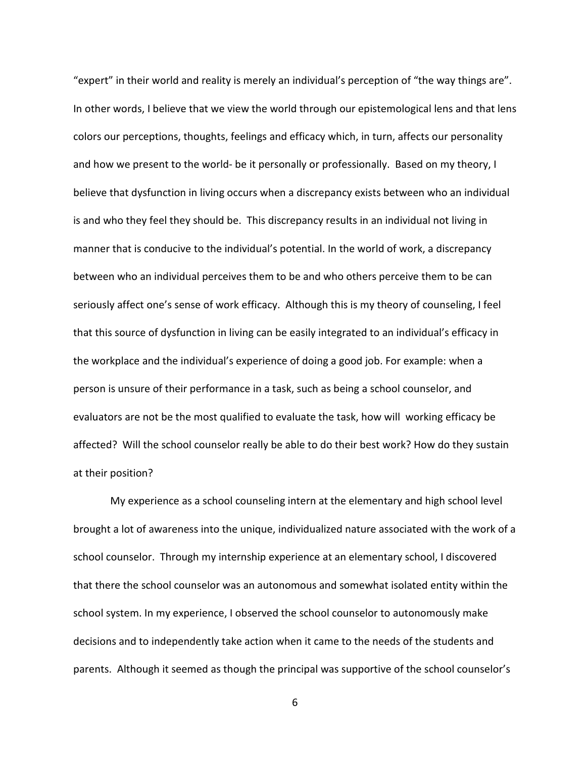"expert" in their world and reality is merely an individual's perception of "the way things are". In other words, I believe that we view the world through our epistemological lens and that lens colors our perceptions, thoughts, feelings and efficacy which, in turn, affects our personality and how we present to the world- be it personally or professionally. Based on my theory, I believe that dysfunction in living occurs when a discrepancy exists between who an individual is and who they feel they should be. This discrepancy results in an individual not living in manner that is conducive to the individual's potential. In the world of work, a discrepancy between who an individual perceives them to be and who others perceive them to be can seriously affect one's sense of work efficacy. Although this is my theory of counseling, I feel that this source of dysfunction in living can be easily integrated to an individual's efficacy in the workplace and the individual's experience of doing a good job. For example: when a person is unsure of their performance in a task, such as being a school counselor, and evaluators are not be the most qualified to evaluate the task, how will working efficacy be affected? Will the school counselor really be able to do their best work? How do they sustain at their position?

 My experience as a school counseling intern at the elementary and high school level brought a lot of awareness into the unique, individualized nature associated with the work of a school counselor. Through my internship experience at an elementary school, I discovered that there the school counselor was an autonomous and somewhat isolated entity within the school system. In my experience, I observed the school counselor to autonomously make decisions and to independently take action when it came to the needs of the students and parents. Although it seemed as though the principal was supportive of the school counselor's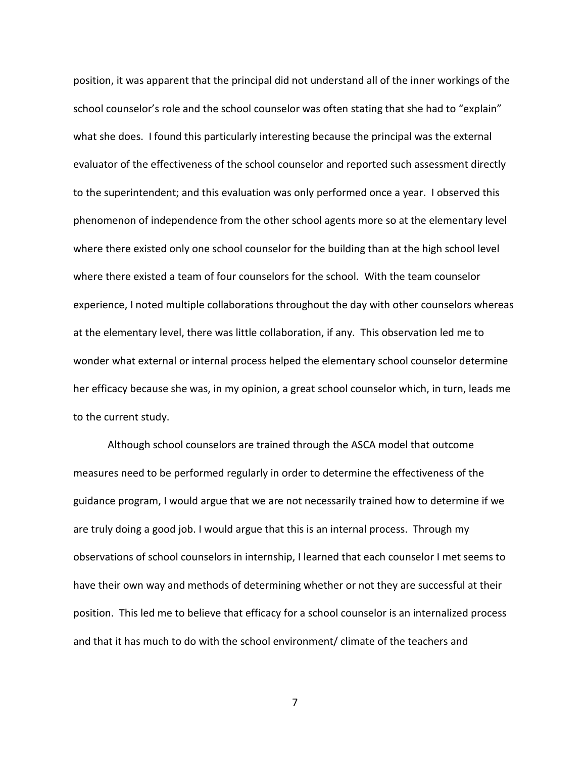position, it was apparent that the principal did not understand all of the inner workings of the school counselor's role and the school counselor was often stating that she had to "explain" what she does. I found this particularly interesting because the principal was the external evaluator of the effectiveness of the school counselor and reported such assessment directly to the superintendent; and this evaluation was only performed once a year. I observed this phenomenon of independence from the other school agents more so at the elementary level where there existed only one school counselor for the building than at the high school level where there existed a team of four counselors for the school. With the team counselor experience, I noted multiple collaborations throughout the day with other counselors whereas at the elementary level, there was little collaboration, if any. This observation led me to wonder what external or internal process helped the elementary school counselor determine her efficacy because she was, in my opinion, a great school counselor which, in turn, leads me to the current study.

Although school counselors are trained through the ASCA model that outcome measures need to be performed regularly in order to determine the effectiveness of the guidance program, I would argue that we are not necessarily trained how to determine if we are truly doing a good job. I would argue that this is an internal process. Through my observations of school counselors in internship, I learned that each counselor I met seems to have their own way and methods of determining whether or not they are successful at their position. This led me to believe that efficacy for a school counselor is an internalized process and that it has much to do with the school environment/ climate of the teachers and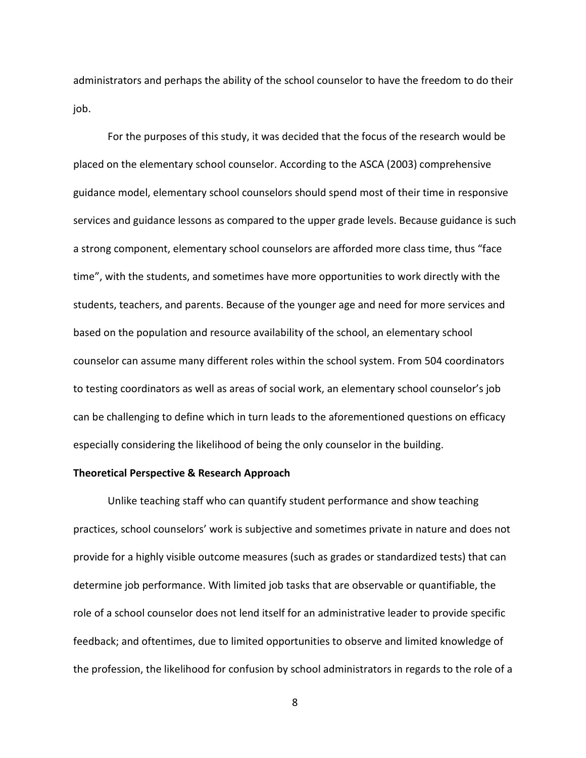administrators and perhaps the ability of the school counselor to have the freedom to do their job.

For the purposes of this study, it was decided that the focus of the research would be placed on the elementary school counselor. According to the ASCA (2003) comprehensive guidance model, elementary school counselors should spend most of their time in responsive services and guidance lessons as compared to the upper grade levels. Because guidance is such a strong component, elementary school counselors are afforded more class time, thus "face time", with the students, and sometimes have more opportunities to work directly with the students, teachers, and parents. Because of the younger age and need for more services and based on the population and resource availability of the school, an elementary school counselor can assume many different roles within the school system. From 504 coordinators to testing coordinators as well as areas of social work, an elementary school counselor's job can be challenging to define which in turn leads to the aforementioned questions on efficacy especially considering the likelihood of being the only counselor in the building.

### **Theoretical Perspective & Research Approach**

 Unlike teaching staff who can quantify student performance and show teaching practices, school counselors' work is subjective and sometimes private in nature and does not provide for a highly visible outcome measures (such as grades or standardized tests) that can determine job performance. With limited job tasks that are observable or quantifiable, the role of a school counselor does not lend itself for an administrative leader to provide specific feedback; and oftentimes, due to limited opportunities to observe and limited knowledge of the profession, the likelihood for confusion by school administrators in regards to the role of a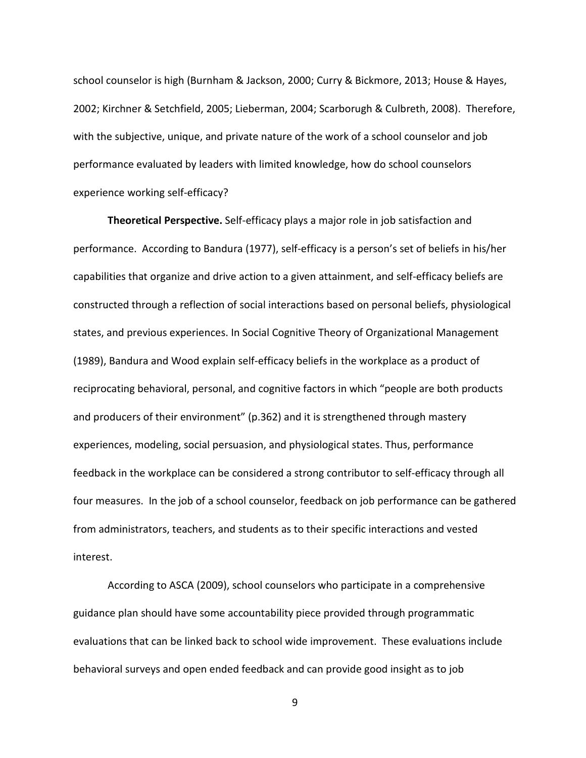school counselor is high (Burnham & Jackson, 2000; Curry & Bickmore, 2013; House & Hayes, 2002; Kirchner & Setchfield, 2005; Lieberman, 2004; Scarborugh & Culbreth, 2008). Therefore, with the subjective, unique, and private nature of the work of a school counselor and job performance evaluated by leaders with limited knowledge, how do school counselors experience working self-efficacy?

**Theoretical Perspective.** Self-efficacy plays a major role in job satisfaction and performance. According to Bandura (1977), self-efficacy is a person's set of beliefs in his/her capabilities that organize and drive action to a given attainment, and self-efficacy beliefs are constructed through a reflection of social interactions based on personal beliefs, physiological states, and previous experiences. In Social Cognitive Theory of Organizational Management (1989), Bandura and Wood explain self-efficacy beliefs in the workplace as a product of reciprocating behavioral, personal, and cognitive factors in which "people are both products and producers of their environment" (p.362) and it is strengthened through mastery experiences, modeling, social persuasion, and physiological states. Thus, performance feedback in the workplace can be considered a strong contributor to self-efficacy through all four measures. In the job of a school counselor, feedback on job performance can be gathered from administrators, teachers, and students as to their specific interactions and vested interest.

 According to ASCA (2009), school counselors who participate in a comprehensive guidance plan should have some accountability piece provided through programmatic evaluations that can be linked back to school wide improvement. These evaluations include behavioral surveys and open ended feedback and can provide good insight as to job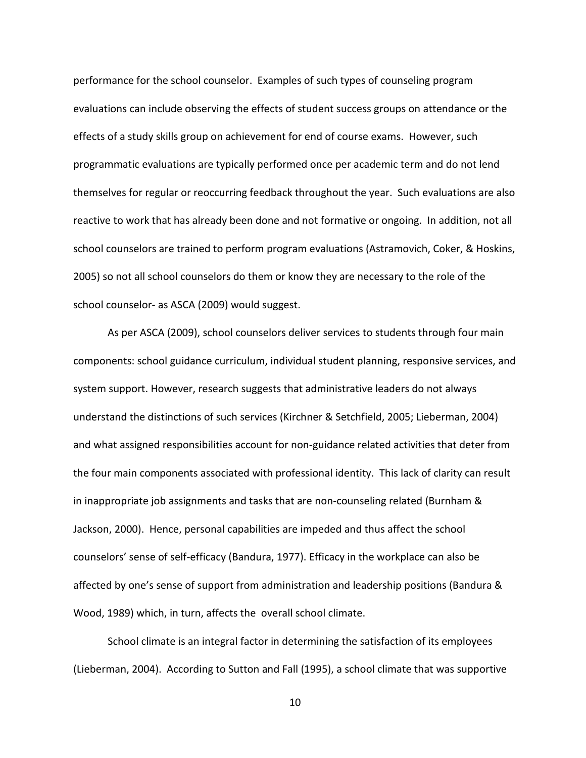performance for the school counselor. Examples of such types of counseling program evaluations can include observing the effects of student success groups on attendance or the effects of a study skills group on achievement for end of course exams. However, such programmatic evaluations are typically performed once per academic term and do not lend themselves for regular or reoccurring feedback throughout the year. Such evaluations are also reactive to work that has already been done and not formative or ongoing. In addition, not all school counselors are trained to perform program evaluations (Astramovich, Coker, & Hoskins, 2005) so not all school counselors do them or know they are necessary to the role of the school counselor- as ASCA (2009) would suggest.

 As per ASCA (2009), school counselors deliver services to students through four main components: school guidance curriculum, individual student planning, responsive services, and system support. However, research suggests that administrative leaders do not always understand the distinctions of such services (Kirchner & Setchfield, 2005; Lieberman, 2004) and what assigned responsibilities account for non-guidance related activities that deter from the four main components associated with professional identity. This lack of clarity can result in inappropriate job assignments and tasks that are non-counseling related (Burnham & Jackson, 2000). Hence, personal capabilities are impeded and thus affect the school counselors' sense of self-efficacy (Bandura, 1977). Efficacy in the workplace can also be affected by one's sense of support from administration and leadership positions (Bandura & Wood, 1989) which, in turn, affects the overall school climate.

 School climate is an integral factor in determining the satisfaction of its employees (Lieberman, 2004). According to Sutton and Fall (1995), a school climate that was supportive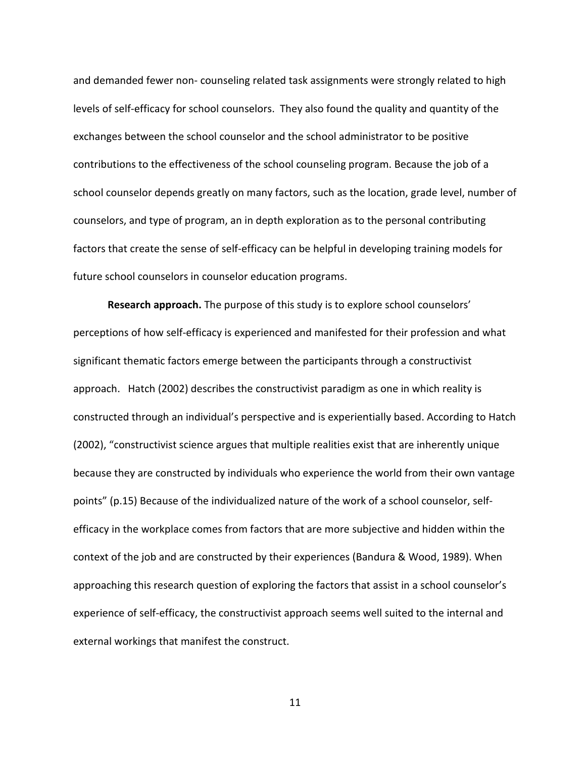and demanded fewer non- counseling related task assignments were strongly related to high levels of self-efficacy for school counselors. They also found the quality and quantity of the exchanges between the school counselor and the school administrator to be positive contributions to the effectiveness of the school counseling program. Because the job of a school counselor depends greatly on many factors, such as the location, grade level, number of counselors, and type of program, an in depth exploration as to the personal contributing factors that create the sense of self-efficacy can be helpful in developing training models for future school counselors in counselor education programs.

**Research approach.** The purpose of this study is to explore school counselors' perceptions of how self-efficacy is experienced and manifested for their profession and what significant thematic factors emerge between the participants through a constructivist approach. Hatch (2002) describes the constructivist paradigm as one in which reality is constructed through an individual's perspective and is experientially based. According to Hatch (2002), "constructivist science argues that multiple realities exist that are inherently unique because they are constructed by individuals who experience the world from their own vantage points" (p.15) Because of the individualized nature of the work of a school counselor, selfefficacy in the workplace comes from factors that are more subjective and hidden within the context of the job and are constructed by their experiences (Bandura & Wood, 1989). When approaching this research question of exploring the factors that assist in a school counselor's experience of self-efficacy, the constructivist approach seems well suited to the internal and external workings that manifest the construct.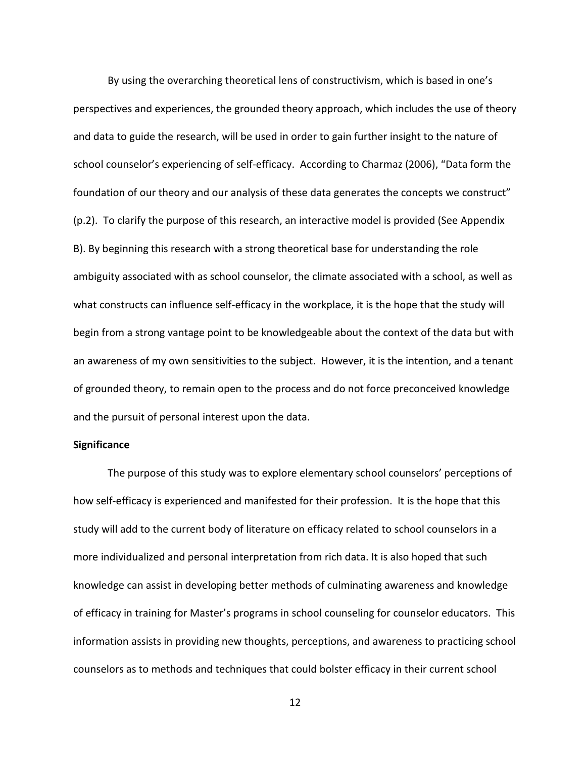By using the overarching theoretical lens of constructivism, which is based in one's perspectives and experiences, the grounded theory approach, which includes the use of theory and data to guide the research, will be used in order to gain further insight to the nature of school counselor's experiencing of self-efficacy. According to Charmaz (2006), "Data form the foundation of our theory and our analysis of these data generates the concepts we construct" (p.2). To clarify the purpose of this research, an interactive model is provided (See Appendix B). By beginning this research with a strong theoretical base for understanding the role ambiguity associated with as school counselor, the climate associated with a school, as well as what constructs can influence self-efficacy in the workplace, it is the hope that the study will begin from a strong vantage point to be knowledgeable about the context of the data but with an awareness of my own sensitivities to the subject. However, it is the intention, and a tenant of grounded theory, to remain open to the process and do not force preconceived knowledge and the pursuit of personal interest upon the data.

#### **Significance**

 The purpose of this study was to explore elementary school counselors' perceptions of how self-efficacy is experienced and manifested for their profession. It is the hope that this study will add to the current body of literature on efficacy related to school counselors in a more individualized and personal interpretation from rich data. It is also hoped that such knowledge can assist in developing better methods of culminating awareness and knowledge of efficacy in training for Master's programs in school counseling for counselor educators. This information assists in providing new thoughts, perceptions, and awareness to practicing school counselors as to methods and techniques that could bolster efficacy in their current school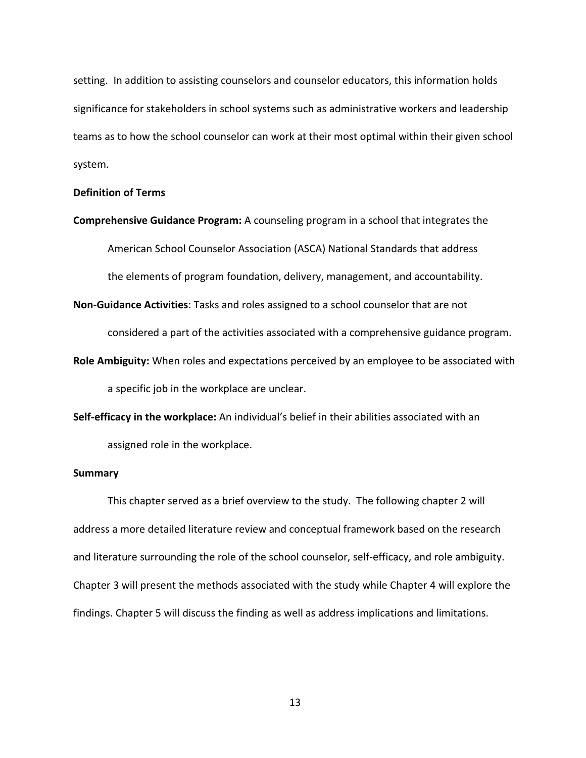setting. In addition to assisting counselors and counselor educators, this information holds significance for stakeholders in school systems such as administrative workers and leadership teams as to how the school counselor can work at their most optimal within their given school system.

### **Definition of Terms**

**Comprehensive Guidance Program:** A counseling program in a school that integrates the American School Counselor Association (ASCA) National Standards that address the elements of program foundation, delivery, management, and accountability.

**Non-Guidance Activities**: Tasks and roles assigned to a school counselor that are not

considered a part of the activities associated with a comprehensive guidance program.

**Role Ambiguity:** When roles and expectations perceived by an employee to be associated with a specific job in the workplace are unclear.

**Self-efficacy in the workplace:** An individual's belief in their abilities associated with an assigned role in the workplace.

### **Summary**

 This chapter served as a brief overview to the study. The following chapter 2 will address a more detailed literature review and conceptual framework based on the research and literature surrounding the role of the school counselor, self-efficacy, and role ambiguity. Chapter 3 will present the methods associated with the study while Chapter 4 will explore the findings. Chapter 5 will discuss the finding as well as address implications and limitations.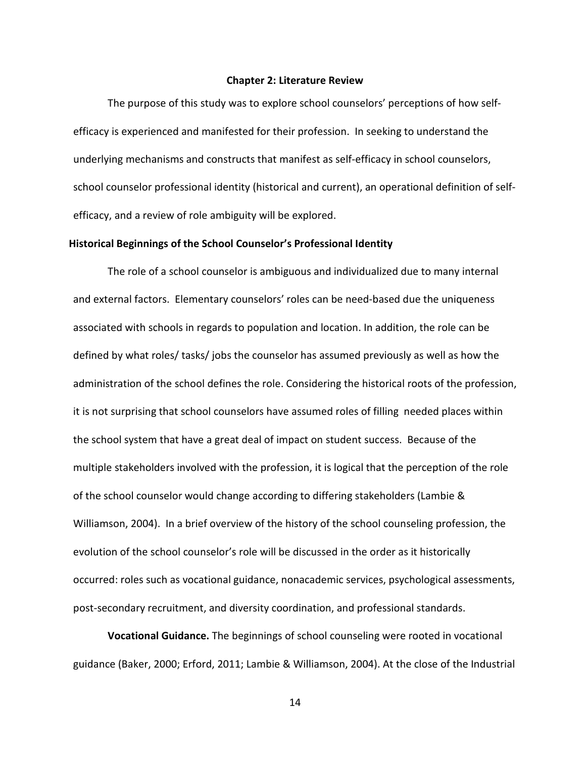#### **Chapter 2: Literature Review**

The purpose of this study was to explore school counselors' perceptions of how selfefficacy is experienced and manifested for their profession. In seeking to understand the underlying mechanisms and constructs that manifest as self-efficacy in school counselors, school counselor professional identity (historical and current), an operational definition of selfefficacy, and a review of role ambiguity will be explored.

#### **Historical Beginnings of the School Counselor's Professional Identity**

The role of a school counselor is ambiguous and individualized due to many internal and external factors. Elementary counselors' roles can be need-based due the uniqueness associated with schools in regards to population and location. In addition, the role can be defined by what roles/ tasks/ jobs the counselor has assumed previously as well as how the administration of the school defines the role. Considering the historical roots of the profession, it is not surprising that school counselors have assumed roles of filling needed places within the school system that have a great deal of impact on student success. Because of the multiple stakeholders involved with the profession, it is logical that the perception of the role of the school counselor would change according to differing stakeholders (Lambie & Williamson, 2004). In a brief overview of the history of the school counseling profession, the evolution of the school counselor's role will be discussed in the order as it historically occurred: roles such as vocational guidance, nonacademic services, psychological assessments, post-secondary recruitment, and diversity coordination, and professional standards.

**Vocational Guidance.** The beginnings of school counseling were rooted in vocational guidance (Baker, 2000; Erford, 2011; Lambie & Williamson, 2004). At the close of the Industrial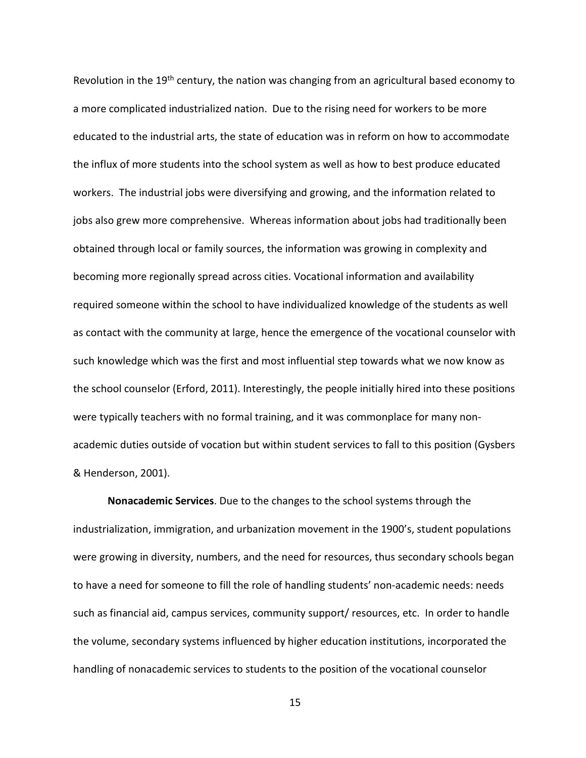Revolution in the 19<sup>th</sup> century, the nation was changing from an agricultural based economy to a more complicated industrialized nation. Due to the rising need for workers to be more educated to the industrial arts, the state of education was in reform on how to accommodate the influx of more students into the school system as well as how to best produce educated workers. The industrial jobs were diversifying and growing, and the information related to jobs also grew more comprehensive. Whereas information about jobs had traditionally been obtained through local or family sources, the information was growing in complexity and becoming more regionally spread across cities. Vocational information and availability required someone within the school to have individualized knowledge of the students as well as contact with the community at large, hence the emergence of the vocational counselor with such knowledge which was the first and most influential step towards what we now know as the school counselor (Erford, 2011). Interestingly, the people initially hired into these positions were typically teachers with no formal training, and it was commonplace for many nonacademic duties outside of vocation but within student services to fall to this position (Gysbers & Henderson, 2001).

**Nonacademic Services**. Due to the changes to the school systems through the industrialization, immigration, and urbanization movement in the 1900's, student populations were growing in diversity, numbers, and the need for resources, thus secondary schools began to have a need for someone to fill the role of handling students' non-academic needs: needs such as financial aid, campus services, community support/ resources, etc. In order to handle the volume, secondary systems influenced by higher education institutions, incorporated the handling of nonacademic services to students to the position of the vocational counselor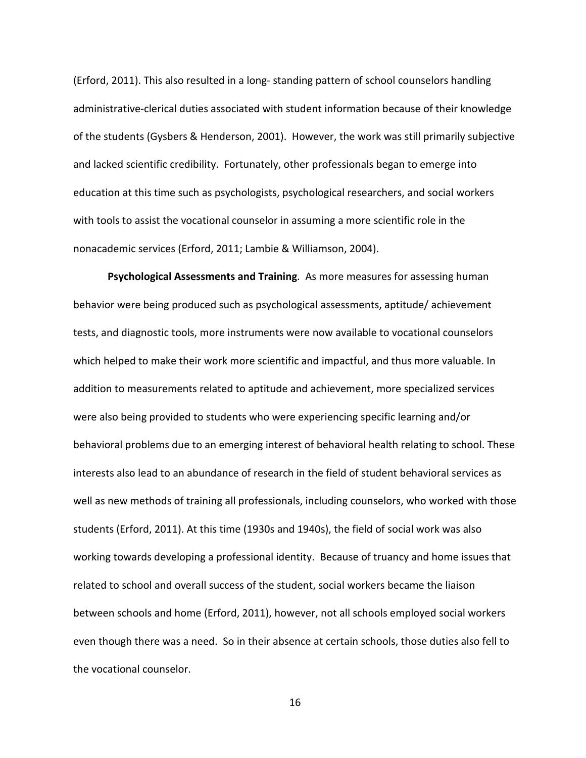(Erford, 2011). This also resulted in a long- standing pattern of school counselors handling administrative-clerical duties associated with student information because of their knowledge of the students (Gysbers & Henderson, 2001). However, the work was still primarily subjective and lacked scientific credibility. Fortunately, other professionals began to emerge into education at this time such as psychologists, psychological researchers, and social workers with tools to assist the vocational counselor in assuming a more scientific role in the nonacademic services (Erford, 2011; Lambie & Williamson, 2004).

**Psychological Assessments and Training**. As more measures for assessing human behavior were being produced such as psychological assessments, aptitude/ achievement tests, and diagnostic tools, more instruments were now available to vocational counselors which helped to make their work more scientific and impactful, and thus more valuable. In addition to measurements related to aptitude and achievement, more specialized services were also being provided to students who were experiencing specific learning and/or behavioral problems due to an emerging interest of behavioral health relating to school. These interests also lead to an abundance of research in the field of student behavioral services as well as new methods of training all professionals, including counselors, who worked with those students (Erford, 2011). At this time (1930s and 1940s), the field of social work was also working towards developing a professional identity. Because of truancy and home issues that related to school and overall success of the student, social workers became the liaison between schools and home (Erford, 2011), however, not all schools employed social workers even though there was a need. So in their absence at certain schools, those duties also fell to the vocational counselor.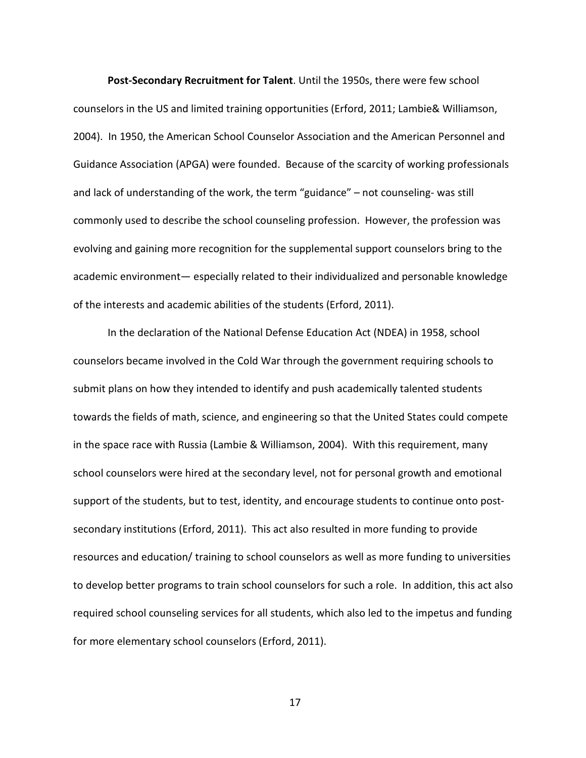**Post-Secondary Recruitment for Talent**. Until the 1950s, there were few school counselors in the US and limited training opportunities (Erford, 2011; Lambie& Williamson, 2004). In 1950, the American School Counselor Association and the American Personnel and Guidance Association (APGA) were founded. Because of the scarcity of working professionals and lack of understanding of the work, the term "guidance" – not counseling- was still commonly used to describe the school counseling profession. However, the profession was evolving and gaining more recognition for the supplemental support counselors bring to the academic environment— especially related to their individualized and personable knowledge of the interests and academic abilities of the students (Erford, 2011).

In the declaration of the National Defense Education Act (NDEA) in 1958, school counselors became involved in the Cold War through the government requiring schools to submit plans on how they intended to identify and push academically talented students towards the fields of math, science, and engineering so that the United States could compete in the space race with Russia (Lambie & Williamson, 2004). With this requirement, many school counselors were hired at the secondary level, not for personal growth and emotional support of the students, but to test, identity, and encourage students to continue onto postsecondary institutions (Erford, 2011). This act also resulted in more funding to provide resources and education/ training to school counselors as well as more funding to universities to develop better programs to train school counselors for such a role. In addition, this act also required school counseling services for all students, which also led to the impetus and funding for more elementary school counselors (Erford, 2011).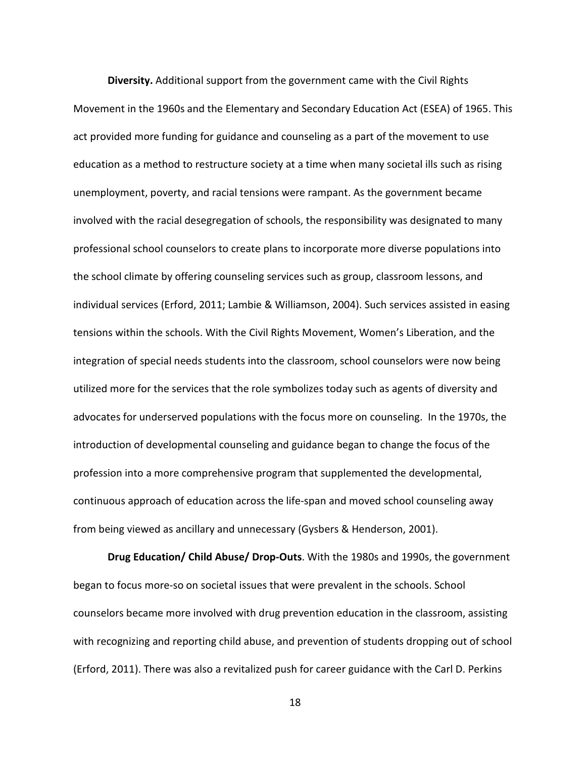**Diversity.** Additional support from the government came with the Civil Rights Movement in the 1960s and the Elementary and Secondary Education Act (ESEA) of 1965. This act provided more funding for guidance and counseling as a part of the movement to use education as a method to restructure society at a time when many societal ills such as rising unemployment, poverty, and racial tensions were rampant. As the government became involved with the racial desegregation of schools, the responsibility was designated to many professional school counselors to create plans to incorporate more diverse populations into the school climate by offering counseling services such as group, classroom lessons, and individual services (Erford, 2011; Lambie & Williamson, 2004). Such services assisted in easing tensions within the schools. With the Civil Rights Movement, Women's Liberation, and the integration of special needs students into the classroom, school counselors were now being utilized more for the services that the role symbolizes today such as agents of diversity and advocates for underserved populations with the focus more on counseling. In the 1970s, the introduction of developmental counseling and guidance began to change the focus of the profession into a more comprehensive program that supplemented the developmental, continuous approach of education across the life-span and moved school counseling away from being viewed as ancillary and unnecessary (Gysbers & Henderson, 2001).

**Drug Education/ Child Abuse/ Drop-Outs**. With the 1980s and 1990s, the government began to focus more-so on societal issues that were prevalent in the schools. School counselors became more involved with drug prevention education in the classroom, assisting with recognizing and reporting child abuse, and prevention of students dropping out of school (Erford, 2011). There was also a revitalized push for career guidance with the Carl D. Perkins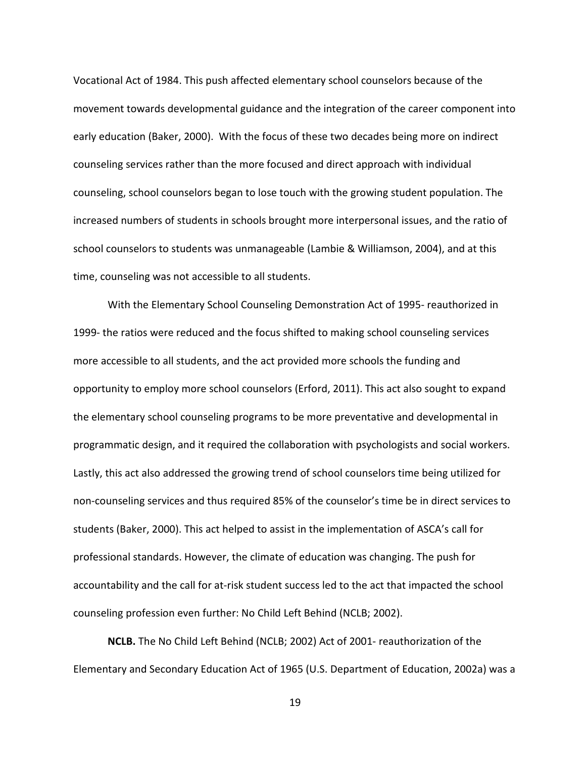Vocational Act of 1984. This push affected elementary school counselors because of the movement towards developmental guidance and the integration of the career component into early education (Baker, 2000). With the focus of these two decades being more on indirect counseling services rather than the more focused and direct approach with individual counseling, school counselors began to lose touch with the growing student population. The increased numbers of students in schools brought more interpersonal issues, and the ratio of school counselors to students was unmanageable (Lambie & Williamson, 2004), and at this time, counseling was not accessible to all students.

With the Elementary School Counseling Demonstration Act of 1995- reauthorized in 1999- the ratios were reduced and the focus shifted to making school counseling services more accessible to all students, and the act provided more schools the funding and opportunity to employ more school counselors (Erford, 2011). This act also sought to expand the elementary school counseling programs to be more preventative and developmental in programmatic design, and it required the collaboration with psychologists and social workers. Lastly, this act also addressed the growing trend of school counselors time being utilized for non-counseling services and thus required 85% of the counselor's time be in direct services to students (Baker, 2000). This act helped to assist in the implementation of ASCA's call for professional standards. However, the climate of education was changing. The push for accountability and the call for at-risk student success led to the act that impacted the school counseling profession even further: No Child Left Behind (NCLB; 2002).

**NCLB.** The No Child Left Behind (NCLB; 2002) Act of 2001- reauthorization of the Elementary and Secondary Education Act of 1965 (U.S. Department of Education, 2002a) was a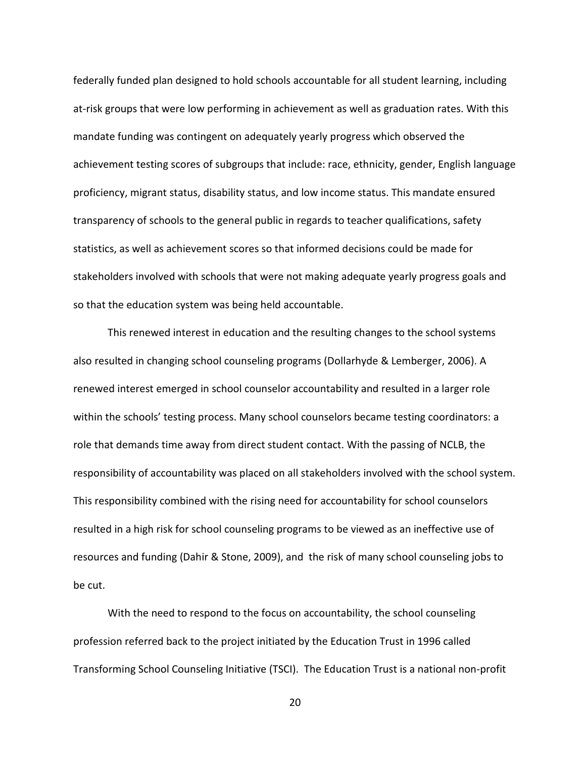federally funded plan designed to hold schools accountable for all student learning, including at-risk groups that were low performing in achievement as well as graduation rates. With this mandate funding was contingent on adequately yearly progress which observed the achievement testing scores of subgroups that include: race, ethnicity, gender, English language proficiency, migrant status, disability status, and low income status. This mandate ensured transparency of schools to the general public in regards to teacher qualifications, safety statistics, as well as achievement scores so that informed decisions could be made for stakeholders involved with schools that were not making adequate yearly progress goals and so that the education system was being held accountable.

This renewed interest in education and the resulting changes to the school systems also resulted in changing school counseling programs (Dollarhyde & Lemberger, 2006). A renewed interest emerged in school counselor accountability and resulted in a larger role within the schools' testing process. Many school counselors became testing coordinators: a role that demands time away from direct student contact. With the passing of NCLB, the responsibility of accountability was placed on all stakeholders involved with the school system. This responsibility combined with the rising need for accountability for school counselors resulted in a high risk for school counseling programs to be viewed as an ineffective use of resources and funding (Dahir & Stone, 2009), and the risk of many school counseling jobs to be cut.

With the need to respond to the focus on accountability, the school counseling profession referred back to the project initiated by the Education Trust in 1996 called Transforming School Counseling Initiative (TSCI). The Education Trust is a national non-profit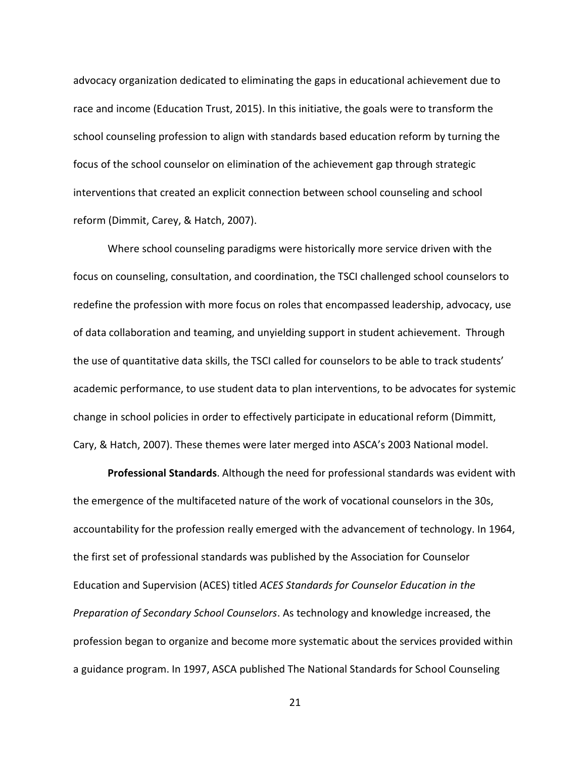advocacy organization dedicated to eliminating the gaps in educational achievement due to race and income (Education Trust, 2015). In this initiative, the goals were to transform the school counseling profession to align with standards based education reform by turning the focus of the school counselor on elimination of the achievement gap through strategic interventions that created an explicit connection between school counseling and school reform (Dimmit, Carey, & Hatch, 2007).

Where school counseling paradigms were historically more service driven with the focus on counseling, consultation, and coordination, the TSCI challenged school counselors to redefine the profession with more focus on roles that encompassed leadership, advocacy, use of data collaboration and teaming, and unyielding support in student achievement. Through the use of quantitative data skills, the TSCI called for counselors to be able to track students' academic performance, to use student data to plan interventions, to be advocates for systemic change in school policies in order to effectively participate in educational reform (Dimmitt, Cary, & Hatch, 2007). These themes were later merged into ASCA's 2003 National model.

**Professional Standards**. Although the need for professional standards was evident with the emergence of the multifaceted nature of the work of vocational counselors in the 30s, accountability for the profession really emerged with the advancement of technology. In 1964, the first set of professional standards was published by the Association for Counselor Education and Supervision (ACES) titled *ACES Standards for Counselor Education in the Preparation of Secondary School Counselors*. As technology and knowledge increased, the profession began to organize and become more systematic about the services provided within a guidance program. In 1997, ASCA published The National Standards for School Counseling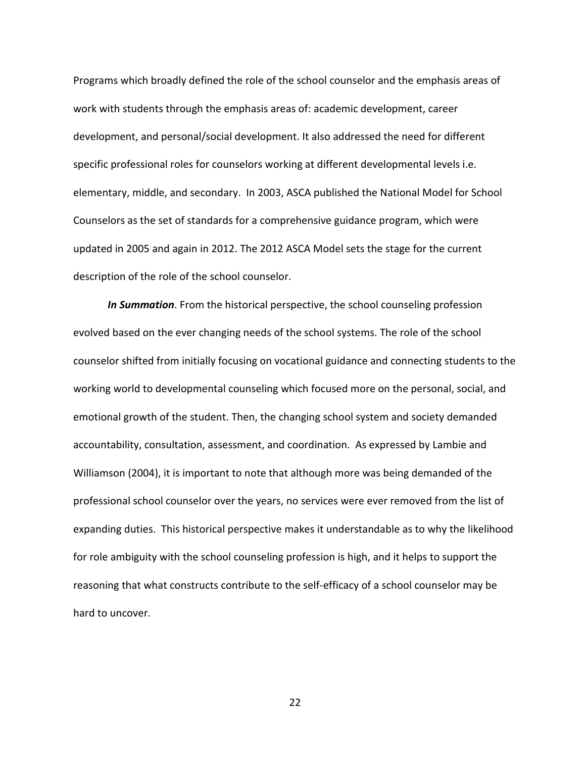Programs which broadly defined the role of the school counselor and the emphasis areas of work with students through the emphasis areas of: academic development, career development, and personal/social development. It also addressed the need for different specific professional roles for counselors working at different developmental levels i.e. elementary, middle, and secondary. In 2003, ASCA published the National Model for School Counselors as the set of standards for a comprehensive guidance program, which were updated in 2005 and again in 2012. The 2012 ASCA Model sets the stage for the current description of the role of the school counselor.

*In Summation*. From the historical perspective, the school counseling profession evolved based on the ever changing needs of the school systems. The role of the school counselor shifted from initially focusing on vocational guidance and connecting students to the working world to developmental counseling which focused more on the personal, social, and emotional growth of the student. Then, the changing school system and society demanded accountability, consultation, assessment, and coordination. As expressed by Lambie and Williamson (2004), it is important to note that although more was being demanded of the professional school counselor over the years, no services were ever removed from the list of expanding duties. This historical perspective makes it understandable as to why the likelihood for role ambiguity with the school counseling profession is high, and it helps to support the reasoning that what constructs contribute to the self-efficacy of a school counselor may be hard to uncover.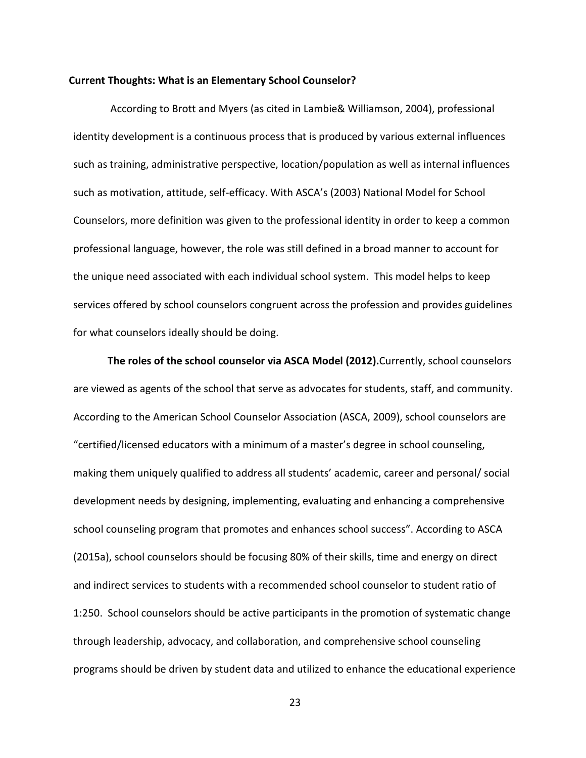#### **Current Thoughts: What is an Elementary School Counselor?**

According to Brott and Myers (as cited in Lambie& Williamson, 2004), professional identity development is a continuous process that is produced by various external influences such as training, administrative perspective, location/population as well as internal influences such as motivation, attitude, self-efficacy. With ASCA's (2003) National Model for School Counselors, more definition was given to the professional identity in order to keep a common professional language, however, the role was still defined in a broad manner to account for the unique need associated with each individual school system. This model helps to keep services offered by school counselors congruent across the profession and provides guidelines for what counselors ideally should be doing.

**The roles of the school counselor via ASCA Model (2012).**Currently, school counselors are viewed as agents of the school that serve as advocates for students, staff, and community. According to the American School Counselor Association (ASCA, 2009), school counselors are "certified/licensed educators with a minimum of a master's degree in school counseling, making them uniquely qualified to address all students' academic, career and personal/ social development needs by designing, implementing, evaluating and enhancing a comprehensive school counseling program that promotes and enhances school success". According to ASCA (2015a), school counselors should be focusing 80% of their skills, time and energy on direct and indirect services to students with a recommended school counselor to student ratio of 1:250. School counselors should be active participants in the promotion of systematic change through leadership, advocacy, and collaboration, and comprehensive school counseling programs should be driven by student data and utilized to enhance the educational experience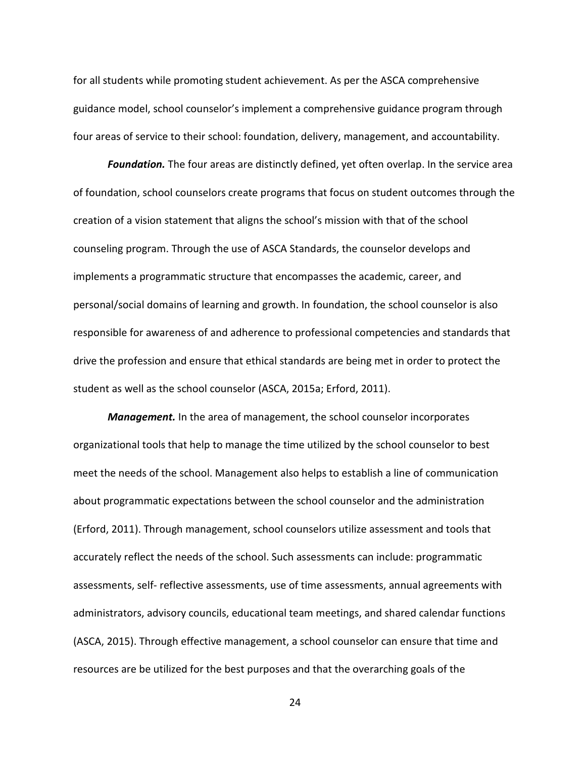for all students while promoting student achievement. As per the ASCA comprehensive guidance model, school counselor's implement a comprehensive guidance program through four areas of service to their school: foundation, delivery, management, and accountability.

*Foundation.* The four areas are distinctly defined, yet often overlap. In the service area of foundation, school counselors create programs that focus on student outcomes through the creation of a vision statement that aligns the school's mission with that of the school counseling program. Through the use of ASCA Standards, the counselor develops and implements a programmatic structure that encompasses the academic, career, and personal/social domains of learning and growth. In foundation, the school counselor is also responsible for awareness of and adherence to professional competencies and standards that drive the profession and ensure that ethical standards are being met in order to protect the student as well as the school counselor (ASCA, 2015a; Erford, 2011).

*Management.* In the area of management, the school counselor incorporates organizational tools that help to manage the time utilized by the school counselor to best meet the needs of the school. Management also helps to establish a line of communication about programmatic expectations between the school counselor and the administration (Erford, 2011). Through management, school counselors utilize assessment and tools that accurately reflect the needs of the school. Such assessments can include: programmatic assessments, self- reflective assessments, use of time assessments, annual agreements with administrators, advisory councils, educational team meetings, and shared calendar functions (ASCA, 2015). Through effective management, a school counselor can ensure that time and resources are be utilized for the best purposes and that the overarching goals of the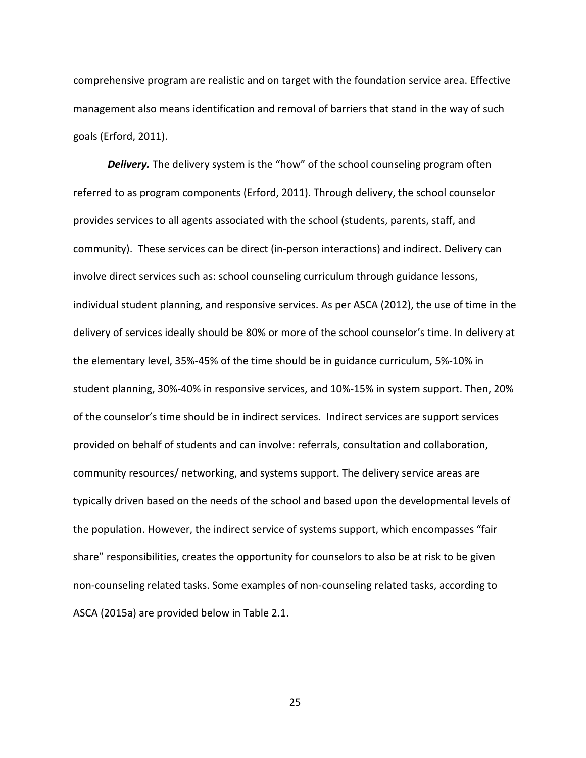comprehensive program are realistic and on target with the foundation service area. Effective management also means identification and removal of barriers that stand in the way of such goals (Erford, 2011).

**Delivery.** The delivery system is the "how" of the school counseling program often referred to as program components (Erford, 2011). Through delivery, the school counselor provides services to all agents associated with the school (students, parents, staff, and community). These services can be direct (in-person interactions) and indirect. Delivery can involve direct services such as: school counseling curriculum through guidance lessons, individual student planning, and responsive services. As per ASCA (2012), the use of time in the delivery of services ideally should be 80% or more of the school counselor's time. In delivery at the elementary level, 35%-45% of the time should be in guidance curriculum, 5%-10% in student planning, 30%-40% in responsive services, and 10%-15% in system support. Then, 20% of the counselor's time should be in indirect services. Indirect services are support services provided on behalf of students and can involve: referrals, consultation and collaboration, community resources/ networking, and systems support. The delivery service areas are typically driven based on the needs of the school and based upon the developmental levels of the population. However, the indirect service of systems support, which encompasses "fair share" responsibilities, creates the opportunity for counselors to also be at risk to be given non-counseling related tasks. Some examples of non-counseling related tasks, according to ASCA (2015a) are provided below in Table 2.1.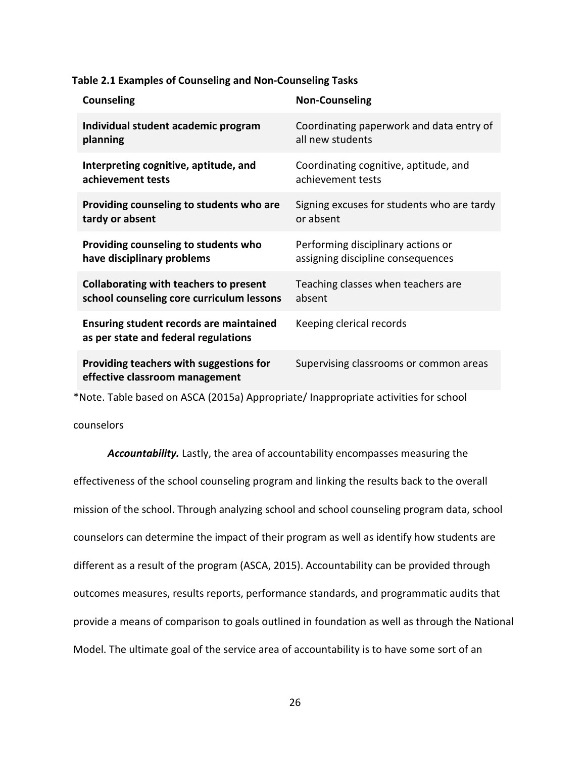| <b>Counseling</b>                                                                      | <b>Non-Counseling</b>                      |
|----------------------------------------------------------------------------------------|--------------------------------------------|
| Individual student academic program                                                    | Coordinating paperwork and data entry of   |
| planning                                                                               | all new students                           |
| Interpreting cognitive, aptitude, and                                                  | Coordinating cognitive, aptitude, and      |
| achievement tests                                                                      | achievement tests                          |
| Providing counseling to students who are                                               | Signing excuses for students who are tardy |
| tardy or absent                                                                        | or absent                                  |
| Providing counseling to students who                                                   | Performing disciplinary actions or         |
| have disciplinary problems                                                             | assigning discipline consequences          |
| <b>Collaborating with teachers to present</b>                                          | Teaching classes when teachers are         |
| school counseling core curriculum lessons                                              | absent                                     |
| <b>Ensuring student records are maintained</b><br>as per state and federal regulations | Keeping clerical records                   |
| Providing teachers with suggestions for<br>effective classroom management              | Supervising classrooms or common areas     |

\*Note. Table based on ASCA (2015a) Appropriate/ Inappropriate activities for school

counselors

*Accountability.* Lastly, the area of accountability encompasses measuring the effectiveness of the school counseling program and linking the results back to the overall mission of the school. Through analyzing school and school counseling program data, school counselors can determine the impact of their program as well as identify how students are different as a result of the program (ASCA, 2015). Accountability can be provided through outcomes measures, results reports, performance standards, and programmatic audits that provide a means of comparison to goals outlined in foundation as well as through the National Model. The ultimate goal of the service area of accountability is to have some sort of an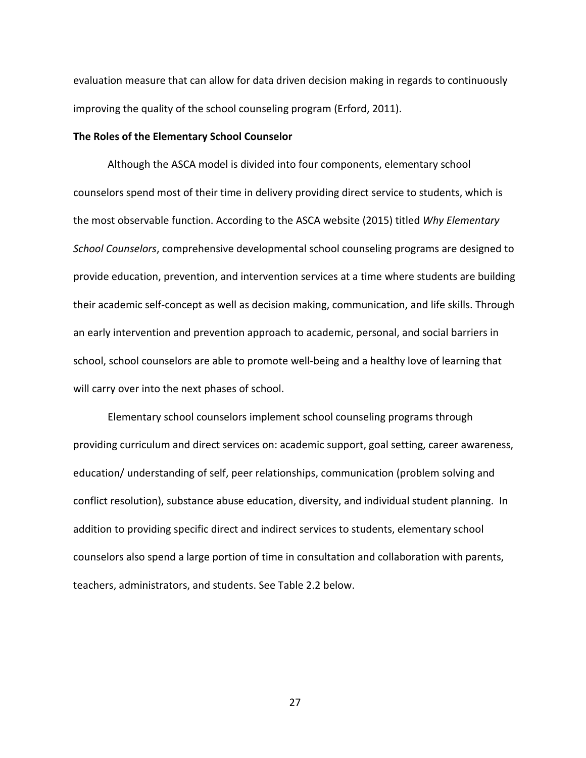evaluation measure that can allow for data driven decision making in regards to continuously improving the quality of the school counseling program (Erford, 2011).

## **The Roles of the Elementary School Counselor**

Although the ASCA model is divided into four components, elementary school counselors spend most of their time in delivery providing direct service to students, which is the most observable function. According to the ASCA website (2015) titled *Why Elementary School Counselors*, comprehensive developmental school counseling programs are designed to provide education, prevention, and intervention services at a time where students are building their academic self-concept as well as decision making, communication, and life skills. Through an early intervention and prevention approach to academic, personal, and social barriers in school, school counselors are able to promote well-being and a healthy love of learning that will carry over into the next phases of school.

Elementary school counselors implement school counseling programs through providing curriculum and direct services on: academic support, goal setting, career awareness, education/ understanding of self, peer relationships, communication (problem solving and conflict resolution), substance abuse education, diversity, and individual student planning. In addition to providing specific direct and indirect services to students, elementary school counselors also spend a large portion of time in consultation and collaboration with parents, teachers, administrators, and students. See Table 2.2 below.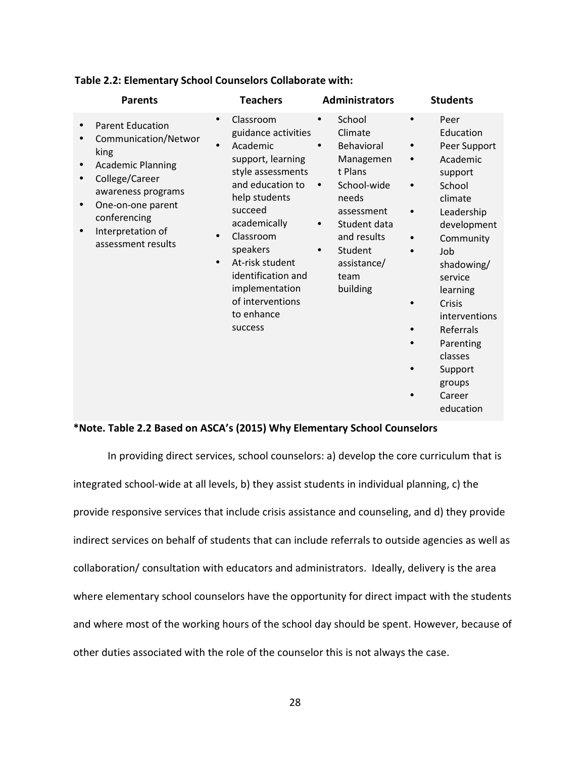| <b>Parents</b>                                                                                                                                                                                              | <b>Teachers</b>                                                                                                                                                                                                                                                                                                                             | <b>Administrators</b>                                                                                                                                                                                                          | <b>Students</b>                                                                                                                                                                                                                                                                              |
|-------------------------------------------------------------------------------------------------------------------------------------------------------------------------------------------------------------|---------------------------------------------------------------------------------------------------------------------------------------------------------------------------------------------------------------------------------------------------------------------------------------------------------------------------------------------|--------------------------------------------------------------------------------------------------------------------------------------------------------------------------------------------------------------------------------|----------------------------------------------------------------------------------------------------------------------------------------------------------------------------------------------------------------------------------------------------------------------------------------------|
| <b>Parent Education</b><br>Communication/Networ<br>king<br><b>Academic Planning</b><br>College/Career<br>awareness programs<br>One-on-one parent<br>conferencing<br>Interpretation of<br>assessment results | Classroom<br>$\bullet$<br>guidance activities<br>Academic<br>$\bullet$<br>support, learning<br>style assessments<br>and education to<br>help students<br>succeed<br>academically<br>Classroom<br>$\bullet$<br>speakers<br>At-risk student<br>$\bullet$<br>identification and<br>implementation<br>of interventions<br>to enhance<br>success | School<br>Climate<br>Behavioral<br>$\bullet$<br>Managemen<br>t Plans<br>School-wide<br>$\bullet$<br>needs<br>assessment<br>Student data<br>$\bullet$<br>and results<br>Student<br>$\bullet$<br>assistance/<br>team<br>building | Peer<br>$\bullet$<br>Education<br>Peer Support<br>Academic<br>support<br>School<br>climate<br>Leadership<br>development<br>Community<br>Job<br>shadowing/<br>service<br>learning<br>Crisis<br>interventions<br>Referrals<br>Parenting<br>classes<br>Support<br>groups<br>Career<br>education |

#### **Table 2.2: Elementary School Counselors Collaborate with:**

## **\*Note. Table 2.2 Based on ASCA's (2015) Why Elementary School Counselors**

In providing direct services, school counselors: a) develop the core curriculum that is integrated school-wide at all levels, b) they assist students in individual planning, c) the provide responsive services that include crisis assistance and counseling, and d) they provide indirect services on behalf of students that can include referrals to outside agencies as well as collaboration/ consultation with educators and administrators. Ideally, delivery is the area where elementary school counselors have the opportunity for direct impact with the students and where most of the working hours of the school day should be spent. However, because of other duties associated with the role of the counselor this is not always the case.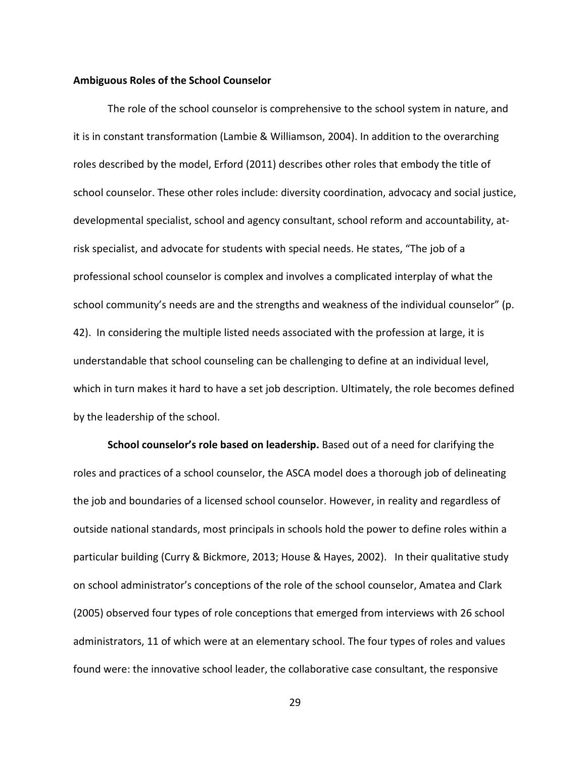#### **Ambiguous Roles of the School Counselor**

The role of the school counselor is comprehensive to the school system in nature, and it is in constant transformation (Lambie & Williamson, 2004). In addition to the overarching roles described by the model, Erford (2011) describes other roles that embody the title of school counselor. These other roles include: diversity coordination, advocacy and social justice, developmental specialist, school and agency consultant, school reform and accountability, atrisk specialist, and advocate for students with special needs. He states, "The job of a professional school counselor is complex and involves a complicated interplay of what the school community's needs are and the strengths and weakness of the individual counselor" (p. 42). In considering the multiple listed needs associated with the profession at large, it is understandable that school counseling can be challenging to define at an individual level, which in turn makes it hard to have a set job description. Ultimately, the role becomes defined by the leadership of the school.

**School counselor's role based on leadership.** Based out of a need for clarifying the roles and practices of a school counselor, the ASCA model does a thorough job of delineating the job and boundaries of a licensed school counselor. However, in reality and regardless of outside national standards, most principals in schools hold the power to define roles within a particular building (Curry & Bickmore, 2013; House & Hayes, 2002). In their qualitative study on school administrator's conceptions of the role of the school counselor, Amatea and Clark (2005) observed four types of role conceptions that emerged from interviews with 26 school administrators, 11 of which were at an elementary school. The four types of roles and values found were: the innovative school leader, the collaborative case consultant, the responsive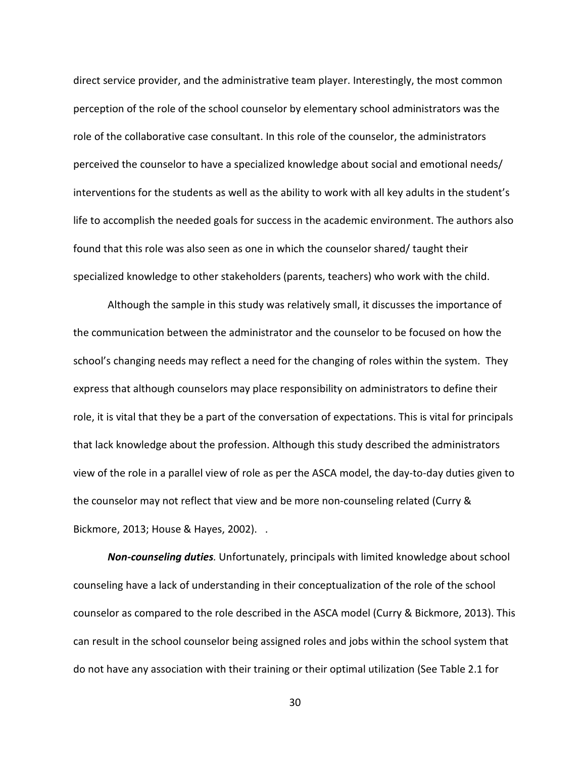direct service provider, and the administrative team player. Interestingly, the most common perception of the role of the school counselor by elementary school administrators was the role of the collaborative case consultant. In this role of the counselor, the administrators perceived the counselor to have a specialized knowledge about social and emotional needs/ interventions for the students as well as the ability to work with all key adults in the student's life to accomplish the needed goals for success in the academic environment. The authors also found that this role was also seen as one in which the counselor shared/ taught their specialized knowledge to other stakeholders (parents, teachers) who work with the child.

Although the sample in this study was relatively small, it discusses the importance of the communication between the administrator and the counselor to be focused on how the school's changing needs may reflect a need for the changing of roles within the system. They express that although counselors may place responsibility on administrators to define their role, it is vital that they be a part of the conversation of expectations. This is vital for principals that lack knowledge about the profession. Although this study described the administrators view of the role in a parallel view of role as per the ASCA model, the day-to-day duties given to the counselor may not reflect that view and be more non-counseling related (Curry & Bickmore, 2013; House & Hayes, 2002). .

*Non-counseling duties.* Unfortunately, principals with limited knowledge about school counseling have a lack of understanding in their conceptualization of the role of the school counselor as compared to the role described in the ASCA model (Curry & Bickmore, 2013). This can result in the school counselor being assigned roles and jobs within the school system that do not have any association with their training or their optimal utilization (See Table 2.1 for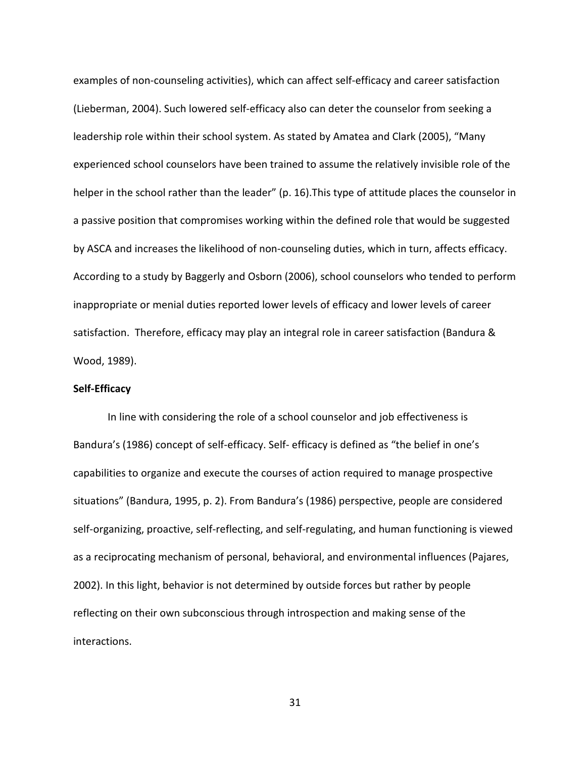examples of non-counseling activities), which can affect self-efficacy and career satisfaction (Lieberman, 2004). Such lowered self-efficacy also can deter the counselor from seeking a leadership role within their school system. As stated by Amatea and Clark (2005), "Many experienced school counselors have been trained to assume the relatively invisible role of the helper in the school rather than the leader" (p. 16).This type of attitude places the counselor in a passive position that compromises working within the defined role that would be suggested by ASCA and increases the likelihood of non-counseling duties, which in turn, affects efficacy. According to a study by Baggerly and Osborn (2006), school counselors who tended to perform inappropriate or menial duties reported lower levels of efficacy and lower levels of career satisfaction. Therefore, efficacy may play an integral role in career satisfaction (Bandura & Wood, 1989).

## **Self-Efficacy**

In line with considering the role of a school counselor and job effectiveness is Bandura's (1986) concept of self-efficacy. Self- efficacy is defined as "the belief in one's capabilities to organize and execute the courses of action required to manage prospective situations" (Bandura, 1995, p. 2). From Bandura's (1986) perspective, people are considered self-organizing, proactive, self-reflecting, and self-regulating, and human functioning is viewed as a reciprocating mechanism of personal, behavioral, and environmental influences (Pajares, 2002). In this light, behavior is not determined by outside forces but rather by people reflecting on their own subconscious through introspection and making sense of the interactions.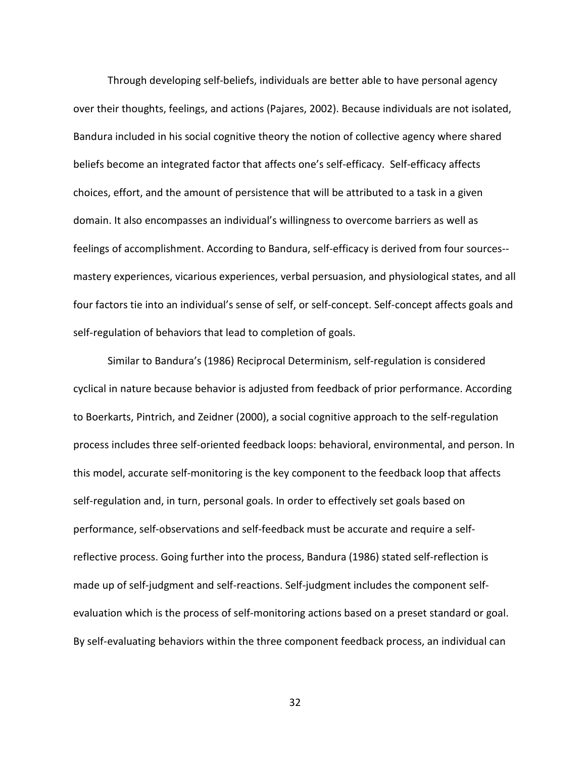Through developing self-beliefs, individuals are better able to have personal agency over their thoughts, feelings, and actions (Pajares, 2002). Because individuals are not isolated, Bandura included in his social cognitive theory the notion of collective agency where shared beliefs become an integrated factor that affects one's self-efficacy. Self-efficacy affects choices, effort, and the amount of persistence that will be attributed to a task in a given domain. It also encompasses an individual's willingness to overcome barriers as well as feelings of accomplishment. According to Bandura, self-efficacy is derived from four sources- mastery experiences, vicarious experiences, verbal persuasion, and physiological states, and all four factors tie into an individual's sense of self, or self-concept. Self-concept affects goals and self-regulation of behaviors that lead to completion of goals.

Similar to Bandura's (1986) Reciprocal Determinism, self-regulation is considered cyclical in nature because behavior is adjusted from feedback of prior performance. According to Boerkarts, Pintrich, and Zeidner (2000), a social cognitive approach to the self-regulation process includes three self-oriented feedback loops: behavioral, environmental, and person. In this model, accurate self-monitoring is the key component to the feedback loop that affects self-regulation and, in turn, personal goals. In order to effectively set goals based on performance, self-observations and self-feedback must be accurate and require a selfreflective process. Going further into the process, Bandura (1986) stated self-reflection is made up of self-judgment and self-reactions. Self-judgment includes the component selfevaluation which is the process of self-monitoring actions based on a preset standard or goal. By self-evaluating behaviors within the three component feedback process, an individual can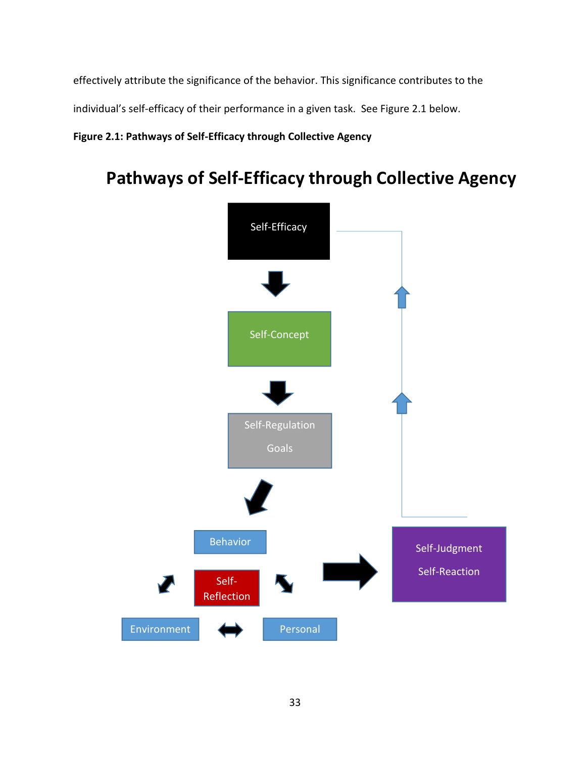effectively attribute the significance of the behavior. This significance contributes to the

individual's self-efficacy of their performance in a given task. See Figure 2.1 below.

## **Figure 2.1: Pathways of Self-Efficacy through Collective Agency**

# **Pathways of Self-Efficacy through Collective Agency**

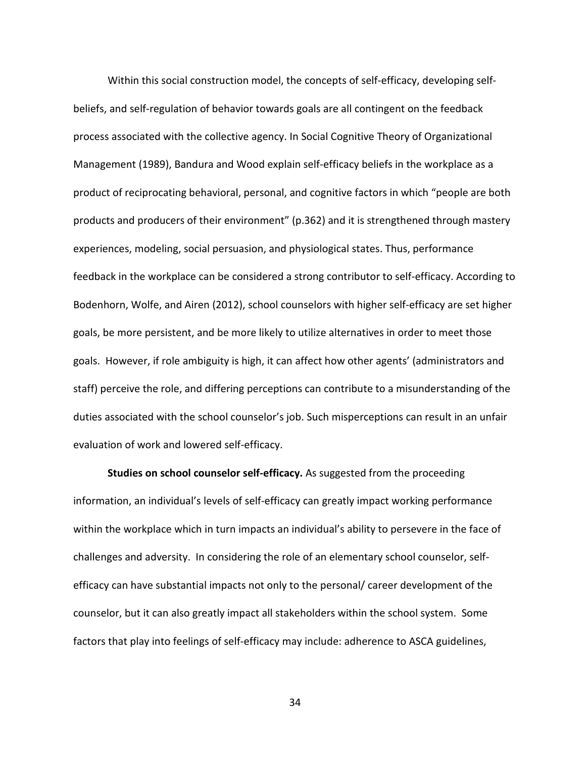Within this social construction model, the concepts of self-efficacy, developing selfbeliefs, and self-regulation of behavior towards goals are all contingent on the feedback process associated with the collective agency. In Social Cognitive Theory of Organizational Management (1989), Bandura and Wood explain self-efficacy beliefs in the workplace as a product of reciprocating behavioral, personal, and cognitive factors in which "people are both products and producers of their environment" (p.362) and it is strengthened through mastery experiences, modeling, social persuasion, and physiological states. Thus, performance feedback in the workplace can be considered a strong contributor to self-efficacy. According to Bodenhorn, Wolfe, and Airen (2012), school counselors with higher self-efficacy are set higher goals, be more persistent, and be more likely to utilize alternatives in order to meet those goals. However, if role ambiguity is high, it can affect how other agents' (administrators and staff) perceive the role, and differing perceptions can contribute to a misunderstanding of the duties associated with the school counselor's job. Such misperceptions can result in an unfair evaluation of work and lowered self-efficacy.

**Studies on school counselor self-efficacy.** As suggested from the proceeding information, an individual's levels of self-efficacy can greatly impact working performance within the workplace which in turn impacts an individual's ability to persevere in the face of challenges and adversity. In considering the role of an elementary school counselor, selfefficacy can have substantial impacts not only to the personal/ career development of the counselor, but it can also greatly impact all stakeholders within the school system. Some factors that play into feelings of self-efficacy may include: adherence to ASCA guidelines,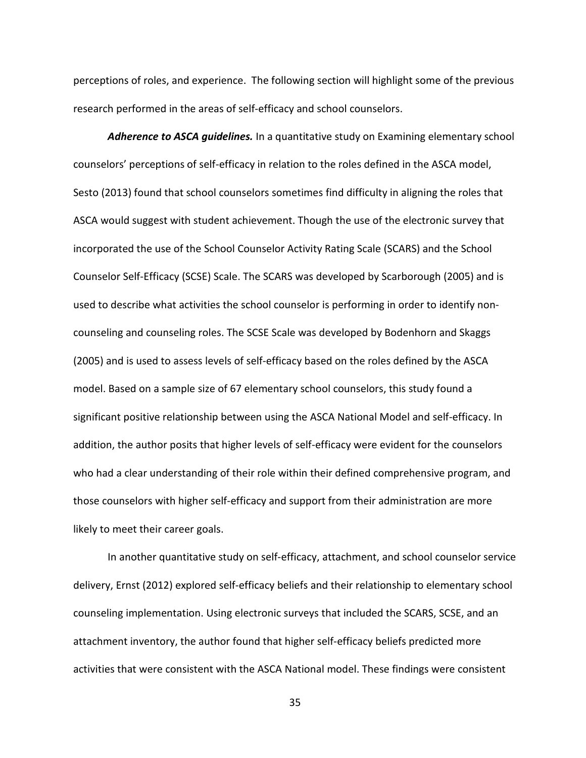perceptions of roles, and experience. The following section will highlight some of the previous research performed in the areas of self-efficacy and school counselors.

*Adherence to ASCA guidelines.* In a quantitative study on Examining elementary school counselors' perceptions of self-efficacy in relation to the roles defined in the ASCA model, Sesto (2013) found that school counselors sometimes find difficulty in aligning the roles that ASCA would suggest with student achievement. Though the use of the electronic survey that incorporated the use of the School Counselor Activity Rating Scale (SCARS) and the School Counselor Self-Efficacy (SCSE) Scale. The SCARS was developed by Scarborough (2005) and is used to describe what activities the school counselor is performing in order to identify noncounseling and counseling roles. The SCSE Scale was developed by Bodenhorn and Skaggs (2005) and is used to assess levels of self-efficacy based on the roles defined by the ASCA model. Based on a sample size of 67 elementary school counselors, this study found a significant positive relationship between using the ASCA National Model and self-efficacy. In addition, the author posits that higher levels of self-efficacy were evident for the counselors who had a clear understanding of their role within their defined comprehensive program, and those counselors with higher self-efficacy and support from their administration are more likely to meet their career goals.

In another quantitative study on self-efficacy, attachment, and school counselor service delivery, Ernst (2012) explored self-efficacy beliefs and their relationship to elementary school counseling implementation. Using electronic surveys that included the SCARS, SCSE, and an attachment inventory, the author found that higher self-efficacy beliefs predicted more activities that were consistent with the ASCA National model. These findings were consistent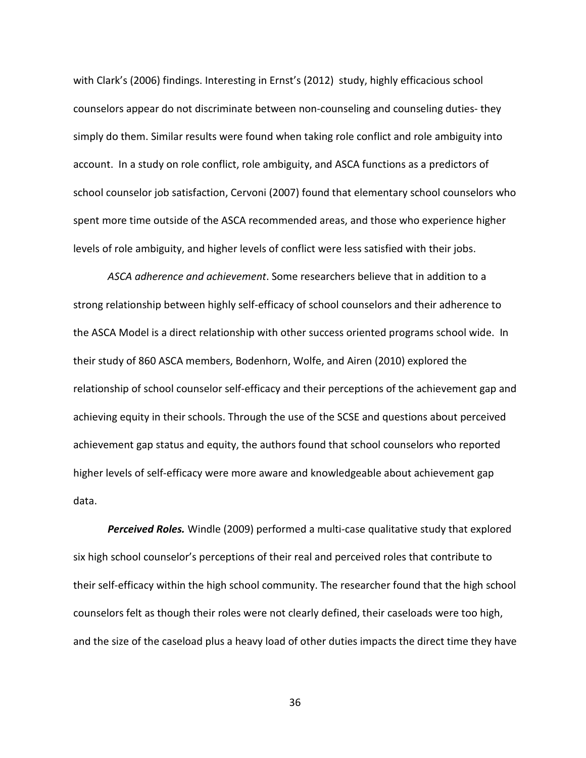with Clark's (2006) findings. Interesting in Ernst's (2012) study, highly efficacious school counselors appear do not discriminate between non-counseling and counseling duties- they simply do them. Similar results were found when taking role conflict and role ambiguity into account. In a study on role conflict, role ambiguity, and ASCA functions as a predictors of school counselor job satisfaction, Cervoni (2007) found that elementary school counselors who spent more time outside of the ASCA recommended areas, and those who experience higher levels of role ambiguity, and higher levels of conflict were less satisfied with their jobs.

*ASCA adherence and achievement*. Some researchers believe that in addition to a strong relationship between highly self-efficacy of school counselors and their adherence to the ASCA Model is a direct relationship with other success oriented programs school wide. In their study of 860 ASCA members, Bodenhorn, Wolfe, and Airen (2010) explored the relationship of school counselor self-efficacy and their perceptions of the achievement gap and achieving equity in their schools. Through the use of the SCSE and questions about perceived achievement gap status and equity, the authors found that school counselors who reported higher levels of self-efficacy were more aware and knowledgeable about achievement gap data.

*Perceived Roles.* Windle (2009) performed a multi-case qualitative study that explored six high school counselor's perceptions of their real and perceived roles that contribute to their self-efficacy within the high school community. The researcher found that the high school counselors felt as though their roles were not clearly defined, their caseloads were too high, and the size of the caseload plus a heavy load of other duties impacts the direct time they have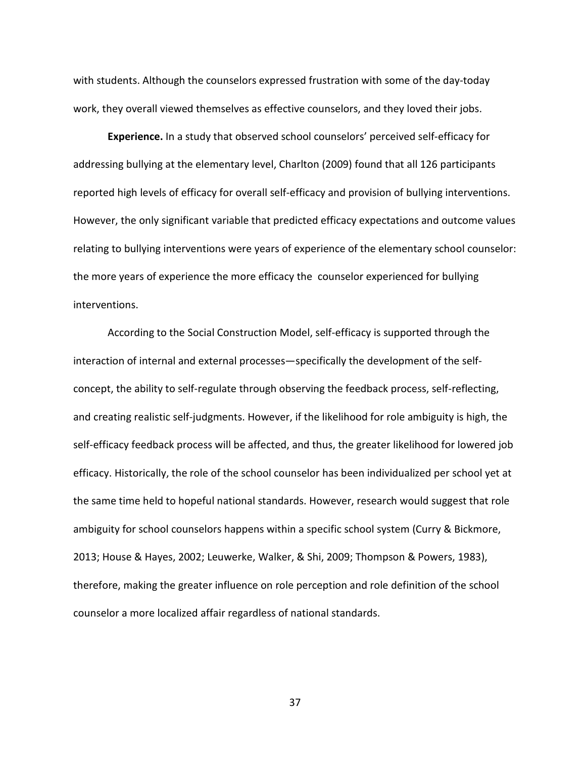with students. Although the counselors expressed frustration with some of the day-today work, they overall viewed themselves as effective counselors, and they loved their jobs.

**Experience.** In a study that observed school counselors' perceived self-efficacy for addressing bullying at the elementary level, Charlton (2009) found that all 126 participants reported high levels of efficacy for overall self-efficacy and provision of bullying interventions. However, the only significant variable that predicted efficacy expectations and outcome values relating to bullying interventions were years of experience of the elementary school counselor: the more years of experience the more efficacy the counselor experienced for bullying interventions.

According to the Social Construction Model, self-efficacy is supported through the interaction of internal and external processes—specifically the development of the selfconcept, the ability to self-regulate through observing the feedback process, self-reflecting, and creating realistic self-judgments. However, if the likelihood for role ambiguity is high, the self-efficacy feedback process will be affected, and thus, the greater likelihood for lowered job efficacy. Historically, the role of the school counselor has been individualized per school yet at the same time held to hopeful national standards. However, research would suggest that role ambiguity for school counselors happens within a specific school system (Curry & Bickmore, 2013; House & Hayes, 2002; Leuwerke, Walker, & Shi, 2009; Thompson & Powers, 1983), therefore, making the greater influence on role perception and role definition of the school counselor a more localized affair regardless of national standards.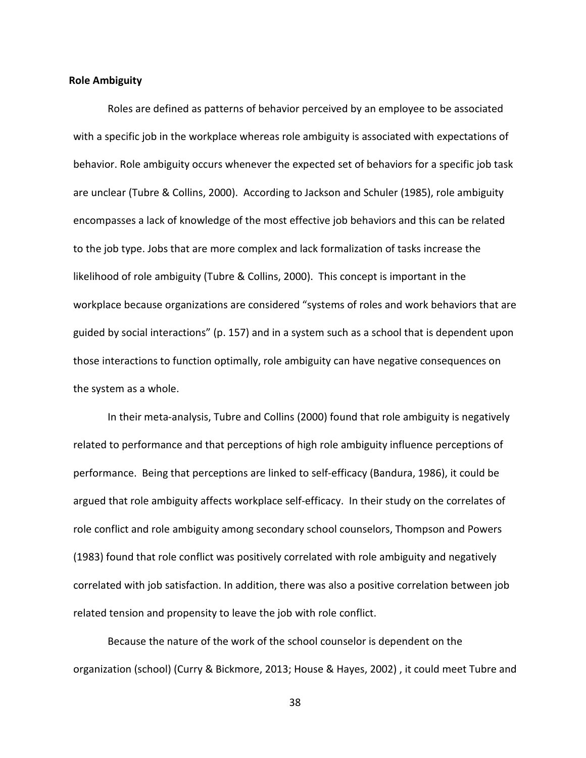#### **Role Ambiguity**

Roles are defined as patterns of behavior perceived by an employee to be associated with a specific job in the workplace whereas role ambiguity is associated with expectations of behavior. Role ambiguity occurs whenever the expected set of behaviors for a specific job task are unclear (Tubre & Collins, 2000). According to Jackson and Schuler (1985), role ambiguity encompasses a lack of knowledge of the most effective job behaviors and this can be related to the job type. Jobs that are more complex and lack formalization of tasks increase the likelihood of role ambiguity (Tubre & Collins, 2000). This concept is important in the workplace because organizations are considered "systems of roles and work behaviors that are guided by social interactions" (p. 157) and in a system such as a school that is dependent upon those interactions to function optimally, role ambiguity can have negative consequences on the system as a whole.

In their meta-analysis, Tubre and Collins (2000) found that role ambiguity is negatively related to performance and that perceptions of high role ambiguity influence perceptions of performance. Being that perceptions are linked to self-efficacy (Bandura, 1986), it could be argued that role ambiguity affects workplace self-efficacy. In their study on the correlates of role conflict and role ambiguity among secondary school counselors, Thompson and Powers (1983) found that role conflict was positively correlated with role ambiguity and negatively correlated with job satisfaction. In addition, there was also a positive correlation between job related tension and propensity to leave the job with role conflict.

Because the nature of the work of the school counselor is dependent on the organization (school) (Curry & Bickmore, 2013; House & Hayes, 2002) , it could meet Tubre and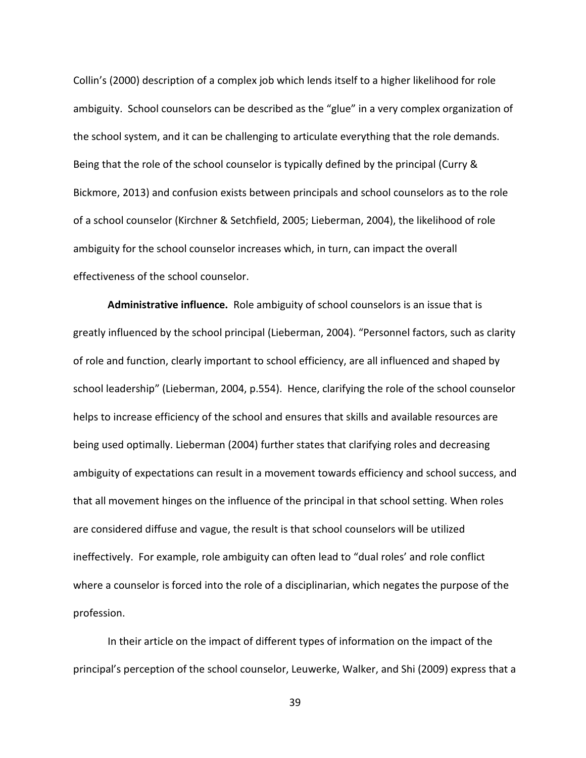Collin's (2000) description of a complex job which lends itself to a higher likelihood for role ambiguity. School counselors can be described as the "glue" in a very complex organization of the school system, and it can be challenging to articulate everything that the role demands. Being that the role of the school counselor is typically defined by the principal (Curry & Bickmore, 2013) and confusion exists between principals and school counselors as to the role of a school counselor (Kirchner & Setchfield, 2005; Lieberman, 2004), the likelihood of role ambiguity for the school counselor increases which, in turn, can impact the overall effectiveness of the school counselor.

**Administrative influence.** Role ambiguity of school counselors is an issue that is greatly influenced by the school principal (Lieberman, 2004). "Personnel factors, such as clarity of role and function, clearly important to school efficiency, are all influenced and shaped by school leadership" (Lieberman, 2004, p.554). Hence, clarifying the role of the school counselor helps to increase efficiency of the school and ensures that skills and available resources are being used optimally. Lieberman (2004) further states that clarifying roles and decreasing ambiguity of expectations can result in a movement towards efficiency and school success, and that all movement hinges on the influence of the principal in that school setting. When roles are considered diffuse and vague, the result is that school counselors will be utilized ineffectively. For example, role ambiguity can often lead to "dual roles' and role conflict where a counselor is forced into the role of a disciplinarian, which negates the purpose of the profession.

In their article on the impact of different types of information on the impact of the principal's perception of the school counselor, Leuwerke, Walker, and Shi (2009) express that a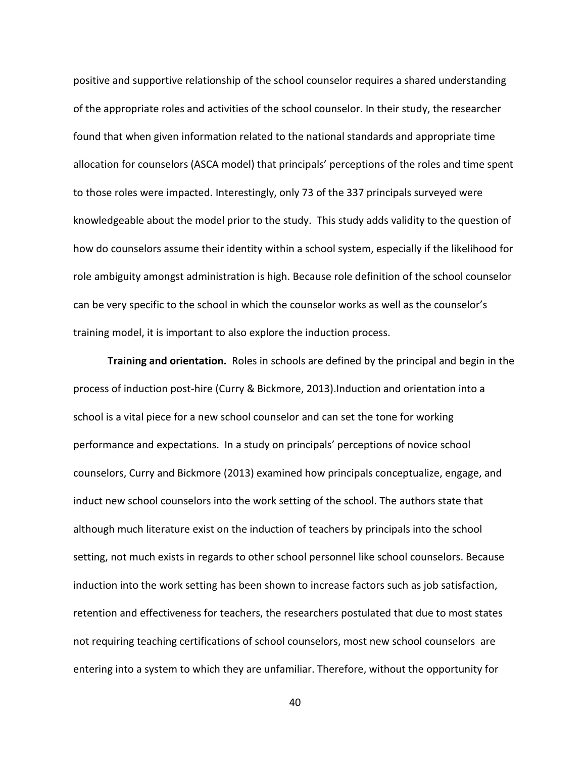positive and supportive relationship of the school counselor requires a shared understanding of the appropriate roles and activities of the school counselor. In their study, the researcher found that when given information related to the national standards and appropriate time allocation for counselors (ASCA model) that principals' perceptions of the roles and time spent to those roles were impacted. Interestingly, only 73 of the 337 principals surveyed were knowledgeable about the model prior to the study. This study adds validity to the question of how do counselors assume their identity within a school system, especially if the likelihood for role ambiguity amongst administration is high. Because role definition of the school counselor can be very specific to the school in which the counselor works as well as the counselor's training model, it is important to also explore the induction process.

**Training and orientation.** Roles in schools are defined by the principal and begin in the process of induction post-hire (Curry & Bickmore, 2013).Induction and orientation into a school is a vital piece for a new school counselor and can set the tone for working performance and expectations. In a study on principals' perceptions of novice school counselors, Curry and Bickmore (2013) examined how principals conceptualize, engage, and induct new school counselors into the work setting of the school. The authors state that although much literature exist on the induction of teachers by principals into the school setting, not much exists in regards to other school personnel like school counselors. Because induction into the work setting has been shown to increase factors such as job satisfaction, retention and effectiveness for teachers, the researchers postulated that due to most states not requiring teaching certifications of school counselors, most new school counselors are entering into a system to which they are unfamiliar. Therefore, without the opportunity for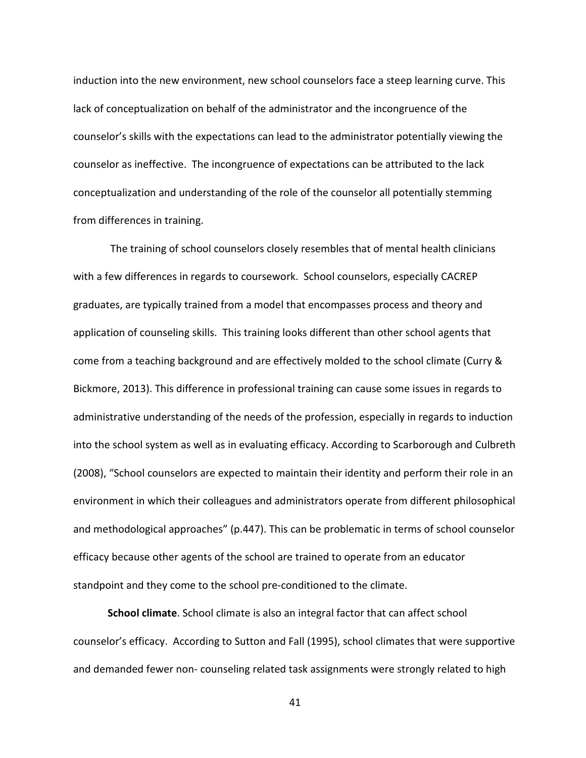induction into the new environment, new school counselors face a steep learning curve. This lack of conceptualization on behalf of the administrator and the incongruence of the counselor's skills with the expectations can lead to the administrator potentially viewing the counselor as ineffective. The incongruence of expectations can be attributed to the lack conceptualization and understanding of the role of the counselor all potentially stemming from differences in training.

 The training of school counselors closely resembles that of mental health clinicians with a few differences in regards to coursework. School counselors, especially CACREP graduates, are typically trained from a model that encompasses process and theory and application of counseling skills. This training looks different than other school agents that come from a teaching background and are effectively molded to the school climate (Curry & Bickmore, 2013). This difference in professional training can cause some issues in regards to administrative understanding of the needs of the profession, especially in regards to induction into the school system as well as in evaluating efficacy. According to Scarborough and Culbreth (2008), "School counselors are expected to maintain their identity and perform their role in an environment in which their colleagues and administrators operate from different philosophical and methodological approaches" (p.447). This can be problematic in terms of school counselor efficacy because other agents of the school are trained to operate from an educator standpoint and they come to the school pre-conditioned to the climate.

**School climate**. School climate is also an integral factor that can affect school counselor's efficacy. According to Sutton and Fall (1995), school climates that were supportive and demanded fewer non- counseling related task assignments were strongly related to high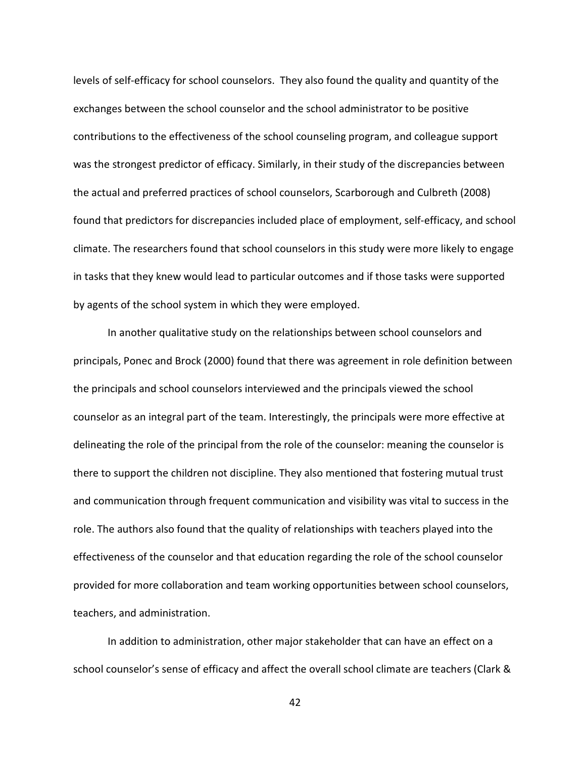levels of self-efficacy for school counselors. They also found the quality and quantity of the exchanges between the school counselor and the school administrator to be positive contributions to the effectiveness of the school counseling program, and colleague support was the strongest predictor of efficacy. Similarly, in their study of the discrepancies between the actual and preferred practices of school counselors, Scarborough and Culbreth (2008) found that predictors for discrepancies included place of employment, self-efficacy, and school climate. The researchers found that school counselors in this study were more likely to engage in tasks that they knew would lead to particular outcomes and if those tasks were supported by agents of the school system in which they were employed.

In another qualitative study on the relationships between school counselors and principals, Ponec and Brock (2000) found that there was agreement in role definition between the principals and school counselors interviewed and the principals viewed the school counselor as an integral part of the team. Interestingly, the principals were more effective at delineating the role of the principal from the role of the counselor: meaning the counselor is there to support the children not discipline. They also mentioned that fostering mutual trust and communication through frequent communication and visibility was vital to success in the role. The authors also found that the quality of relationships with teachers played into the effectiveness of the counselor and that education regarding the role of the school counselor provided for more collaboration and team working opportunities between school counselors, teachers, and administration.

In addition to administration, other major stakeholder that can have an effect on a school counselor's sense of efficacy and affect the overall school climate are teachers (Clark &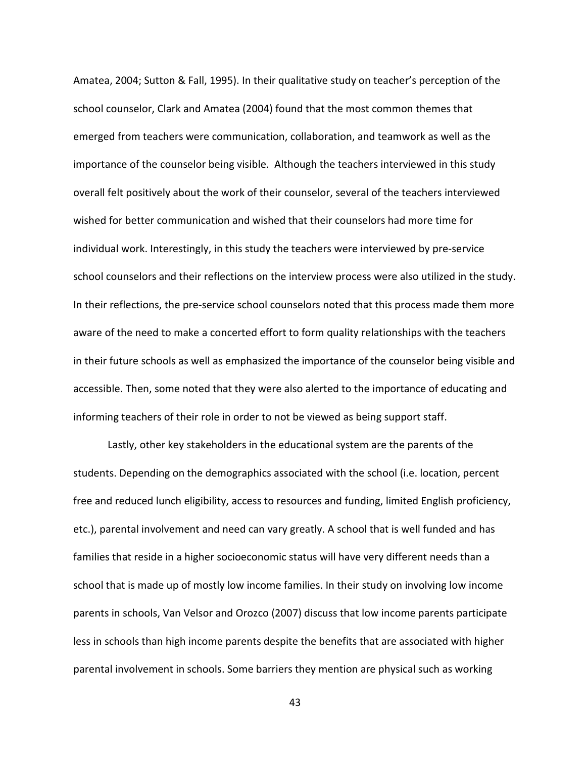Amatea, 2004; Sutton & Fall, 1995). In their qualitative study on teacher's perception of the school counselor, Clark and Amatea (2004) found that the most common themes that emerged from teachers were communication, collaboration, and teamwork as well as the importance of the counselor being visible. Although the teachers interviewed in this study overall felt positively about the work of their counselor, several of the teachers interviewed wished for better communication and wished that their counselors had more time for individual work. Interestingly, in this study the teachers were interviewed by pre-service school counselors and their reflections on the interview process were also utilized in the study. In their reflections, the pre-service school counselors noted that this process made them more aware of the need to make a concerted effort to form quality relationships with the teachers in their future schools as well as emphasized the importance of the counselor being visible and accessible. Then, some noted that they were also alerted to the importance of educating and informing teachers of their role in order to not be viewed as being support staff.

Lastly, other key stakeholders in the educational system are the parents of the students. Depending on the demographics associated with the school (i.e. location, percent free and reduced lunch eligibility, access to resources and funding, limited English proficiency, etc.), parental involvement and need can vary greatly. A school that is well funded and has families that reside in a higher socioeconomic status will have very different needs than a school that is made up of mostly low income families. In their study on involving low income parents in schools, Van Velsor and Orozco (2007) discuss that low income parents participate less in schools than high income parents despite the benefits that are associated with higher parental involvement in schools. Some barriers they mention are physical such as working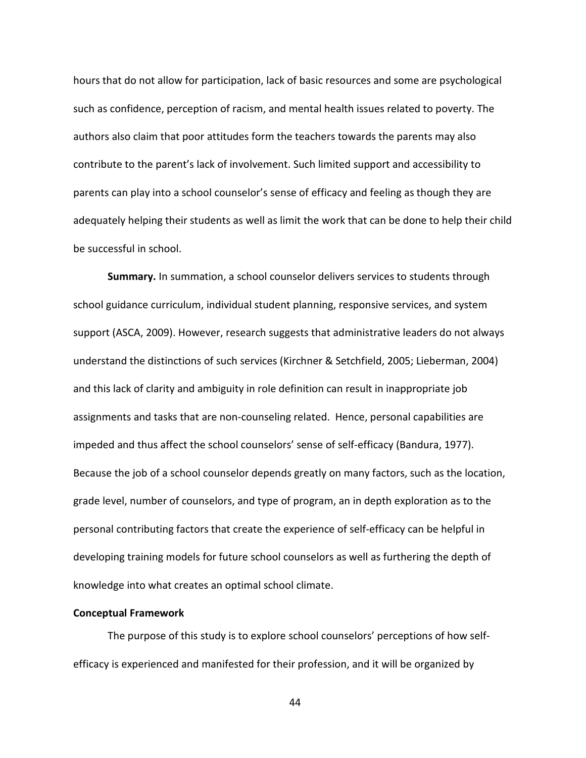hours that do not allow for participation, lack of basic resources and some are psychological such as confidence, perception of racism, and mental health issues related to poverty. The authors also claim that poor attitudes form the teachers towards the parents may also contribute to the parent's lack of involvement. Such limited support and accessibility to parents can play into a school counselor's sense of efficacy and feeling as though they are adequately helping their students as well as limit the work that can be done to help their child be successful in school.

**Summary.** In summation, a school counselor delivers services to students through school guidance curriculum, individual student planning, responsive services, and system support (ASCA, 2009). However, research suggests that administrative leaders do not always understand the distinctions of such services (Kirchner & Setchfield, 2005; Lieberman, 2004) and this lack of clarity and ambiguity in role definition can result in inappropriate job assignments and tasks that are non-counseling related. Hence, personal capabilities are impeded and thus affect the school counselors' sense of self-efficacy (Bandura, 1977). Because the job of a school counselor depends greatly on many factors, such as the location, grade level, number of counselors, and type of program, an in depth exploration as to the personal contributing factors that create the experience of self-efficacy can be helpful in developing training models for future school counselors as well as furthering the depth of knowledge into what creates an optimal school climate.

## **Conceptual Framework**

The purpose of this study is to explore school counselors' perceptions of how selfefficacy is experienced and manifested for their profession, and it will be organized by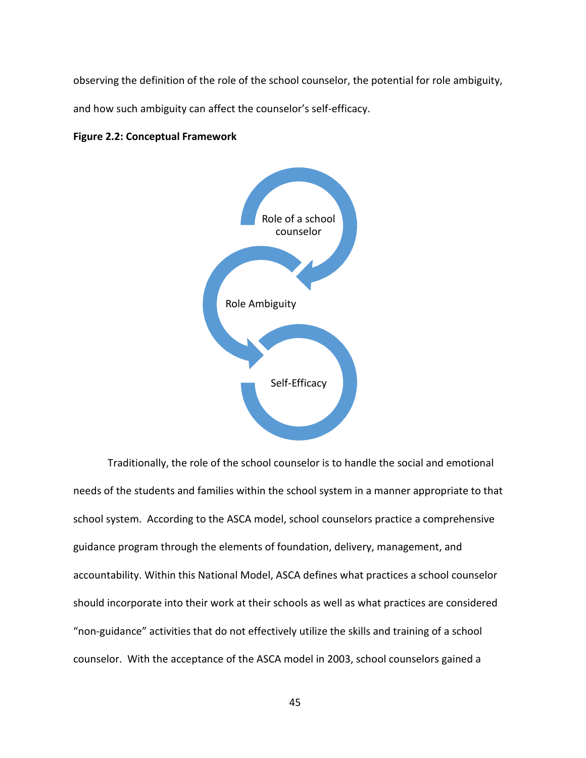observing the definition of the role of the school counselor, the potential for role ambiguity,

and how such ambiguity can affect the counselor's self-efficacy.

## **Figure 2.2: Conceptual Framework**



Traditionally, the role of the school counselor is to handle the social and emotional needs of the students and families within the school system in a manner appropriate to that school system. According to the ASCA model, school counselors practice a comprehensive guidance program through the elements of foundation, delivery, management, and accountability. Within this National Model, ASCA defines what practices a school counselor should incorporate into their work at their schools as well as what practices are considered "non-guidance" activities that do not effectively utilize the skills and training of a school counselor. With the acceptance of the ASCA model in 2003, school counselors gained a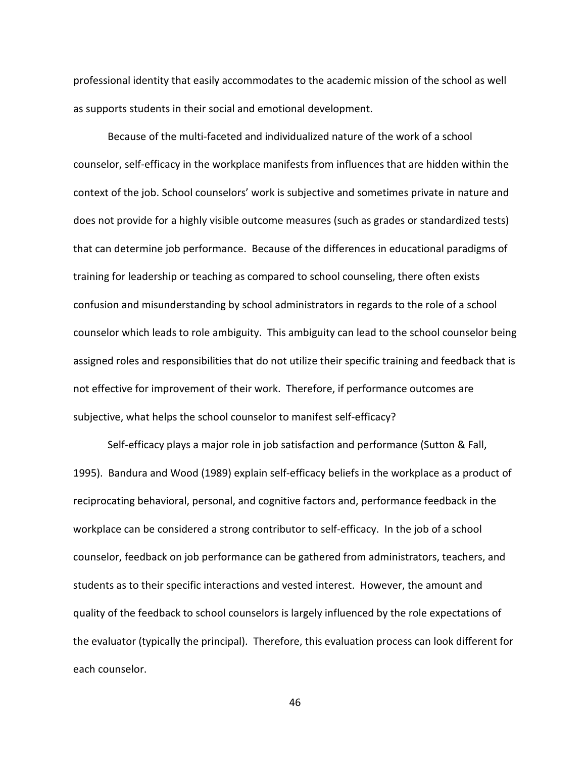professional identity that easily accommodates to the academic mission of the school as well as supports students in their social and emotional development.

Because of the multi-faceted and individualized nature of the work of a school counselor, self-efficacy in the workplace manifests from influences that are hidden within the context of the job. School counselors' work is subjective and sometimes private in nature and does not provide for a highly visible outcome measures (such as grades or standardized tests) that can determine job performance. Because of the differences in educational paradigms of training for leadership or teaching as compared to school counseling, there often exists confusion and misunderstanding by school administrators in regards to the role of a school counselor which leads to role ambiguity. This ambiguity can lead to the school counselor being assigned roles and responsibilities that do not utilize their specific training and feedback that is not effective for improvement of their work. Therefore, if performance outcomes are subjective, what helps the school counselor to manifest self-efficacy?

Self-efficacy plays a major role in job satisfaction and performance (Sutton & Fall, 1995). Bandura and Wood (1989) explain self-efficacy beliefs in the workplace as a product of reciprocating behavioral, personal, and cognitive factors and, performance feedback in the workplace can be considered a strong contributor to self-efficacy. In the job of a school counselor, feedback on job performance can be gathered from administrators, teachers, and students as to their specific interactions and vested interest. However, the amount and quality of the feedback to school counselors is largely influenced by the role expectations of the evaluator (typically the principal). Therefore, this evaluation process can look different for each counselor.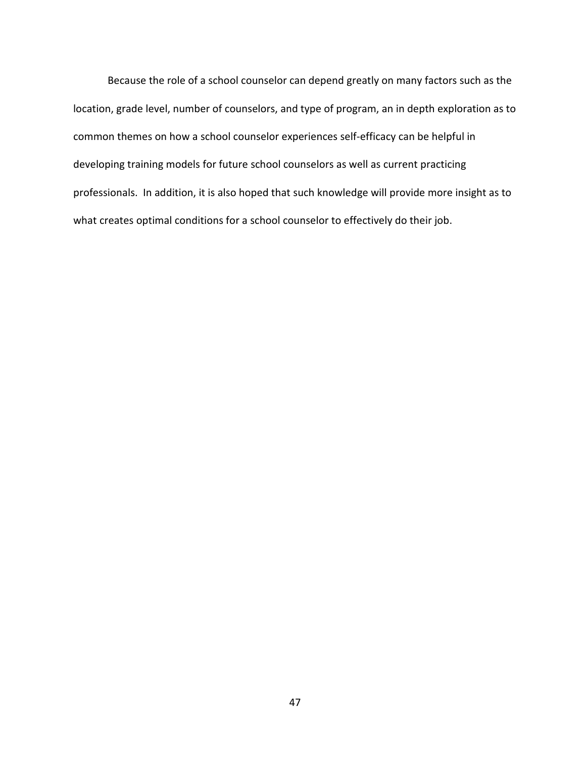Because the role of a school counselor can depend greatly on many factors such as the location, grade level, number of counselors, and type of program, an in depth exploration as to common themes on how a school counselor experiences self-efficacy can be helpful in developing training models for future school counselors as well as current practicing professionals. In addition, it is also hoped that such knowledge will provide more insight as to what creates optimal conditions for a school counselor to effectively do their job.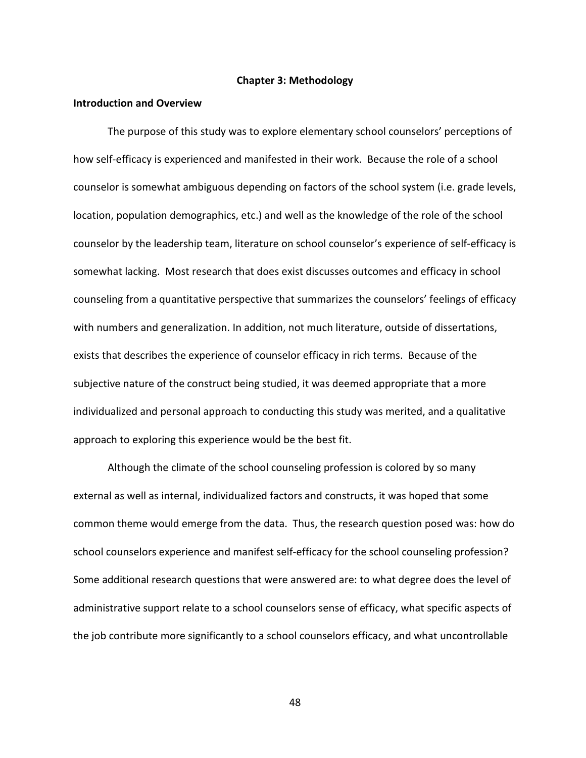#### **Chapter 3: Methodology**

## **Introduction and Overview**

The purpose of this study was to explore elementary school counselors' perceptions of how self-efficacy is experienced and manifested in their work. Because the role of a school counselor is somewhat ambiguous depending on factors of the school system (i.e. grade levels, location, population demographics, etc.) and well as the knowledge of the role of the school counselor by the leadership team, literature on school counselor's experience of self-efficacy is somewhat lacking. Most research that does exist discusses outcomes and efficacy in school counseling from a quantitative perspective that summarizes the counselors' feelings of efficacy with numbers and generalization. In addition, not much literature, outside of dissertations, exists that describes the experience of counselor efficacy in rich terms. Because of the subjective nature of the construct being studied, it was deemed appropriate that a more individualized and personal approach to conducting this study was merited, and a qualitative approach to exploring this experience would be the best fit.

Although the climate of the school counseling profession is colored by so many external as well as internal, individualized factors and constructs, it was hoped that some common theme would emerge from the data. Thus, the research question posed was: how do school counselors experience and manifest self-efficacy for the school counseling profession? Some additional research questions that were answered are: to what degree does the level of administrative support relate to a school counselors sense of efficacy, what specific aspects of the job contribute more significantly to a school counselors efficacy, and what uncontrollable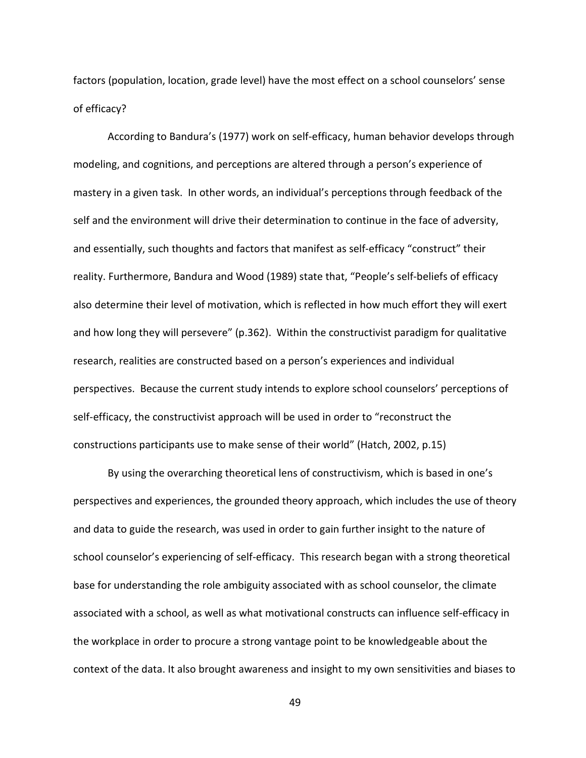factors (population, location, grade level) have the most effect on a school counselors' sense of efficacy?

 According to Bandura's (1977) work on self-efficacy, human behavior develops through modeling, and cognitions, and perceptions are altered through a person's experience of mastery in a given task. In other words, an individual's perceptions through feedback of the self and the environment will drive their determination to continue in the face of adversity, and essentially, such thoughts and factors that manifest as self-efficacy "construct" their reality. Furthermore, Bandura and Wood (1989) state that, "People's self-beliefs of efficacy also determine their level of motivation, which is reflected in how much effort they will exert and how long they will persevere" (p.362). Within the constructivist paradigm for qualitative research, realities are constructed based on a person's experiences and individual perspectives. Because the current study intends to explore school counselors' perceptions of self-efficacy, the constructivist approach will be used in order to "reconstruct the constructions participants use to make sense of their world" (Hatch, 2002, p.15)

 By using the overarching theoretical lens of constructivism, which is based in one's perspectives and experiences, the grounded theory approach, which includes the use of theory and data to guide the research, was used in order to gain further insight to the nature of school counselor's experiencing of self-efficacy. This research began with a strong theoretical base for understanding the role ambiguity associated with as school counselor, the climate associated with a school, as well as what motivational constructs can influence self-efficacy in the workplace in order to procure a strong vantage point to be knowledgeable about the context of the data. It also brought awareness and insight to my own sensitivities and biases to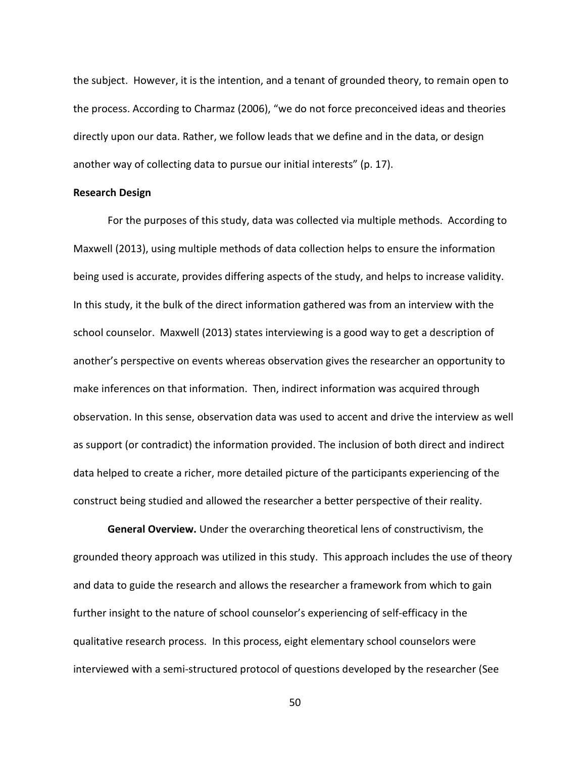the subject. However, it is the intention, and a tenant of grounded theory, to remain open to the process. According to Charmaz (2006), "we do not force preconceived ideas and theories directly upon our data. Rather, we follow leads that we define and in the data, or design another way of collecting data to pursue our initial interests" (p. 17).

#### **Research Design**

For the purposes of this study, data was collected via multiple methods. According to Maxwell (2013), using multiple methods of data collection helps to ensure the information being used is accurate, provides differing aspects of the study, and helps to increase validity. In this study, it the bulk of the direct information gathered was from an interview with the school counselor. Maxwell (2013) states interviewing is a good way to get a description of another's perspective on events whereas observation gives the researcher an opportunity to make inferences on that information. Then, indirect information was acquired through observation. In this sense, observation data was used to accent and drive the interview as well as support (or contradict) the information provided. The inclusion of both direct and indirect data helped to create a richer, more detailed picture of the participants experiencing of the construct being studied and allowed the researcher a better perspective of their reality.

**General Overview.** Under the overarching theoretical lens of constructivism, the grounded theory approach was utilized in this study. This approach includes the use of theory and data to guide the research and allows the researcher a framework from which to gain further insight to the nature of school counselor's experiencing of self-efficacy in the qualitative research process. In this process, eight elementary school counselors were interviewed with a semi-structured protocol of questions developed by the researcher (See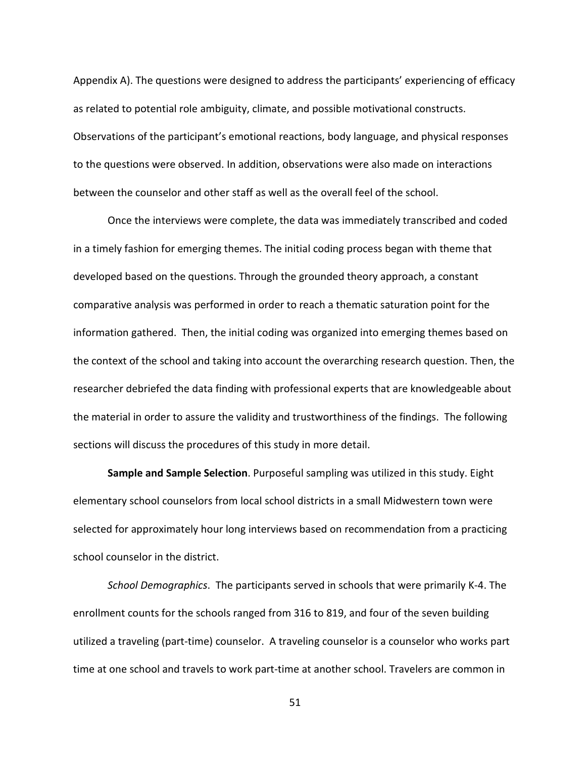Appendix A). The questions were designed to address the participants' experiencing of efficacy as related to potential role ambiguity, climate, and possible motivational constructs. Observations of the participant's emotional reactions, body language, and physical responses to the questions were observed. In addition, observations were also made on interactions between the counselor and other staff as well as the overall feel of the school.

Once the interviews were complete, the data was immediately transcribed and coded in a timely fashion for emerging themes. The initial coding process began with theme that developed based on the questions. Through the grounded theory approach, a constant comparative analysis was performed in order to reach a thematic saturation point for the information gathered. Then, the initial coding was organized into emerging themes based on the context of the school and taking into account the overarching research question. Then, the researcher debriefed the data finding with professional experts that are knowledgeable about the material in order to assure the validity and trustworthiness of the findings. The following sections will discuss the procedures of this study in more detail.

**Sample and Sample Selection**. Purposeful sampling was utilized in this study. Eight elementary school counselors from local school districts in a small Midwestern town were selected for approximately hour long interviews based on recommendation from a practicing school counselor in the district.

*School Demographics*. The participants served in schools that were primarily K-4. The enrollment counts for the schools ranged from 316 to 819, and four of the seven building utilized a traveling (part-time) counselor. A traveling counselor is a counselor who works part time at one school and travels to work part-time at another school. Travelers are common in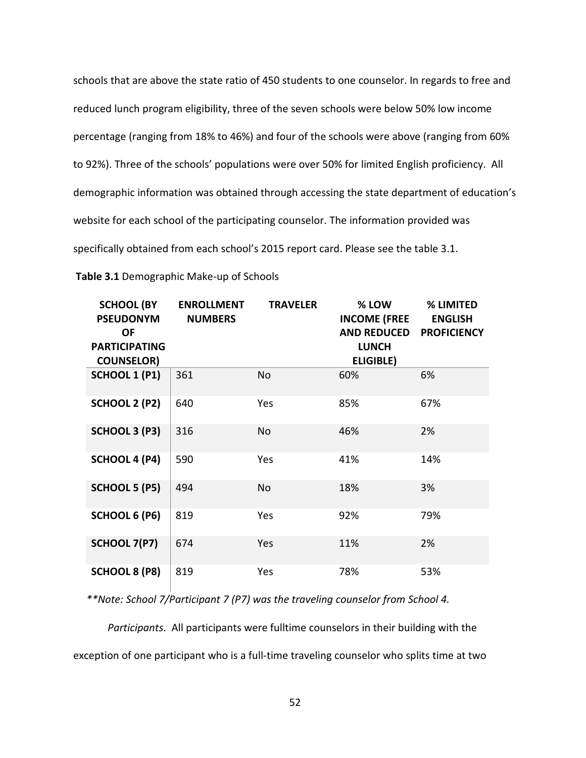schools that are above the state ratio of 450 students to one counselor. In regards to free and reduced lunch program eligibility, three of the seven schools were below 50% low income percentage (ranging from 18% to 46%) and four of the schools were above (ranging from 60% to 92%). Three of the schools' populations were over 50% for limited English proficiency. All demographic information was obtained through accessing the state department of education's website for each school of the participating counselor. The information provided was specifically obtained from each school's 2015 report card. Please see the table 3.1.

| <b>SCHOOL (BY</b><br><b>PSEUDONYM</b><br>ΟF | <b>ENROLLMENT</b><br><b>NUMBERS</b> | <b>TRAVELER</b> | % LOW<br><b>INCOME (FREE</b><br><b>AND REDUCED</b> | % LIMITED<br><b>ENGLISH</b><br><b>PROFICIENCY</b> |
|---------------------------------------------|-------------------------------------|-----------------|----------------------------------------------------|---------------------------------------------------|
| <b>PARTICIPATING</b>                        |                                     |                 | <b>LUNCH</b>                                       |                                                   |
| <b>COUNSELOR)</b>                           |                                     |                 | ELIGIBLE)                                          |                                                   |
| <b>SCHOOL 1 (P1)</b>                        | 361                                 | <b>No</b>       | 60%                                                | 6%                                                |
| <b>SCHOOL 2 (P2)</b>                        | 640                                 | Yes             | 85%                                                | 67%                                               |
| SCHOOL 3 (P3)                               | 316                                 | <b>No</b>       | 46%                                                | 2%                                                |
| SCHOOL 4 (P4)                               | 590                                 | Yes             | 41%                                                | 14%                                               |
| <b>SCHOOL 5 (P5)</b>                        | 494                                 | <b>No</b>       | 18%                                                | 3%                                                |
| <b>SCHOOL 6 (P6)</b>                        | 819                                 | Yes             | 92%                                                | 79%                                               |
| SCHOOL 7(P7)                                | 674                                 | Yes             | 11%                                                | 2%                                                |
| <b>SCHOOL 8 (P8)</b>                        | 819                                 | Yes             | 78%                                                | 53%                                               |

 **Table 3.1** Demographic Make-up of Schools

 *\*\*Note: School 7/Participant 7 (P7) was the traveling counselor from School 4.* 

*Participants*. All participants were fulltime counselors in their building with the exception of one participant who is a full-time traveling counselor who splits time at two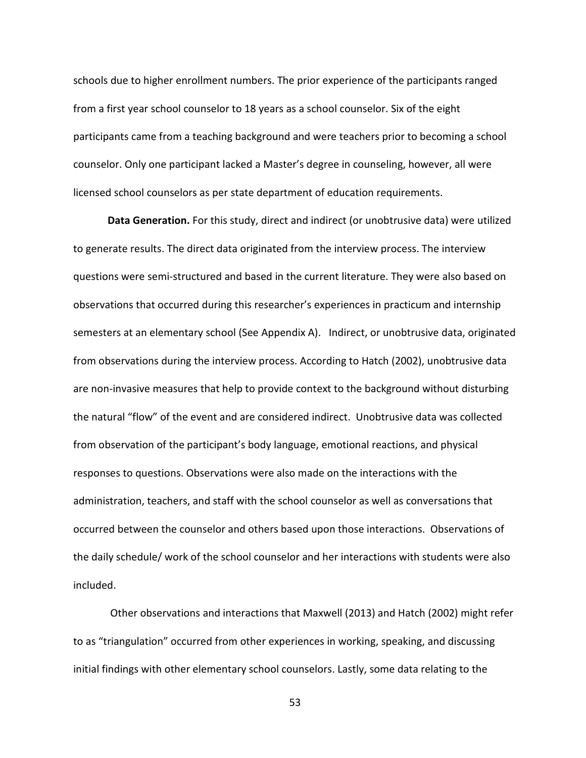schools due to higher enrollment numbers. The prior experience of the participants ranged from a first year school counselor to 18 years as a school counselor. Six of the eight participants came from a teaching background and were teachers prior to becoming a school counselor. Only one participant lacked a Master's degree in counseling, however, all were licensed school counselors as per state department of education requirements.

**Data Generation.** For this study, direct and indirect (or unobtrusive data) were utilized to generate results. The direct data originated from the interview process. The interview questions were semi-structured and based in the current literature. They were also based on observations that occurred during this researcher's experiences in practicum and internship semesters at an elementary school (See Appendix A). Indirect, or unobtrusive data, originated from observations during the interview process. According to Hatch (2002), unobtrusive data are non-invasive measures that help to provide context to the background without disturbing the natural "flow" of the event and are considered indirect. Unobtrusive data was collected from observation of the participant's body language, emotional reactions, and physical responses to questions. Observations were also made on the interactions with the administration, teachers, and staff with the school counselor as well as conversations that occurred between the counselor and others based upon those interactions. Observations of the daily schedule/ work of the school counselor and her interactions with students were also included.

 Other observations and interactions that Maxwell (2013) and Hatch (2002) might refer to as "triangulation" occurred from other experiences in working, speaking, and discussing initial findings with other elementary school counselors. Lastly, some data relating to the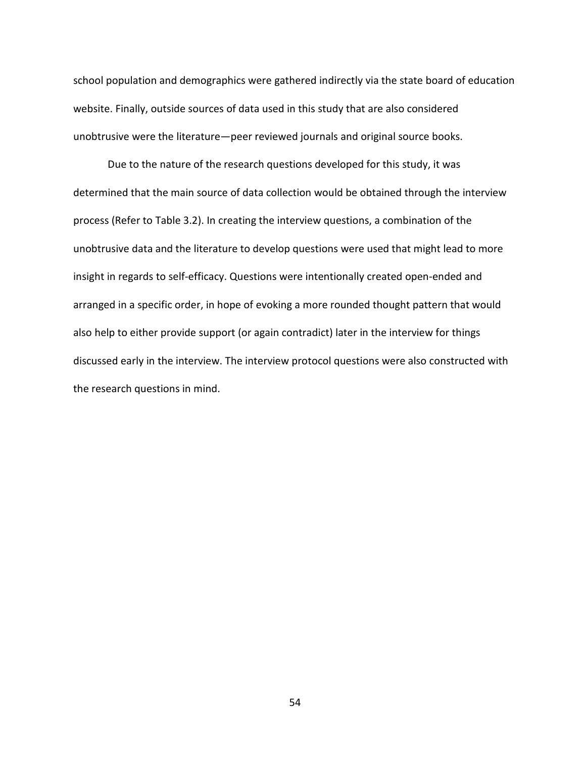school population and demographics were gathered indirectly via the state board of education website. Finally, outside sources of data used in this study that are also considered unobtrusive were the literature—peer reviewed journals and original source books.

Due to the nature of the research questions developed for this study, it was determined that the main source of data collection would be obtained through the interview process (Refer to Table 3.2). In creating the interview questions, a combination of the unobtrusive data and the literature to develop questions were used that might lead to more insight in regards to self-efficacy. Questions were intentionally created open-ended and arranged in a specific order, in hope of evoking a more rounded thought pattern that would also help to either provide support (or again contradict) later in the interview for things discussed early in the interview. The interview protocol questions were also constructed with the research questions in mind.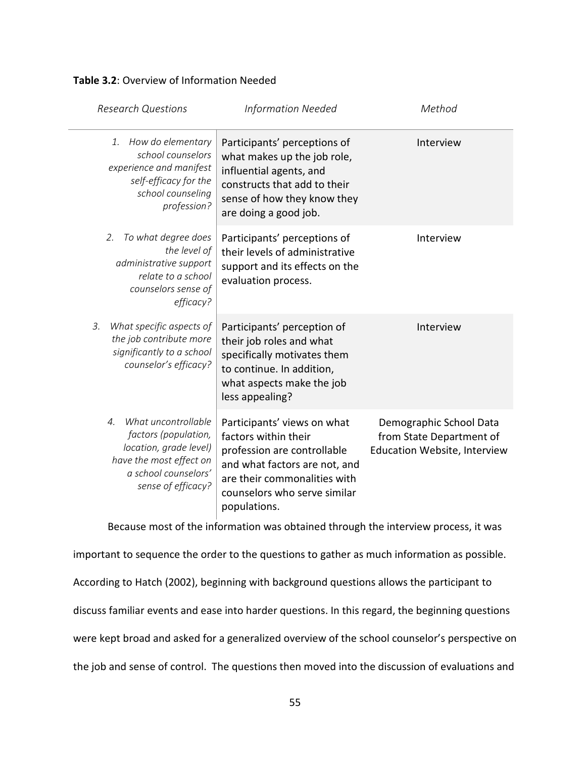## **Table 3.2**: Overview of Information Needed

| <b>Research Questions</b>                                                                                                                                               | <b>Information Needed</b>                                                                                                                                                                           | Method                                                                              |
|-------------------------------------------------------------------------------------------------------------------------------------------------------------------------|-----------------------------------------------------------------------------------------------------------------------------------------------------------------------------------------------------|-------------------------------------------------------------------------------------|
| How do elementary<br>1.<br>school counselors<br>experience and manifest<br>self-efficacy for the<br>school counseling<br>profession?                                    | Participants' perceptions of<br>what makes up the job role,<br>influential agents, and<br>constructs that add to their<br>sense of how they know they<br>are doing a good job.                      | Interview                                                                           |
| To what degree does<br>2.<br>the level of<br>administrative support<br>relate to a school<br>counselors sense of<br>efficacy?                                           | Participants' perceptions of<br>their levels of administrative<br>support and its effects on the<br>evaluation process.                                                                             | Interview                                                                           |
| 3.<br>What specific aspects of<br>the job contribute more<br>significantly to a school<br>counselor's efficacy?                                                         | Participants' perception of<br>their job roles and what<br>specifically motivates them<br>to continue. In addition,<br>what aspects make the job<br>less appealing?                                 | Interview                                                                           |
| What uncontrollable<br>$\mathcal{A}_{\cdot}$<br>factors (population,<br>location, grade level)<br>have the most effect on<br>a school counselors'<br>sense of efficacy? | Participants' views on what<br>factors within their<br>profession are controllable<br>and what factors are not, and<br>are their commonalities with<br>counselors who serve similar<br>populations. | Demographic School Data<br>from State Department of<br>Education Website, Interview |

Because most of the information was obtained through the interview process, it was

important to sequence the order to the questions to gather as much information as possible. According to Hatch (2002), beginning with background questions allows the participant to discuss familiar events and ease into harder questions. In this regard, the beginning questions were kept broad and asked for a generalized overview of the school counselor's perspective on the job and sense of control. The questions then moved into the discussion of evaluations and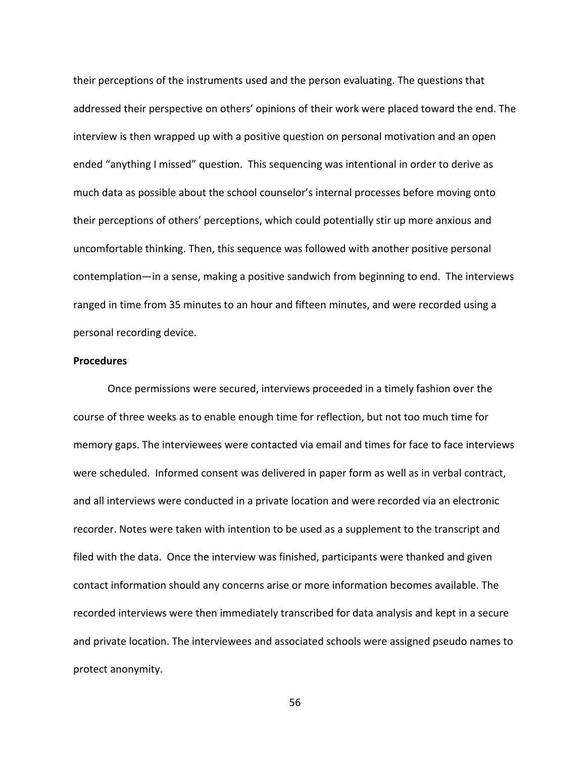their perceptions of the instruments used and the person evaluating. The questions that addressed their perspective on others' opinions of their work were placed toward the end. The interview is then wrapped up with a positive question on personal motivation and an open ended "anything I missed" question. This sequencing was intentional in order to derive as much data as possible about the school counselor's internal processes before moving onto their perceptions of others' perceptions, which could potentially stir up more anxious and uncomfortable thinking. Then, this sequence was followed with another positive personal contemplation—in a sense, making a positive sandwich from beginning to end. The interviews ranged in time from 35 minutes to an hour and fifteen minutes, and were recorded using a personal recording device.

#### **Procedures**

Once permissions were secured, interviews proceeded in a timely fashion over the course of three weeks as to enable enough time for reflection, but not too much time for memory gaps. The interviewees were contacted via email and times for face to face interviews were scheduled. Informed consent was delivered in paper form as well as in verbal contract, and all interviews were conducted in a private location and were recorded via an electronic recorder. Notes were taken with intention to be used as a supplement to the transcript and filed with the data. Once the interview was finished, participants were thanked and given contact information should any concerns arise or more information becomes available. The recorded interviews were then immediately transcribed for data analysis and kept in a secure and private location. The interviewees and associated schools were assigned pseudo names to protect anonymity.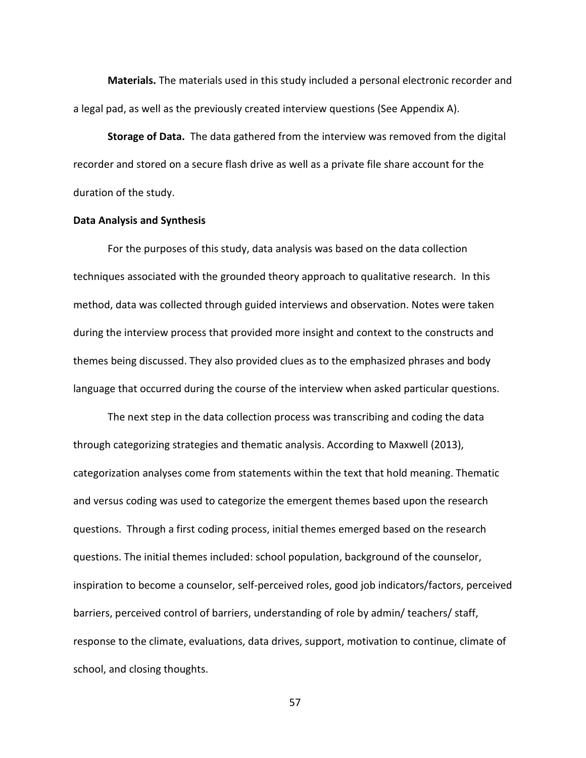**Materials.** The materials used in this study included a personal electronic recorder and a legal pad, as well as the previously created interview questions (See Appendix A).

**Storage of Data.** The data gathered from the interview was removed from the digital recorder and stored on a secure flash drive as well as a private file share account for the duration of the study.

## **Data Analysis and Synthesis**

For the purposes of this study, data analysis was based on the data collection techniques associated with the grounded theory approach to qualitative research. In this method, data was collected through guided interviews and observation. Notes were taken during the interview process that provided more insight and context to the constructs and themes being discussed. They also provided clues as to the emphasized phrases and body language that occurred during the course of the interview when asked particular questions.

 The next step in the data collection process was transcribing and coding the data through categorizing strategies and thematic analysis. According to Maxwell (2013), categorization analyses come from statements within the text that hold meaning. Thematic and versus coding was used to categorize the emergent themes based upon the research questions. Through a first coding process, initial themes emerged based on the research questions. The initial themes included: school population, background of the counselor, inspiration to become a counselor, self-perceived roles, good job indicators/factors, perceived barriers, perceived control of barriers, understanding of role by admin/ teachers/ staff, response to the climate, evaluations, data drives, support, motivation to continue, climate of school, and closing thoughts.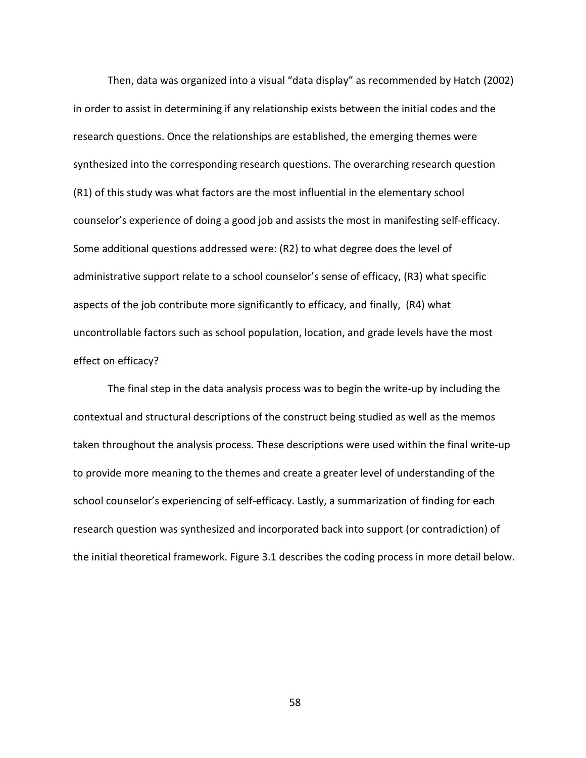Then, data was organized into a visual "data display" as recommended by Hatch (2002) in order to assist in determining if any relationship exists between the initial codes and the research questions. Once the relationships are established, the emerging themes were synthesized into the corresponding research questions. The overarching research question (R1) of this study was what factors are the most influential in the elementary school counselor's experience of doing a good job and assists the most in manifesting self-efficacy. Some additional questions addressed were: (R2) to what degree does the level of administrative support relate to a school counselor's sense of efficacy, (R3) what specific aspects of the job contribute more significantly to efficacy, and finally, (R4) what uncontrollable factors such as school population, location, and grade levels have the most effect on efficacy?

 The final step in the data analysis process was to begin the write-up by including the contextual and structural descriptions of the construct being studied as well as the memos taken throughout the analysis process. These descriptions were used within the final write-up to provide more meaning to the themes and create a greater level of understanding of the school counselor's experiencing of self-efficacy. Lastly, a summarization of finding for each research question was synthesized and incorporated back into support (or contradiction) of the initial theoretical framework. Figure 3.1 describes the coding process in more detail below.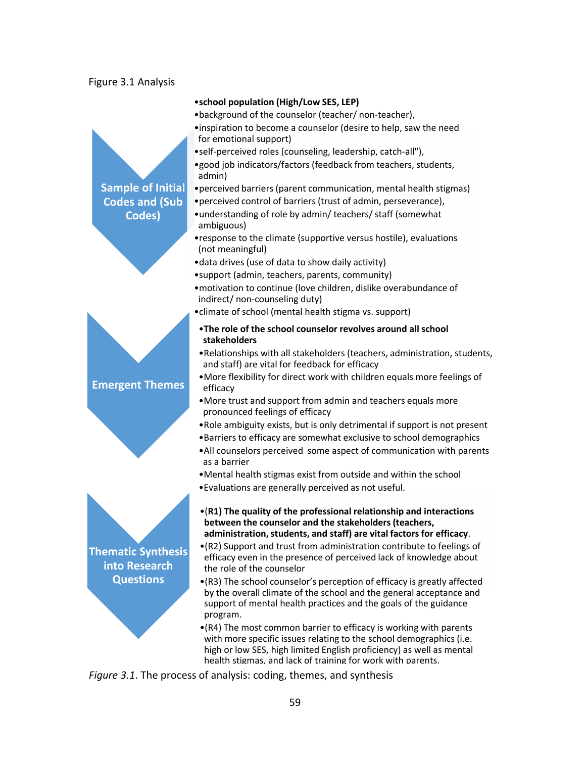## Figure 3.1 Analysis



*Figure 3.1*. The process of analysis: coding, themes, and synthesis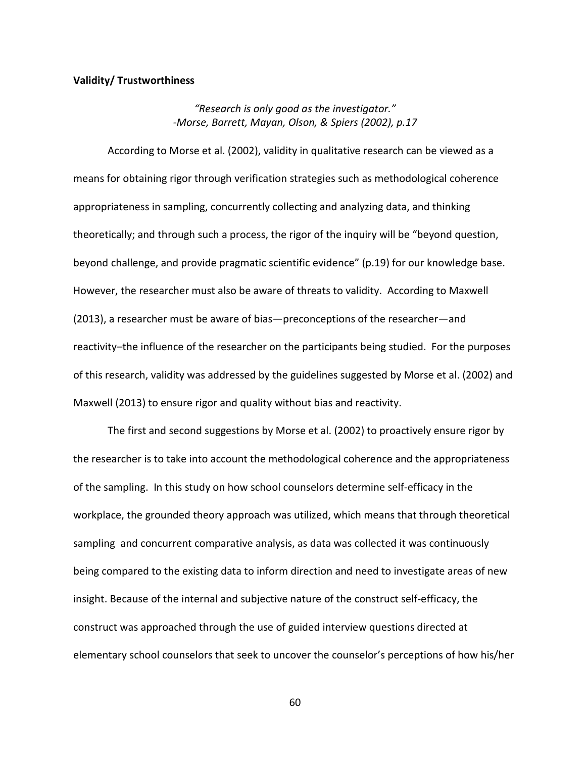## **Validity/ Trustworthiness**

*"Research is only good as the investigator." -Morse, Barrett, Mayan, Olson, & Spiers (2002), p.17* 

 According to Morse et al. (2002), validity in qualitative research can be viewed as a means for obtaining rigor through verification strategies such as methodological coherence appropriateness in sampling, concurrently collecting and analyzing data, and thinking theoretically; and through such a process, the rigor of the inquiry will be "beyond question, beyond challenge, and provide pragmatic scientific evidence" (p.19) for our knowledge base. However, the researcher must also be aware of threats to validity. According to Maxwell (2013), a researcher must be aware of bias—preconceptions of the researcher—and reactivity–the influence of the researcher on the participants being studied. For the purposes of this research, validity was addressed by the guidelines suggested by Morse et al. (2002) and Maxwell (2013) to ensure rigor and quality without bias and reactivity.

 The first and second suggestions by Morse et al. (2002) to proactively ensure rigor by the researcher is to take into account the methodological coherence and the appropriateness of the sampling. In this study on how school counselors determine self-efficacy in the workplace, the grounded theory approach was utilized, which means that through theoretical sampling and concurrent comparative analysis, as data was collected it was continuously being compared to the existing data to inform direction and need to investigate areas of new insight. Because of the internal and subjective nature of the construct self-efficacy, the construct was approached through the use of guided interview questions directed at elementary school counselors that seek to uncover the counselor's perceptions of how his/her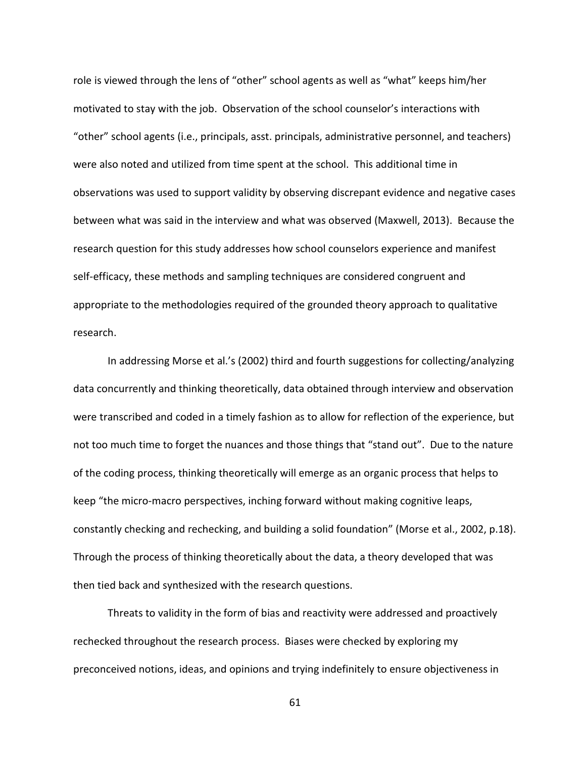role is viewed through the lens of "other" school agents as well as "what" keeps him/her motivated to stay with the job. Observation of the school counselor's interactions with "other" school agents (i.e., principals, asst. principals, administrative personnel, and teachers) were also noted and utilized from time spent at the school. This additional time in observations was used to support validity by observing discrepant evidence and negative cases between what was said in the interview and what was observed (Maxwell, 2013). Because the research question for this study addresses how school counselors experience and manifest self-efficacy, these methods and sampling techniques are considered congruent and appropriate to the methodologies required of the grounded theory approach to qualitative research.

 In addressing Morse et al.'s (2002) third and fourth suggestions for collecting/analyzing data concurrently and thinking theoretically, data obtained through interview and observation were transcribed and coded in a timely fashion as to allow for reflection of the experience, but not too much time to forget the nuances and those things that "stand out". Due to the nature of the coding process, thinking theoretically will emerge as an organic process that helps to keep "the micro-macro perspectives, inching forward without making cognitive leaps, constantly checking and rechecking, and building a solid foundation" (Morse et al., 2002, p.18). Through the process of thinking theoretically about the data, a theory developed that was then tied back and synthesized with the research questions.

 Threats to validity in the form of bias and reactivity were addressed and proactively rechecked throughout the research process. Biases were checked by exploring my preconceived notions, ideas, and opinions and trying indefinitely to ensure objectiveness in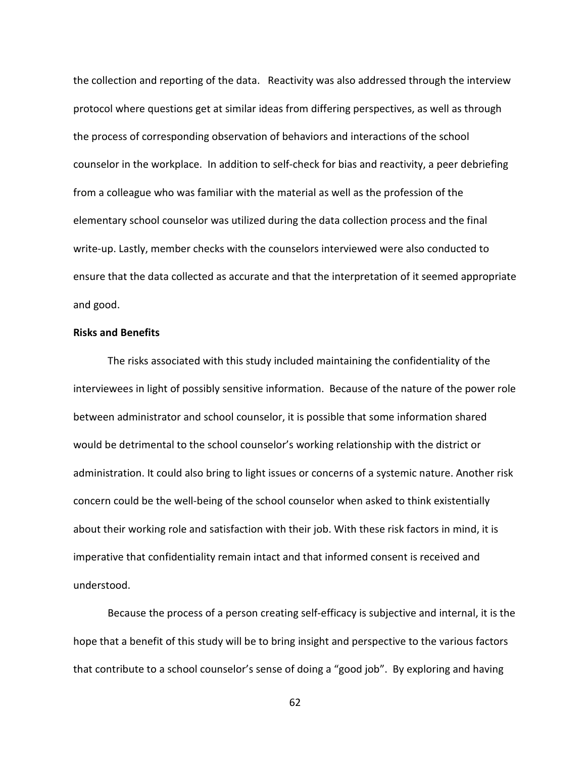the collection and reporting of the data. Reactivity was also addressed through the interview protocol where questions get at similar ideas from differing perspectives, as well as through the process of corresponding observation of behaviors and interactions of the school counselor in the workplace. In addition to self-check for bias and reactivity, a peer debriefing from a colleague who was familiar with the material as well as the profession of the elementary school counselor was utilized during the data collection process and the final write-up. Lastly, member checks with the counselors interviewed were also conducted to ensure that the data collected as accurate and that the interpretation of it seemed appropriate and good.

## **Risks and Benefits**

 The risks associated with this study included maintaining the confidentiality of the interviewees in light of possibly sensitive information. Because of the nature of the power role between administrator and school counselor, it is possible that some information shared would be detrimental to the school counselor's working relationship with the district or administration. It could also bring to light issues or concerns of a systemic nature. Another risk concern could be the well-being of the school counselor when asked to think existentially about their working role and satisfaction with their job. With these risk factors in mind, it is imperative that confidentiality remain intact and that informed consent is received and understood.

Because the process of a person creating self-efficacy is subjective and internal, it is the hope that a benefit of this study will be to bring insight and perspective to the various factors that contribute to a school counselor's sense of doing a "good job". By exploring and having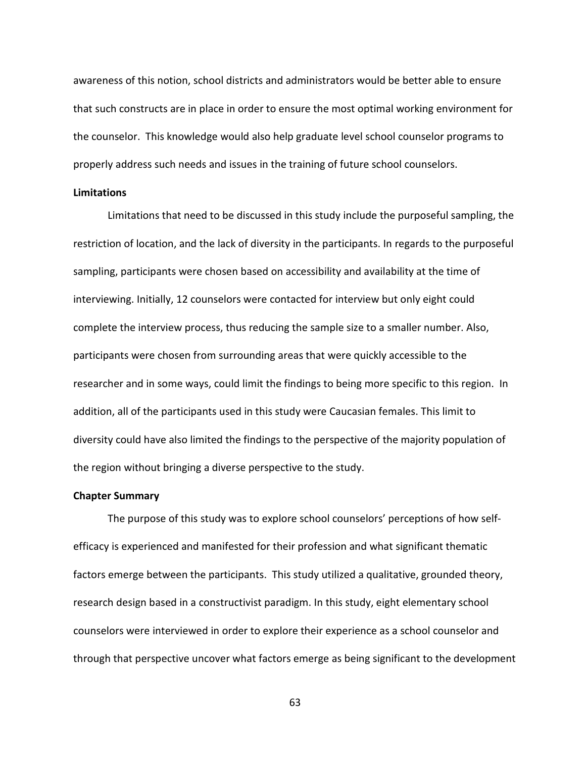awareness of this notion, school districts and administrators would be better able to ensure that such constructs are in place in order to ensure the most optimal working environment for the counselor. This knowledge would also help graduate level school counselor programs to properly address such needs and issues in the training of future school counselors.

### **Limitations**

 Limitations that need to be discussed in this study include the purposeful sampling, the restriction of location, and the lack of diversity in the participants. In regards to the purposeful sampling, participants were chosen based on accessibility and availability at the time of interviewing. Initially, 12 counselors were contacted for interview but only eight could complete the interview process, thus reducing the sample size to a smaller number. Also, participants were chosen from surrounding areas that were quickly accessible to the researcher and in some ways, could limit the findings to being more specific to this region. In addition, all of the participants used in this study were Caucasian females. This limit to diversity could have also limited the findings to the perspective of the majority population of the region without bringing a diverse perspective to the study.

### **Chapter Summary**

The purpose of this study was to explore school counselors' perceptions of how selfefficacy is experienced and manifested for their profession and what significant thematic factors emerge between the participants. This study utilized a qualitative, grounded theory, research design based in a constructivist paradigm. In this study, eight elementary school counselors were interviewed in order to explore their experience as a school counselor and through that perspective uncover what factors emerge as being significant to the development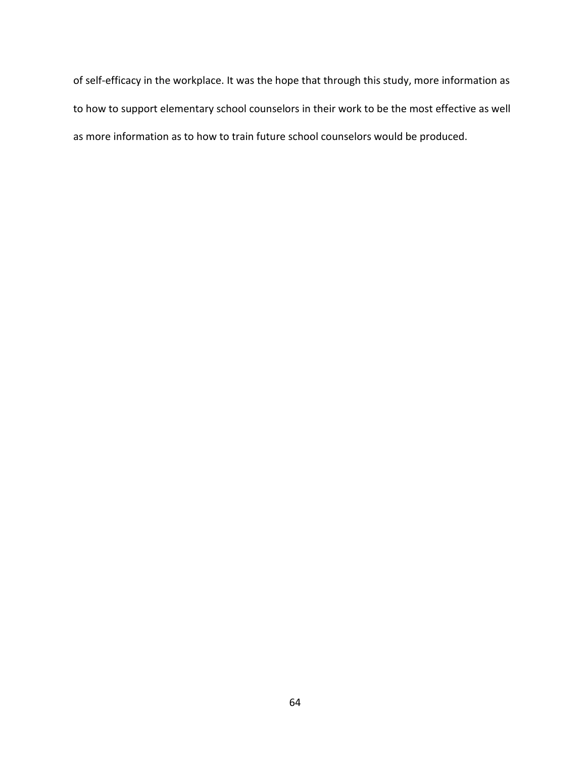of self-efficacy in the workplace. It was the hope that through this study, more information as to how to support elementary school counselors in their work to be the most effective as well as more information as to how to train future school counselors would be produced.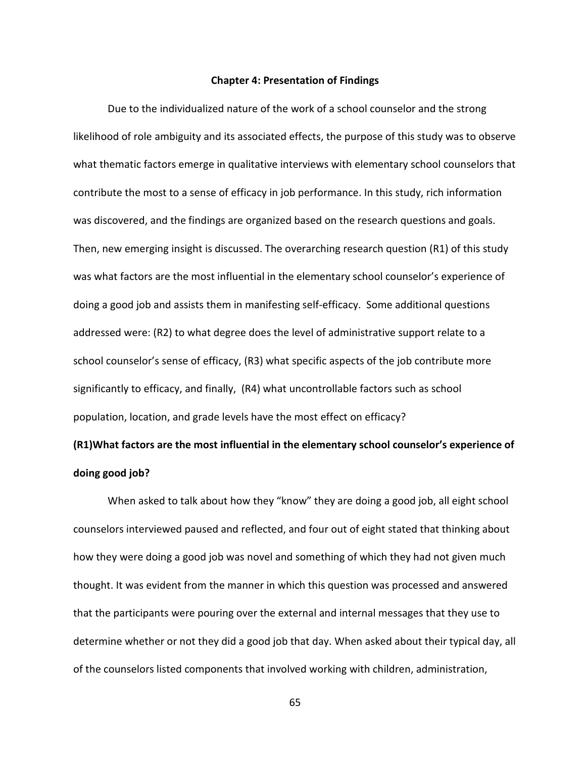#### **Chapter 4: Presentation of Findings**

Due to the individualized nature of the work of a school counselor and the strong likelihood of role ambiguity and its associated effects, the purpose of this study was to observe what thematic factors emerge in qualitative interviews with elementary school counselors that contribute the most to a sense of efficacy in job performance. In this study, rich information was discovered, and the findings are organized based on the research questions and goals. Then, new emerging insight is discussed. The overarching research question (R1) of this study was what factors are the most influential in the elementary school counselor's experience of doing a good job and assists them in manifesting self-efficacy. Some additional questions addressed were: (R2) to what degree does the level of administrative support relate to a school counselor's sense of efficacy, (R3) what specific aspects of the job contribute more significantly to efficacy, and finally, (R4) what uncontrollable factors such as school population, location, and grade levels have the most effect on efficacy?

# **(R1)What factors are the most influential in the elementary school counselor's experience of doing good job?**

When asked to talk about how they "know" they are doing a good job, all eight school counselors interviewed paused and reflected, and four out of eight stated that thinking about how they were doing a good job was novel and something of which they had not given much thought. It was evident from the manner in which this question was processed and answered that the participants were pouring over the external and internal messages that they use to determine whether or not they did a good job that day. When asked about their typical day, all of the counselors listed components that involved working with children, administration,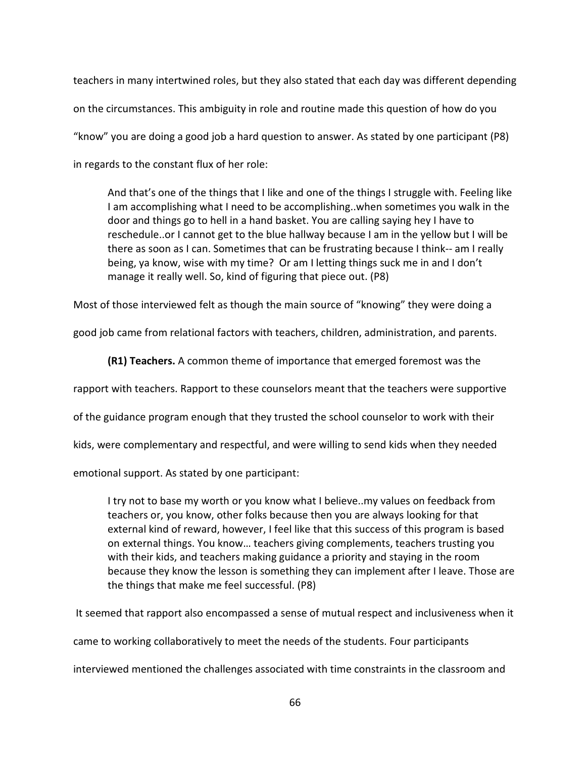teachers in many intertwined roles, but they also stated that each day was different depending on the circumstances. This ambiguity in role and routine made this question of how do you "know" you are doing a good job a hard question to answer. As stated by one participant (P8) in regards to the constant flux of her role:

And that's one of the things that I like and one of the things I struggle with. Feeling like I am accomplishing what I need to be accomplishing..when sometimes you walk in the door and things go to hell in a hand basket. You are calling saying hey I have to reschedule..or I cannot get to the blue hallway because I am in the yellow but I will be there as soon as I can. Sometimes that can be frustrating because I think-- am I really being, ya know, wise with my time? Or am I letting things suck me in and I don't manage it really well. So, kind of figuring that piece out. (P8)

Most of those interviewed felt as though the main source of "knowing" they were doing a

good job came from relational factors with teachers, children, administration, and parents.

**(R1) Teachers.** A common theme of importance that emerged foremost was the

rapport with teachers. Rapport to these counselors meant that the teachers were supportive

of the guidance program enough that they trusted the school counselor to work with their

kids, were complementary and respectful, and were willing to send kids when they needed

emotional support. As stated by one participant:

I try not to base my worth or you know what I believe..my values on feedback from teachers or, you know, other folks because then you are always looking for that external kind of reward, however, I feel like that this success of this program is based on external things. You know… teachers giving complements, teachers trusting you with their kids, and teachers making guidance a priority and staying in the room because they know the lesson is something they can implement after I leave. Those are the things that make me feel successful. (P8)

It seemed that rapport also encompassed a sense of mutual respect and inclusiveness when it

came to working collaboratively to meet the needs of the students. Four participants

interviewed mentioned the challenges associated with time constraints in the classroom and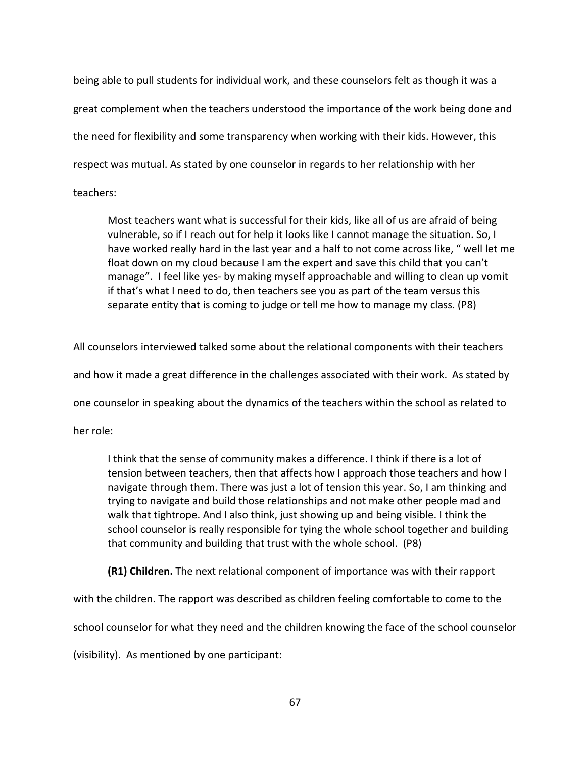being able to pull students for individual work, and these counselors felt as though it was a great complement when the teachers understood the importance of the work being done and the need for flexibility and some transparency when working with their kids. However, this respect was mutual. As stated by one counselor in regards to her relationship with her teachers:

Most teachers want what is successful for their kids, like all of us are afraid of being vulnerable, so if I reach out for help it looks like I cannot manage the situation. So, I have worked really hard in the last year and a half to not come across like, " well let me float down on my cloud because I am the expert and save this child that you can't manage". I feel like yes- by making myself approachable and willing to clean up vomit if that's what I need to do, then teachers see you as part of the team versus this separate entity that is coming to judge or tell me how to manage my class. (P8)

All counselors interviewed talked some about the relational components with their teachers and how it made a great difference in the challenges associated with their work. As stated by one counselor in speaking about the dynamics of the teachers within the school as related to

her role:

I think that the sense of community makes a difference. I think if there is a lot of tension between teachers, then that affects how I approach those teachers and how I navigate through them. There was just a lot of tension this year. So, I am thinking and trying to navigate and build those relationships and not make other people mad and walk that tightrope. And I also think, just showing up and being visible. I think the school counselor is really responsible for tying the whole school together and building that community and building that trust with the whole school. (P8)

**(R1) Children.** The next relational component of importance was with their rapport with the children. The rapport was described as children feeling comfortable to come to the school counselor for what they need and the children knowing the face of the school counselor (visibility). As mentioned by one participant: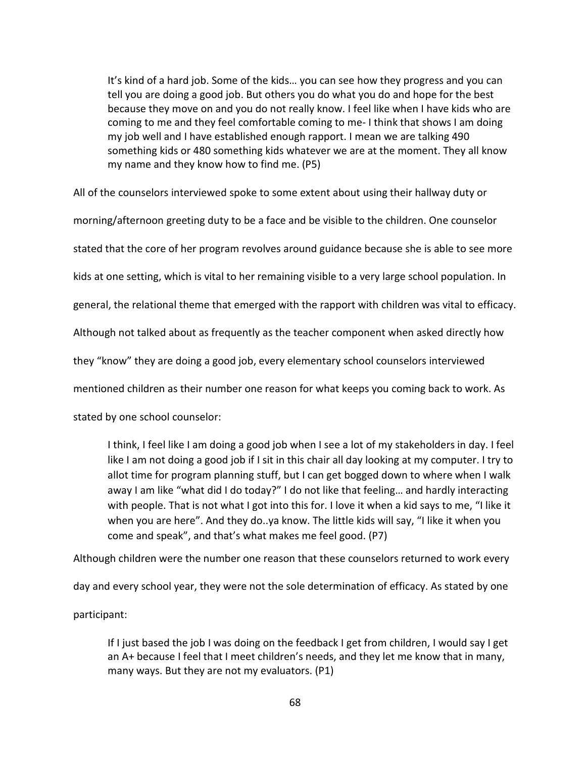It's kind of a hard job. Some of the kids… you can see how they progress and you can tell you are doing a good job. But others you do what you do and hope for the best because they move on and you do not really know. I feel like when I have kids who are coming to me and they feel comfortable coming to me- I think that shows I am doing my job well and I have established enough rapport. I mean we are talking 490 something kids or 480 something kids whatever we are at the moment. They all know my name and they know how to find me. (P5)

All of the counselors interviewed spoke to some extent about using their hallway duty or morning/afternoon greeting duty to be a face and be visible to the children. One counselor stated that the core of her program revolves around guidance because she is able to see more kids at one setting, which is vital to her remaining visible to a very large school population. In general, the relational theme that emerged with the rapport with children was vital to efficacy. Although not talked about as frequently as the teacher component when asked directly how they "know" they are doing a good job, every elementary school counselors interviewed mentioned children as their number one reason for what keeps you coming back to work. As stated by one school counselor:

I think, I feel like I am doing a good job when I see a lot of my stakeholders in day. I feel like I am not doing a good job if I sit in this chair all day looking at my computer. I try to allot time for program planning stuff, but I can get bogged down to where when I walk away I am like "what did I do today?" I do not like that feeling… and hardly interacting with people. That is not what I got into this for. I love it when a kid says to me, "I like it when you are here". And they do..ya know. The little kids will say, "I like it when you come and speak", and that's what makes me feel good. (P7)

Although children were the number one reason that these counselors returned to work every

day and every school year, they were not the sole determination of efficacy. As stated by one

participant:

If I just based the job I was doing on the feedback I get from children, I would say I get an A+ because I feel that I meet children's needs, and they let me know that in many, many ways. But they are not my evaluators. (P1)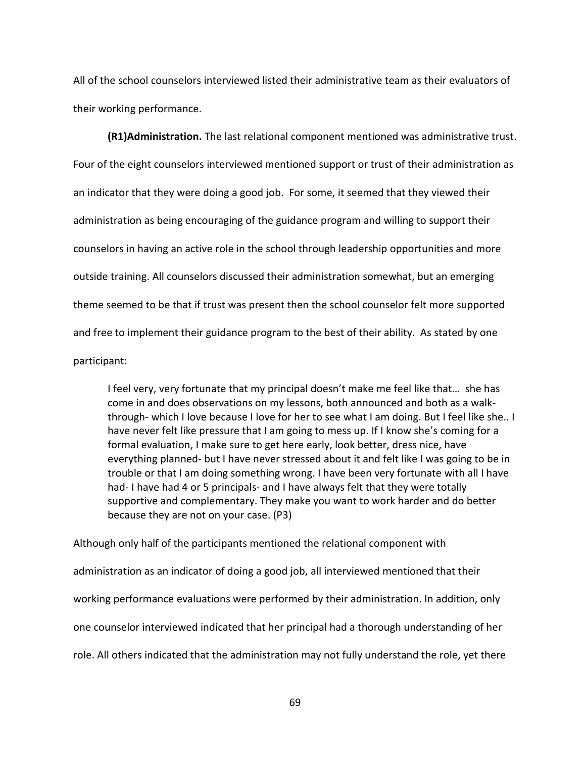All of the school counselors interviewed listed their administrative team as their evaluators of their working performance.

**(R1)Administration.** The last relational component mentioned was administrative trust. Four of the eight counselors interviewed mentioned support or trust of their administration as an indicator that they were doing a good job. For some, it seemed that they viewed their administration as being encouraging of the guidance program and willing to support their counselors in having an active role in the school through leadership opportunities and more outside training. All counselors discussed their administration somewhat, but an emerging theme seemed to be that if trust was present then the school counselor felt more supported and free to implement their guidance program to the best of their ability. As stated by one participant:

I feel very, very fortunate that my principal doesn't make me feel like that… she has come in and does observations on my lessons, both announced and both as a walkthrough- which I love because I love for her to see what I am doing. But I feel like she.. I have never felt like pressure that I am going to mess up. If I know she's coming for a formal evaluation, I make sure to get here early, look better, dress nice, have everything planned- but I have never stressed about it and felt like I was going to be in trouble or that I am doing something wrong. I have been very fortunate with all I have had- I have had 4 or 5 principals- and I have always felt that they were totally supportive and complementary. They make you want to work harder and do better because they are not on your case. (P3)

Although only half of the participants mentioned the relational component with administration as an indicator of doing a good job, all interviewed mentioned that their working performance evaluations were performed by their administration. In addition, only one counselor interviewed indicated that her principal had a thorough understanding of her role. All others indicated that the administration may not fully understand the role, yet there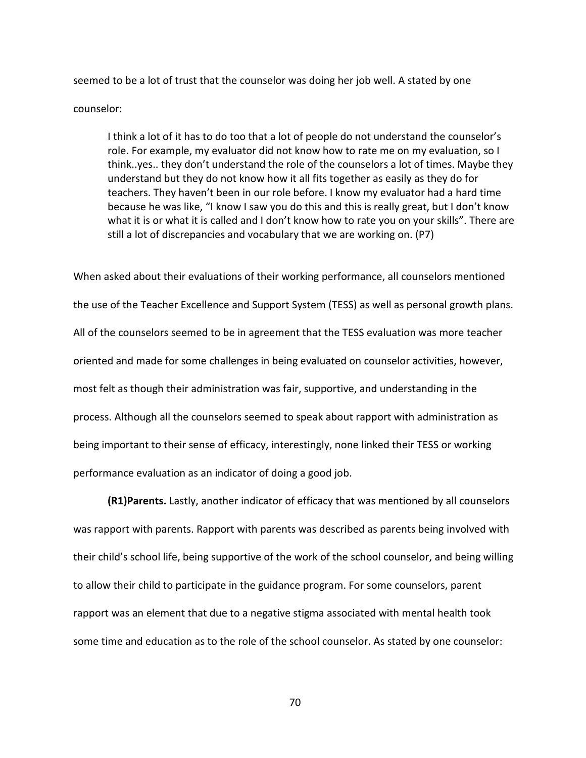seemed to be a lot of trust that the counselor was doing her job well. A stated by one

### counselor:

I think a lot of it has to do too that a lot of people do not understand the counselor's role. For example, my evaluator did not know how to rate me on my evaluation, so I think..yes.. they don't understand the role of the counselors a lot of times. Maybe they understand but they do not know how it all fits together as easily as they do for teachers. They haven't been in our role before. I know my evaluator had a hard time because he was like, "I know I saw you do this and this is really great, but I don't know what it is or what it is called and I don't know how to rate you on your skills". There are still a lot of discrepancies and vocabulary that we are working on. (P7)

When asked about their evaluations of their working performance, all counselors mentioned the use of the Teacher Excellence and Support System (TESS) as well as personal growth plans. All of the counselors seemed to be in agreement that the TESS evaluation was more teacher oriented and made for some challenges in being evaluated on counselor activities, however, most felt as though their administration was fair, supportive, and understanding in the process. Although all the counselors seemed to speak about rapport with administration as being important to their sense of efficacy, interestingly, none linked their TESS or working performance evaluation as an indicator of doing a good job.

**(R1)Parents.** Lastly, another indicator of efficacy that was mentioned by all counselors was rapport with parents. Rapport with parents was described as parents being involved with their child's school life, being supportive of the work of the school counselor, and being willing to allow their child to participate in the guidance program. For some counselors, parent rapport was an element that due to a negative stigma associated with mental health took some time and education as to the role of the school counselor. As stated by one counselor: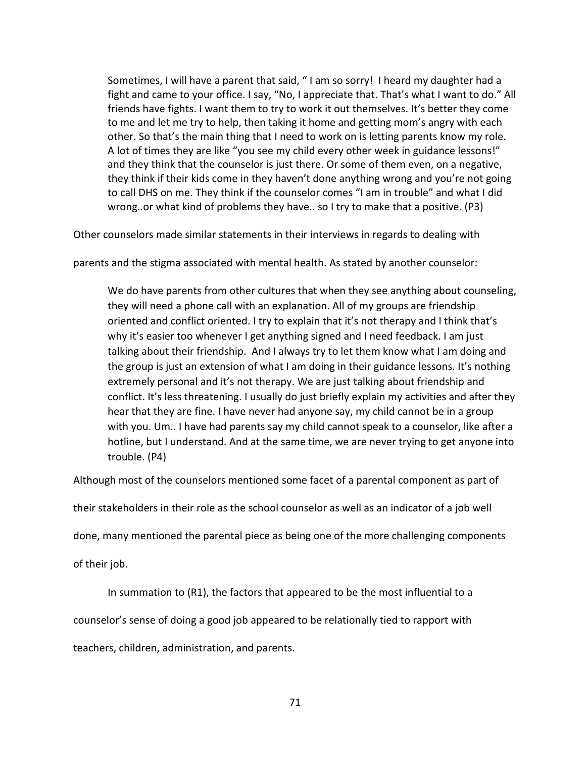Sometimes, I will have a parent that said, " I am so sorry! I heard my daughter had a fight and came to your office. I say, "No, I appreciate that. That's what I want to do." All friends have fights. I want them to try to work it out themselves. It's better they come to me and let me try to help, then taking it home and getting mom's angry with each other. So that's the main thing that I need to work on is letting parents know my role. A lot of times they are like "you see my child every other week in guidance lessons!" and they think that the counselor is just there. Or some of them even, on a negative, they think if their kids come in they haven't done anything wrong and you're not going to call DHS on me. They think if the counselor comes "I am in trouble" and what I did wrong..or what kind of problems they have.. so I try to make that a positive. (P3)

Other counselors made similar statements in their interviews in regards to dealing with

parents and the stigma associated with mental health. As stated by another counselor:

We do have parents from other cultures that when they see anything about counseling, they will need a phone call with an explanation. All of my groups are friendship oriented and conflict oriented. I try to explain that it's not therapy and I think that's why it's easier too whenever I get anything signed and I need feedback. I am just talking about their friendship. And I always try to let them know what I am doing and the group is just an extension of what I am doing in their guidance lessons. It's nothing extremely personal and it's not therapy. We are just talking about friendship and conflict. It's less threatening. I usually do just briefly explain my activities and after they hear that they are fine. I have never had anyone say, my child cannot be in a group with you. Um.. I have had parents say my child cannot speak to a counselor, like after a hotline, but I understand. And at the same time, we are never trying to get anyone into trouble. (P4)

Although most of the counselors mentioned some facet of a parental component as part of

their stakeholders in their role as the school counselor as well as an indicator of a job well

done, many mentioned the parental piece as being one of the more challenging components

of their job.

In summation to (R1), the factors that appeared to be the most influential to a

counselor's sense of doing a good job appeared to be relationally tied to rapport with

teachers, children, administration, and parents.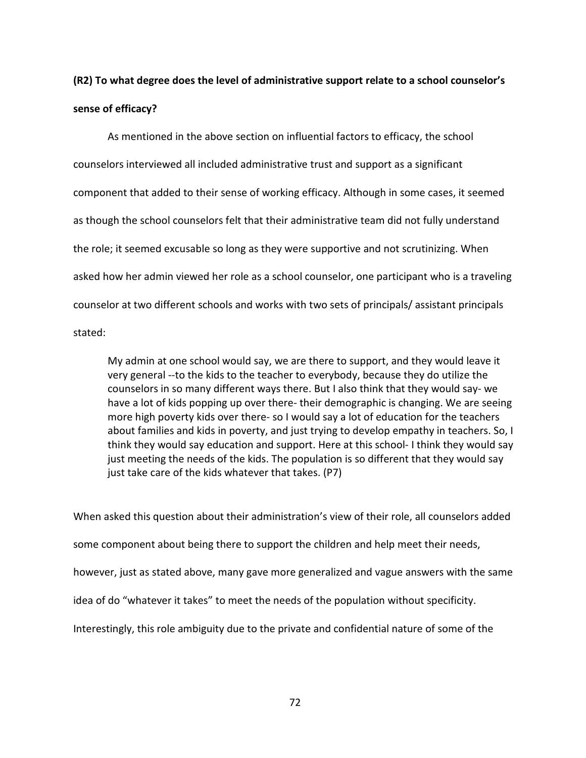# **(R2) To what degree does the level of administrative support relate to a school counselor's sense of efficacy?**

As mentioned in the above section on influential factors to efficacy, the school counselors interviewed all included administrative trust and support as a significant component that added to their sense of working efficacy. Although in some cases, it seemed as though the school counselors felt that their administrative team did not fully understand the role; it seemed excusable so long as they were supportive and not scrutinizing. When asked how her admin viewed her role as a school counselor, one participant who is a traveling counselor at two different schools and works with two sets of principals/ assistant principals

stated:

My admin at one school would say, we are there to support, and they would leave it very general --to the kids to the teacher to everybody, because they do utilize the counselors in so many different ways there. But I also think that they would say- we have a lot of kids popping up over there- their demographic is changing. We are seeing more high poverty kids over there- so I would say a lot of education for the teachers about families and kids in poverty, and just trying to develop empathy in teachers. So, I think they would say education and support. Here at this school- I think they would say just meeting the needs of the kids. The population is so different that they would say just take care of the kids whatever that takes. (P7)

When asked this question about their administration's view of their role, all counselors added some component about being there to support the children and help meet their needs, however, just as stated above, many gave more generalized and vague answers with the same idea of do "whatever it takes" to meet the needs of the population without specificity. Interestingly, this role ambiguity due to the private and confidential nature of some of the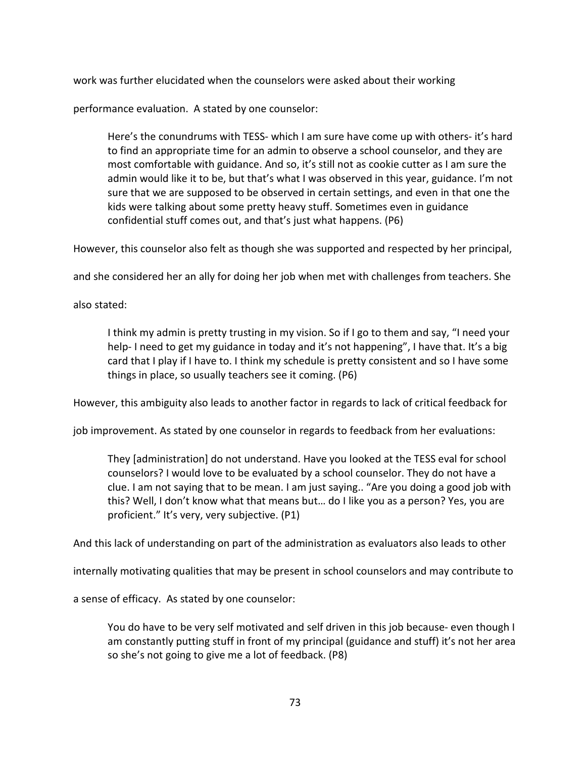work was further elucidated when the counselors were asked about their working

performance evaluation. A stated by one counselor:

Here's the conundrums with TESS- which I am sure have come up with others- it's hard to find an appropriate time for an admin to observe a school counselor, and they are most comfortable with guidance. And so, it's still not as cookie cutter as I am sure the admin would like it to be, but that's what I was observed in this year, guidance. I'm not sure that we are supposed to be observed in certain settings, and even in that one the kids were talking about some pretty heavy stuff. Sometimes even in guidance confidential stuff comes out, and that's just what happens. (P6)

However, this counselor also felt as though she was supported and respected by her principal,

and she considered her an ally for doing her job when met with challenges from teachers. She

also stated:

I think my admin is pretty trusting in my vision. So if I go to them and say, "I need your help- I need to get my guidance in today and it's not happening", I have that. It's a big card that I play if I have to. I think my schedule is pretty consistent and so I have some things in place, so usually teachers see it coming. (P6)

However, this ambiguity also leads to another factor in regards to lack of critical feedback for

job improvement. As stated by one counselor in regards to feedback from her evaluations:

They [administration] do not understand. Have you looked at the TESS eval for school counselors? I would love to be evaluated by a school counselor. They do not have a clue. I am not saying that to be mean. I am just saying.. "Are you doing a good job with this? Well, I don't know what that means but… do I like you as a person? Yes, you are proficient." It's very, very subjective. (P1)

And this lack of understanding on part of the administration as evaluators also leads to other

internally motivating qualities that may be present in school counselors and may contribute to

a sense of efficacy. As stated by one counselor:

You do have to be very self motivated and self driven in this job because- even though I am constantly putting stuff in front of my principal (guidance and stuff) it's not her area so she's not going to give me a lot of feedback. (P8)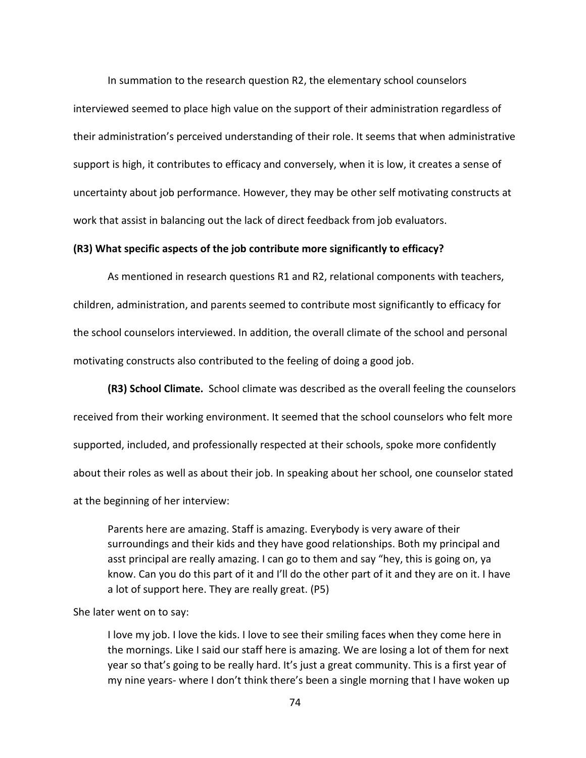In summation to the research question R2, the elementary school counselors interviewed seemed to place high value on the support of their administration regardless of their administration's perceived understanding of their role. It seems that when administrative support is high, it contributes to efficacy and conversely, when it is low, it creates a sense of uncertainty about job performance. However, they may be other self motivating constructs at work that assist in balancing out the lack of direct feedback from job evaluators.

### **(R3) What specific aspects of the job contribute more significantly to efficacy?**

As mentioned in research questions R1 and R2, relational components with teachers, children, administration, and parents seemed to contribute most significantly to efficacy for the school counselors interviewed. In addition, the overall climate of the school and personal motivating constructs also contributed to the feeling of doing a good job.

**(R3) School Climate.** School climate was described as the overall feeling the counselors received from their working environment. It seemed that the school counselors who felt more supported, included, and professionally respected at their schools, spoke more confidently about their roles as well as about their job. In speaking about her school, one counselor stated at the beginning of her interview:

Parents here are amazing. Staff is amazing. Everybody is very aware of their surroundings and their kids and they have good relationships. Both my principal and asst principal are really amazing. I can go to them and say "hey, this is going on, ya know. Can you do this part of it and I'll do the other part of it and they are on it. I have a lot of support here. They are really great. (P5)

### She later went on to say:

I love my job. I love the kids. I love to see their smiling faces when they come here in the mornings. Like I said our staff here is amazing. We are losing a lot of them for next year so that's going to be really hard. It's just a great community. This is a first year of my nine years- where I don't think there's been a single morning that I have woken up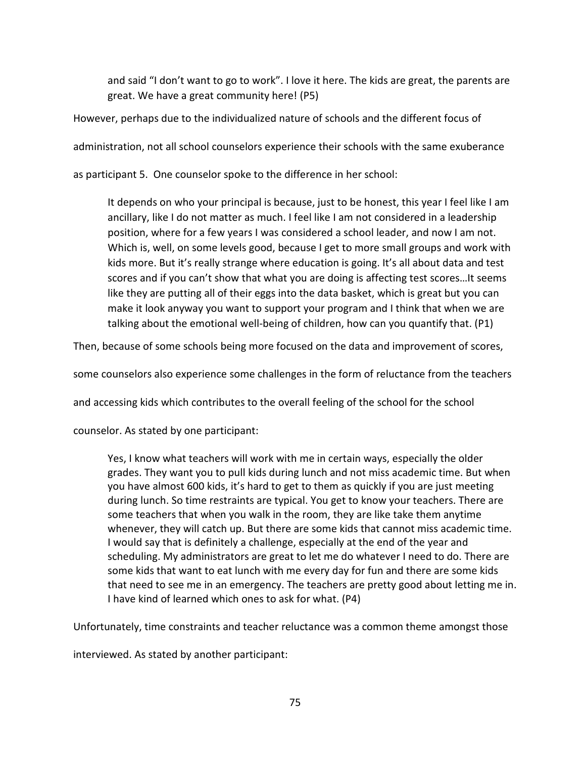and said "I don't want to go to work". I love it here. The kids are great, the parents are great. We have a great community here! (P5)

However, perhaps due to the individualized nature of schools and the different focus of

administration, not all school counselors experience their schools with the same exuberance

as participant 5. One counselor spoke to the difference in her school:

It depends on who your principal is because, just to be honest, this year I feel like I am ancillary, like I do not matter as much. I feel like I am not considered in a leadership position, where for a few years I was considered a school leader, and now I am not. Which is, well, on some levels good, because I get to more small groups and work with kids more. But it's really strange where education is going. It's all about data and test scores and if you can't show that what you are doing is affecting test scores…It seems like they are putting all of their eggs into the data basket, which is great but you can make it look anyway you want to support your program and I think that when we are talking about the emotional well-being of children, how can you quantify that. (P1)

Then, because of some schools being more focused on the data and improvement of scores,

some counselors also experience some challenges in the form of reluctance from the teachers

and accessing kids which contributes to the overall feeling of the school for the school

counselor. As stated by one participant:

Yes, I know what teachers will work with me in certain ways, especially the older grades. They want you to pull kids during lunch and not miss academic time. But when you have almost 600 kids, it's hard to get to them as quickly if you are just meeting during lunch. So time restraints are typical. You get to know your teachers. There are some teachers that when you walk in the room, they are like take them anytime whenever, they will catch up. But there are some kids that cannot miss academic time. I would say that is definitely a challenge, especially at the end of the year and scheduling. My administrators are great to let me do whatever I need to do. There are some kids that want to eat lunch with me every day for fun and there are some kids that need to see me in an emergency. The teachers are pretty good about letting me in. I have kind of learned which ones to ask for what. (P4)

Unfortunately, time constraints and teacher reluctance was a common theme amongst those

interviewed. As stated by another participant: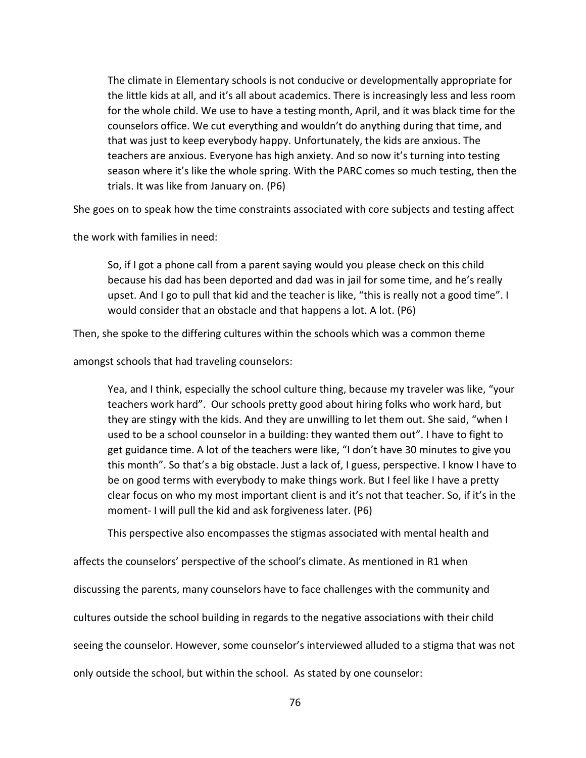The climate in Elementary schools is not conducive or developmentally appropriate for the little kids at all, and it's all about academics. There is increasingly less and less room for the whole child. We use to have a testing month, April, and it was black time for the counselors office. We cut everything and wouldn't do anything during that time, and that was just to keep everybody happy. Unfortunately, the kids are anxious. The teachers are anxious. Everyone has high anxiety. And so now it's turning into testing season where it's like the whole spring. With the PARC comes so much testing, then the trials. It was like from January on. (P6)

She goes on to speak how the time constraints associated with core subjects and testing affect

the work with families in need:

So, if I got a phone call from a parent saying would you please check on this child because his dad has been deported and dad was in jail for some time, and he's really upset. And I go to pull that kid and the teacher is like, "this is really not a good time". I would consider that an obstacle and that happens a lot. A lot. (P6)

Then, she spoke to the differing cultures within the schools which was a common theme

amongst schools that had traveling counselors:

Yea, and I think, especially the school culture thing, because my traveler was like, "your teachers work hard". Our schools pretty good about hiring folks who work hard, but they are stingy with the kids. And they are unwilling to let them out. She said, "when I used to be a school counselor in a building: they wanted them out". I have to fight to get guidance time. A lot of the teachers were like, "I don't have 30 minutes to give you this month". So that's a big obstacle. Just a lack of, I guess, perspective. I know I have to be on good terms with everybody to make things work. But I feel like I have a pretty clear focus on who my most important client is and it's not that teacher. So, if it's in the moment- I will pull the kid and ask forgiveness later. (P6)

This perspective also encompasses the stigmas associated with mental health and

affects the counselors' perspective of the school's climate. As mentioned in R1 when discussing the parents, many counselors have to face challenges with the community and cultures outside the school building in regards to the negative associations with their child seeing the counselor. However, some counselor's interviewed alluded to a stigma that was not only outside the school, but within the school. As stated by one counselor: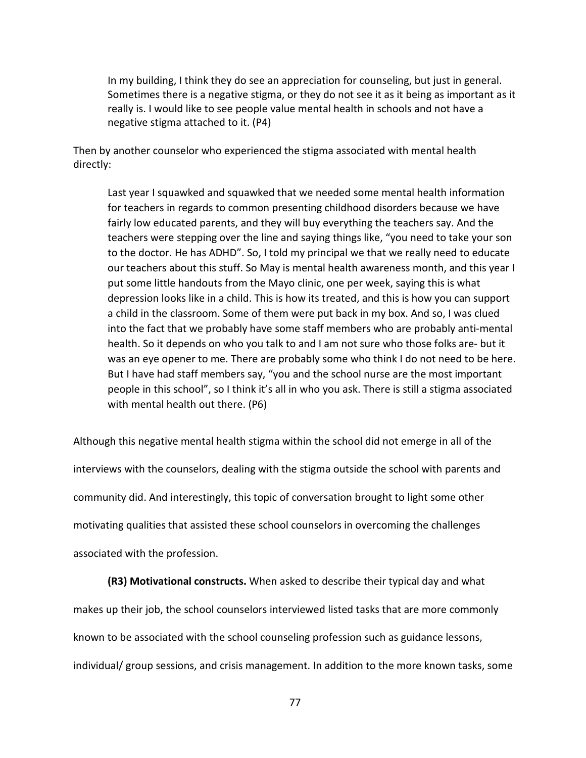In my building, I think they do see an appreciation for counseling, but just in general. Sometimes there is a negative stigma, or they do not see it as it being as important as it really is. I would like to see people value mental health in schools and not have a negative stigma attached to it. (P4)

Then by another counselor who experienced the stigma associated with mental health directly:

Last year I squawked and squawked that we needed some mental health information for teachers in regards to common presenting childhood disorders because we have fairly low educated parents, and they will buy everything the teachers say. And the teachers were stepping over the line and saying things like, "you need to take your son to the doctor. He has ADHD". So, I told my principal we that we really need to educate our teachers about this stuff. So May is mental health awareness month, and this year I put some little handouts from the Mayo clinic, one per week, saying this is what depression looks like in a child. This is how its treated, and this is how you can support a child in the classroom. Some of them were put back in my box. And so, I was clued into the fact that we probably have some staff members who are probably anti-mental health. So it depends on who you talk to and I am not sure who those folks are- but it was an eye opener to me. There are probably some who think I do not need to be here. But I have had staff members say, "you and the school nurse are the most important people in this school", so I think it's all in who you ask. There is still a stigma associated with mental health out there. (P6)

Although this negative mental health stigma within the school did not emerge in all of the interviews with the counselors, dealing with the stigma outside the school with parents and community did. And interestingly, this topic of conversation brought to light some other motivating qualities that assisted these school counselors in overcoming the challenges associated with the profession.

**(R3) Motivational constructs.** When asked to describe their typical day and what makes up their job, the school counselors interviewed listed tasks that are more commonly known to be associated with the school counseling profession such as guidance lessons, individual/ group sessions, and crisis management. In addition to the more known tasks, some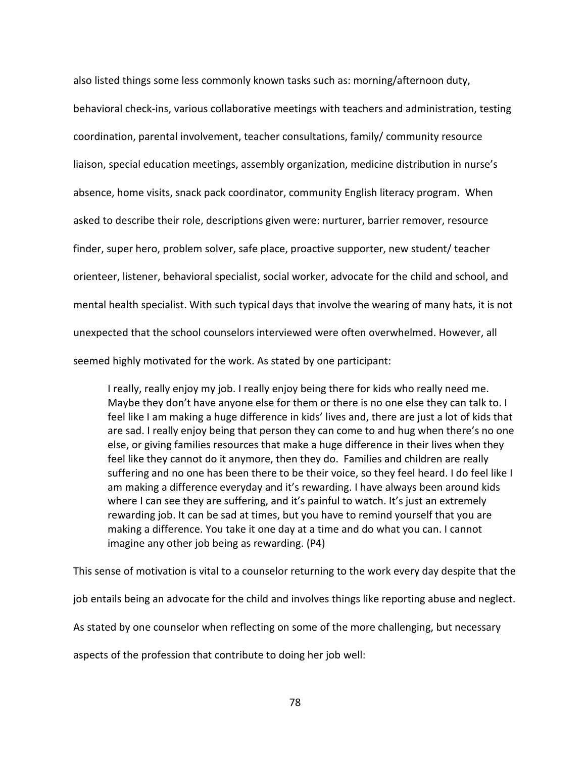also listed things some less commonly known tasks such as: morning/afternoon duty, behavioral check-ins, various collaborative meetings with teachers and administration, testing coordination, parental involvement, teacher consultations, family/ community resource liaison, special education meetings, assembly organization, medicine distribution in nurse's absence, home visits, snack pack coordinator, community English literacy program. When asked to describe their role, descriptions given were: nurturer, barrier remover, resource finder, super hero, problem solver, safe place, proactive supporter, new student/ teacher orienteer, listener, behavioral specialist, social worker, advocate for the child and school, and mental health specialist. With such typical days that involve the wearing of many hats, it is not unexpected that the school counselors interviewed were often overwhelmed. However, all seemed highly motivated for the work. As stated by one participant:

I really, really enjoy my job. I really enjoy being there for kids who really need me. Maybe they don't have anyone else for them or there is no one else they can talk to. I feel like I am making a huge difference in kids' lives and, there are just a lot of kids that are sad. I really enjoy being that person they can come to and hug when there's no one else, or giving families resources that make a huge difference in their lives when they feel like they cannot do it anymore, then they do. Families and children are really suffering and no one has been there to be their voice, so they feel heard. I do feel like I am making a difference everyday and it's rewarding. I have always been around kids where I can see they are suffering, and it's painful to watch. It's just an extremely rewarding job. It can be sad at times, but you have to remind yourself that you are making a difference. You take it one day at a time and do what you can. I cannot imagine any other job being as rewarding. (P4)

This sense of motivation is vital to a counselor returning to the work every day despite that the job entails being an advocate for the child and involves things like reporting abuse and neglect. As stated by one counselor when reflecting on some of the more challenging, but necessary

aspects of the profession that contribute to doing her job well: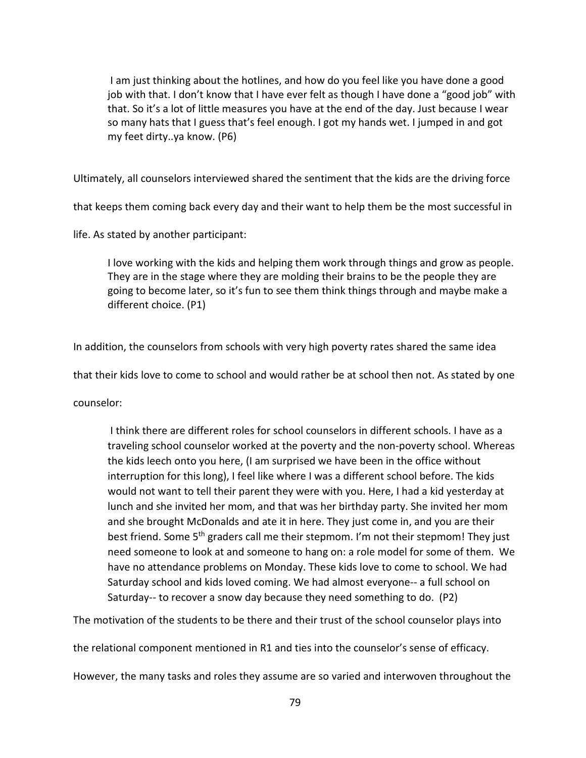I am just thinking about the hotlines, and how do you feel like you have done a good job with that. I don't know that I have ever felt as though I have done a "good job" with that. So it's a lot of little measures you have at the end of the day. Just because I wear so many hats that I guess that's feel enough. I got my hands wet. I jumped in and got my feet dirty..ya know. (P6)

Ultimately, all counselors interviewed shared the sentiment that the kids are the driving force

that keeps them coming back every day and their want to help them be the most successful in

life. As stated by another participant:

I love working with the kids and helping them work through things and grow as people. They are in the stage where they are molding their brains to be the people they are going to become later, so it's fun to see them think things through and maybe make a different choice. (P1)

In addition, the counselors from schools with very high poverty rates shared the same idea

that their kids love to come to school and would rather be at school then not. As stated by one

counselor:

 I think there are different roles for school counselors in different schools. I have as a traveling school counselor worked at the poverty and the non-poverty school. Whereas the kids leech onto you here, (I am surprised we have been in the office without interruption for this long), I feel like where I was a different school before. The kids would not want to tell their parent they were with you. Here, I had a kid yesterday at lunch and she invited her mom, and that was her birthday party. She invited her mom and she brought McDonalds and ate it in here. They just come in, and you are their best friend. Some 5<sup>th</sup> graders call me their stepmom. I'm not their stepmom! They just need someone to look at and someone to hang on: a role model for some of them. We have no attendance problems on Monday. These kids love to come to school. We had Saturday school and kids loved coming. We had almost everyone-- a full school on Saturday-- to recover a snow day because they need something to do. (P2)

The motivation of the students to be there and their trust of the school counselor plays into

the relational component mentioned in R1 and ties into the counselor's sense of efficacy.

However, the many tasks and roles they assume are so varied and interwoven throughout the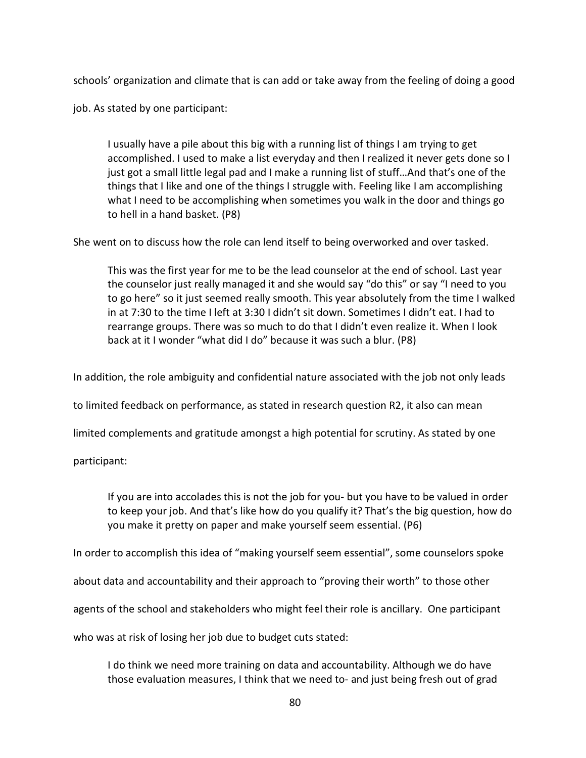schools' organization and climate that is can add or take away from the feeling of doing a good

job. As stated by one participant:

I usually have a pile about this big with a running list of things I am trying to get accomplished. I used to make a list everyday and then I realized it never gets done so I just got a small little legal pad and I make a running list of stuff…And that's one of the things that I like and one of the things I struggle with. Feeling like I am accomplishing what I need to be accomplishing when sometimes you walk in the door and things go to hell in a hand basket. (P8)

She went on to discuss how the role can lend itself to being overworked and over tasked.

This was the first year for me to be the lead counselor at the end of school. Last year the counselor just really managed it and she would say "do this" or say "I need to you to go here" so it just seemed really smooth. This year absolutely from the time I walked in at 7:30 to the time I left at 3:30 I didn't sit down. Sometimes I didn't eat. I had to rearrange groups. There was so much to do that I didn't even realize it. When I look back at it I wonder "what did I do" because it was such a blur. (P8)

In addition, the role ambiguity and confidential nature associated with the job not only leads

to limited feedback on performance, as stated in research question R2, it also can mean

limited complements and gratitude amongst a high potential for scrutiny. As stated by one

participant:

If you are into accolades this is not the job for you- but you have to be valued in order to keep your job. And that's like how do you qualify it? That's the big question, how do you make it pretty on paper and make yourself seem essential. (P6)

In order to accomplish this idea of "making yourself seem essential", some counselors spoke

about data and accountability and their approach to "proving their worth" to those other

agents of the school and stakeholders who might feel their role is ancillary. One participant

who was at risk of losing her job due to budget cuts stated:

I do think we need more training on data and accountability. Although we do have those evaluation measures, I think that we need to- and just being fresh out of grad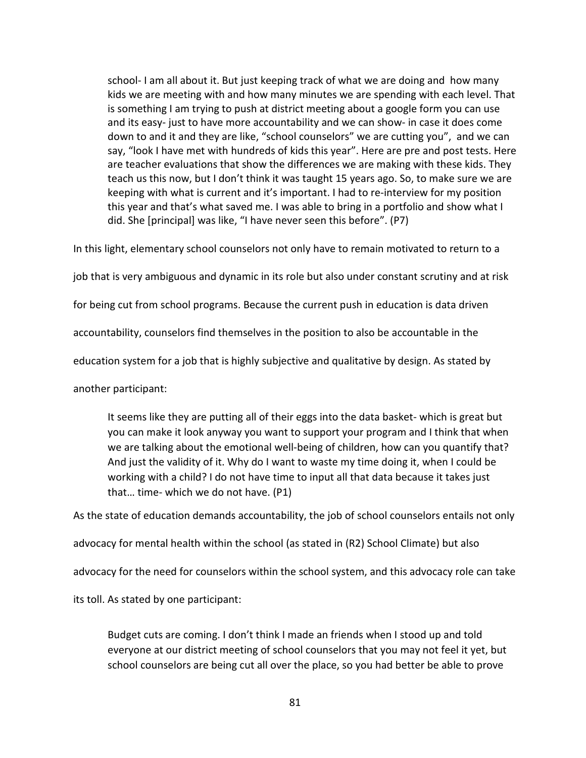school- I am all about it. But just keeping track of what we are doing and how many kids we are meeting with and how many minutes we are spending with each level. That is something I am trying to push at district meeting about a google form you can use and its easy- just to have more accountability and we can show- in case it does come down to and it and they are like, "school counselors" we are cutting you", and we can say, "look I have met with hundreds of kids this year". Here are pre and post tests. Here are teacher evaluations that show the differences we are making with these kids. They teach us this now, but I don't think it was taught 15 years ago. So, to make sure we are keeping with what is current and it's important. I had to re-interview for my position this year and that's what saved me. I was able to bring in a portfolio and show what I did. She [principal] was like, "I have never seen this before". (P7)

In this light, elementary school counselors not only have to remain motivated to return to a

job that is very ambiguous and dynamic in its role but also under constant scrutiny and at risk

for being cut from school programs. Because the current push in education is data driven

accountability, counselors find themselves in the position to also be accountable in the

education system for a job that is highly subjective and qualitative by design. As stated by

another participant:

It seems like they are putting all of their eggs into the data basket- which is great but you can make it look anyway you want to support your program and I think that when we are talking about the emotional well-being of children, how can you quantify that? And just the validity of it. Why do I want to waste my time doing it, when I could be working with a child? I do not have time to input all that data because it takes just that… time- which we do not have. (P1)

As the state of education demands accountability, the job of school counselors entails not only

advocacy for mental health within the school (as stated in (R2) School Climate) but also

advocacy for the need for counselors within the school system, and this advocacy role can take

its toll. As stated by one participant:

Budget cuts are coming. I don't think I made an friends when I stood up and told everyone at our district meeting of school counselors that you may not feel it yet, but school counselors are being cut all over the place, so you had better be able to prove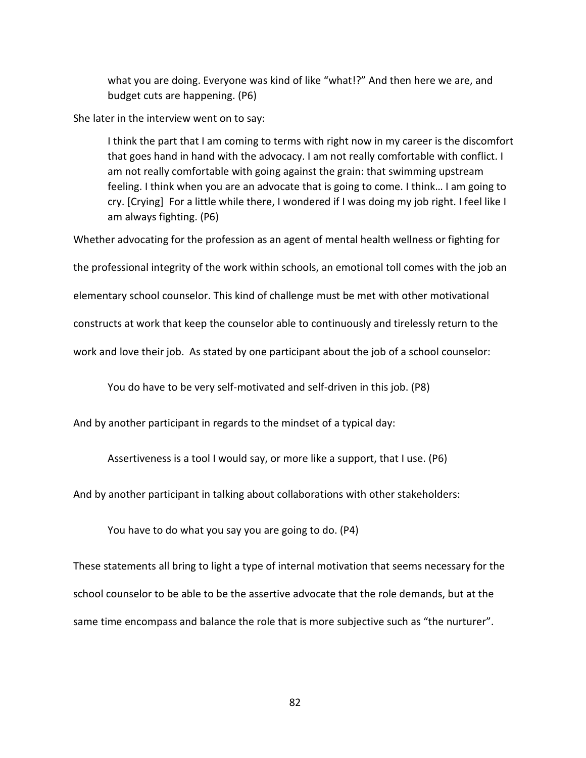what you are doing. Everyone was kind of like "what!?" And then here we are, and budget cuts are happening. (P6)

She later in the interview went on to say:

I think the part that I am coming to terms with right now in my career is the discomfort that goes hand in hand with the advocacy. I am not really comfortable with conflict. I am not really comfortable with going against the grain: that swimming upstream feeling. I think when you are an advocate that is going to come. I think… I am going to cry. [Crying] For a little while there, I wondered if I was doing my job right. I feel like I am always fighting. (P6)

Whether advocating for the profession as an agent of mental health wellness or fighting for

the professional integrity of the work within schools, an emotional toll comes with the job an

elementary school counselor. This kind of challenge must be met with other motivational

constructs at work that keep the counselor able to continuously and tirelessly return to the

work and love their job. As stated by one participant about the job of a school counselor:

You do have to be very self-motivated and self-driven in this job. (P8)

And by another participant in regards to the mindset of a typical day:

Assertiveness is a tool I would say, or more like a support, that I use. (P6)

And by another participant in talking about collaborations with other stakeholders:

You have to do what you say you are going to do. (P4)

These statements all bring to light a type of internal motivation that seems necessary for the school counselor to be able to be the assertive advocate that the role demands, but at the same time encompass and balance the role that is more subjective such as "the nurturer".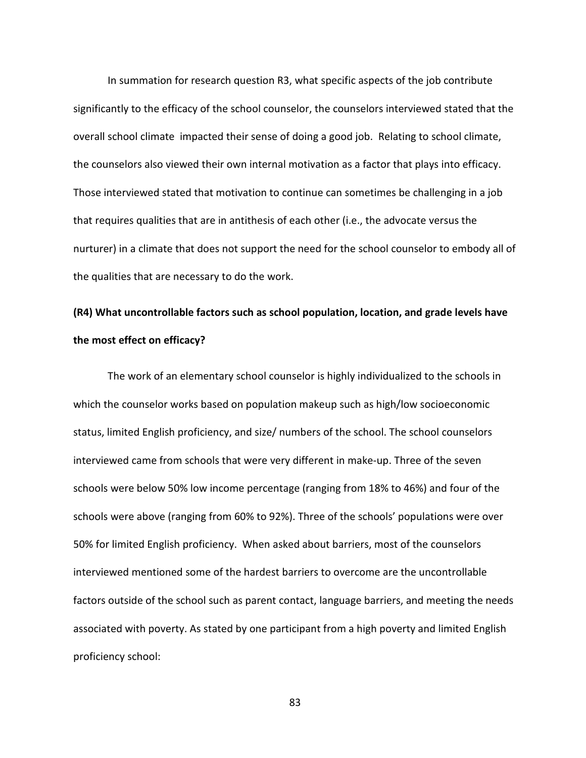In summation for research question R3, what specific aspects of the job contribute significantly to the efficacy of the school counselor, the counselors interviewed stated that the overall school climate impacted their sense of doing a good job. Relating to school climate, the counselors also viewed their own internal motivation as a factor that plays into efficacy. Those interviewed stated that motivation to continue can sometimes be challenging in a job that requires qualities that are in antithesis of each other (i.e., the advocate versus the nurturer) in a climate that does not support the need for the school counselor to embody all of the qualities that are necessary to do the work.

## **(R4) What uncontrollable factors such as school population, location, and grade levels have the most effect on efficacy?**

The work of an elementary school counselor is highly individualized to the schools in which the counselor works based on population makeup such as high/low socioeconomic status, limited English proficiency, and size/ numbers of the school. The school counselors interviewed came from schools that were very different in make-up. Three of the seven schools were below 50% low income percentage (ranging from 18% to 46%) and four of the schools were above (ranging from 60% to 92%). Three of the schools' populations were over 50% for limited English proficiency. When asked about barriers, most of the counselors interviewed mentioned some of the hardest barriers to overcome are the uncontrollable factors outside of the school such as parent contact, language barriers, and meeting the needs associated with poverty. As stated by one participant from a high poverty and limited English proficiency school: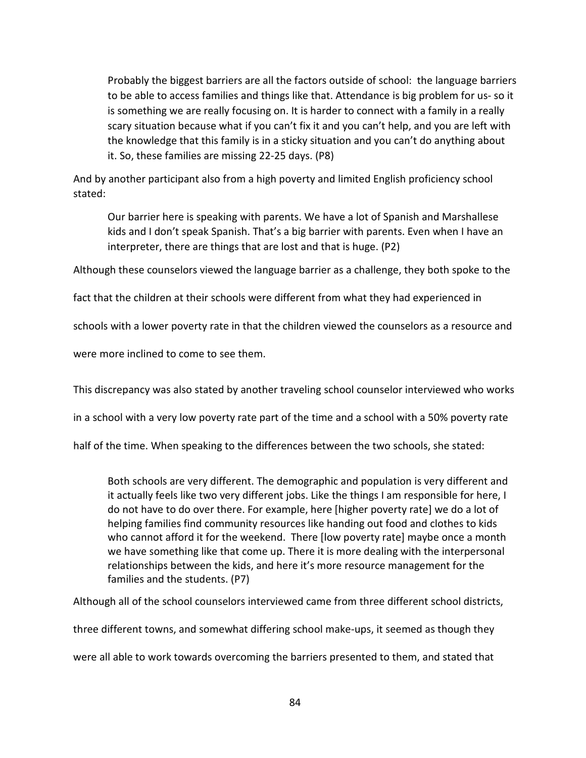Probably the biggest barriers are all the factors outside of school: the language barriers to be able to access families and things like that. Attendance is big problem for us- so it is something we are really focusing on. It is harder to connect with a family in a really scary situation because what if you can't fix it and you can't help, and you are left with the knowledge that this family is in a sticky situation and you can't do anything about it. So, these families are missing 22-25 days. (P8)

And by another participant also from a high poverty and limited English proficiency school stated:

Our barrier here is speaking with parents. We have a lot of Spanish and Marshallese kids and I don't speak Spanish. That's a big barrier with parents. Even when I have an interpreter, there are things that are lost and that is huge. (P2)

Although these counselors viewed the language barrier as a challenge, they both spoke to the

fact that the children at their schools were different from what they had experienced in

schools with a lower poverty rate in that the children viewed the counselors as a resource and

were more inclined to come to see them.

This discrepancy was also stated by another traveling school counselor interviewed who works

in a school with a very low poverty rate part of the time and a school with a 50% poverty rate

half of the time. When speaking to the differences between the two schools, she stated:

Both schools are very different. The demographic and population is very different and it actually feels like two very different jobs. Like the things I am responsible for here, I do not have to do over there. For example, here [higher poverty rate] we do a lot of helping families find community resources like handing out food and clothes to kids who cannot afford it for the weekend. There [low poverty rate] maybe once a month we have something like that come up. There it is more dealing with the interpersonal relationships between the kids, and here it's more resource management for the families and the students. (P7)

Although all of the school counselors interviewed came from three different school districts,

three different towns, and somewhat differing school make-ups, it seemed as though they

were all able to work towards overcoming the barriers presented to them, and stated that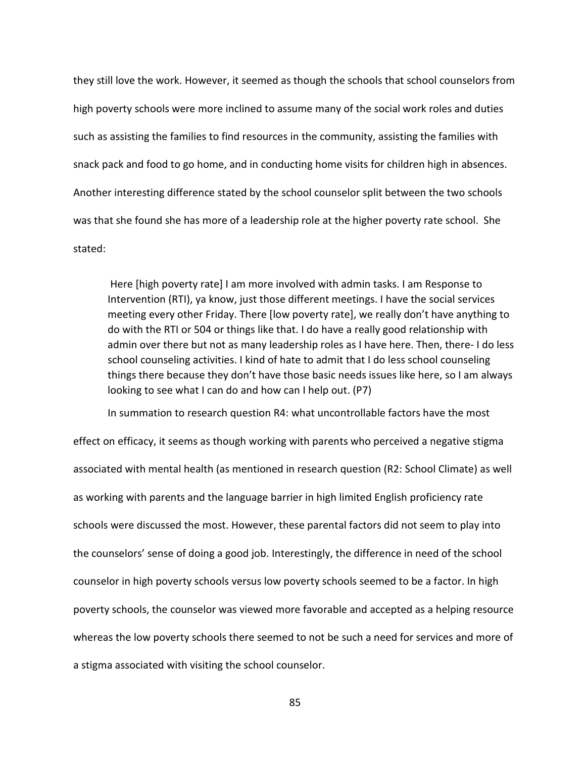they still love the work. However, it seemed as though the schools that school counselors from high poverty schools were more inclined to assume many of the social work roles and duties such as assisting the families to find resources in the community, assisting the families with snack pack and food to go home, and in conducting home visits for children high in absences. Another interesting difference stated by the school counselor split between the two schools was that she found she has more of a leadership role at the higher poverty rate school. She stated:

 Here [high poverty rate] I am more involved with admin tasks. I am Response to Intervention (RTI), ya know, just those different meetings. I have the social services meeting every other Friday. There [low poverty rate], we really don't have anything to do with the RTI or 504 or things like that. I do have a really good relationship with admin over there but not as many leadership roles as I have here. Then, there- I do less school counseling activities. I kind of hate to admit that I do less school counseling things there because they don't have those basic needs issues like here, so I am always looking to see what I can do and how can I help out. (P7)

In summation to research question R4: what uncontrollable factors have the most

effect on efficacy, it seems as though working with parents who perceived a negative stigma associated with mental health (as mentioned in research question (R2: School Climate) as well as working with parents and the language barrier in high limited English proficiency rate schools were discussed the most. However, these parental factors did not seem to play into the counselors' sense of doing a good job. Interestingly, the difference in need of the school counselor in high poverty schools versus low poverty schools seemed to be a factor. In high poverty schools, the counselor was viewed more favorable and accepted as a helping resource whereas the low poverty schools there seemed to not be such a need for services and more of a stigma associated with visiting the school counselor.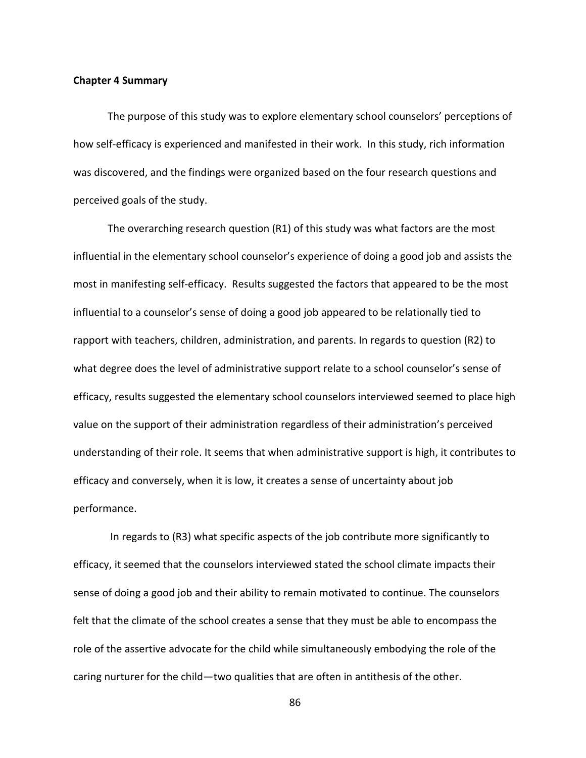#### **Chapter 4 Summary**

The purpose of this study was to explore elementary school counselors' perceptions of how self-efficacy is experienced and manifested in their work. In this study, rich information was discovered, and the findings were organized based on the four research questions and perceived goals of the study.

The overarching research question (R1) of this study was what factors are the most influential in the elementary school counselor's experience of doing a good job and assists the most in manifesting self-efficacy. Results suggested the factors that appeared to be the most influential to a counselor's sense of doing a good job appeared to be relationally tied to rapport with teachers, children, administration, and parents. In regards to question (R2) to what degree does the level of administrative support relate to a school counselor's sense of efficacy, results suggested the elementary school counselors interviewed seemed to place high value on the support of their administration regardless of their administration's perceived understanding of their role. It seems that when administrative support is high, it contributes to efficacy and conversely, when it is low, it creates a sense of uncertainty about job performance.

 In regards to (R3) what specific aspects of the job contribute more significantly to efficacy, it seemed that the counselors interviewed stated the school climate impacts their sense of doing a good job and their ability to remain motivated to continue. The counselors felt that the climate of the school creates a sense that they must be able to encompass the role of the assertive advocate for the child while simultaneously embodying the role of the caring nurturer for the child—two qualities that are often in antithesis of the other.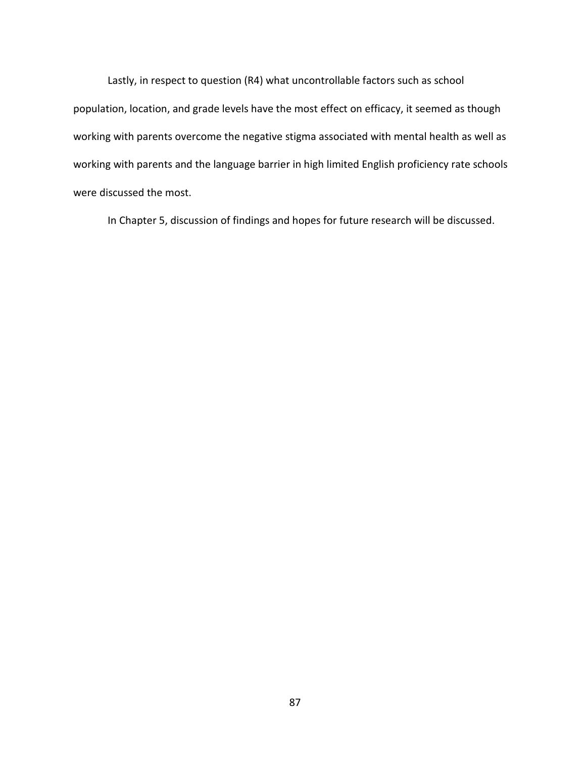Lastly, in respect to question (R4) what uncontrollable factors such as school population, location, and grade levels have the most effect on efficacy, it seemed as though working with parents overcome the negative stigma associated with mental health as well as working with parents and the language barrier in high limited English proficiency rate schools were discussed the most.

In Chapter 5, discussion of findings and hopes for future research will be discussed.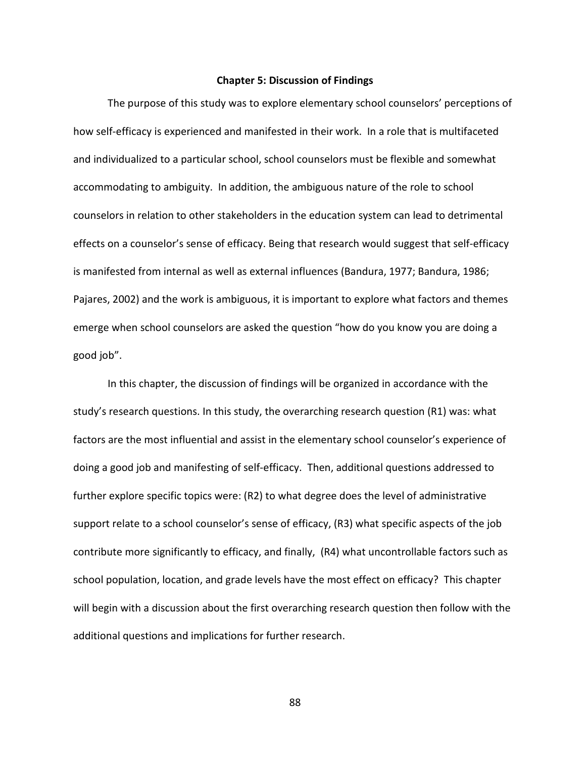### **Chapter 5: Discussion of Findings**

The purpose of this study was to explore elementary school counselors' perceptions of how self-efficacy is experienced and manifested in their work. In a role that is multifaceted and individualized to a particular school, school counselors must be flexible and somewhat accommodating to ambiguity. In addition, the ambiguous nature of the role to school counselors in relation to other stakeholders in the education system can lead to detrimental effects on a counselor's sense of efficacy. Being that research would suggest that self-efficacy is manifested from internal as well as external influences (Bandura, 1977; Bandura, 1986; Pajares, 2002) and the work is ambiguous, it is important to explore what factors and themes emerge when school counselors are asked the question "how do you know you are doing a good job".

In this chapter, the discussion of findings will be organized in accordance with the study's research questions. In this study, the overarching research question (R1) was: what factors are the most influential and assist in the elementary school counselor's experience of doing a good job and manifesting of self-efficacy. Then, additional questions addressed to further explore specific topics were: (R2) to what degree does the level of administrative support relate to a school counselor's sense of efficacy, (R3) what specific aspects of the job contribute more significantly to efficacy, and finally, (R4) what uncontrollable factors such as school population, location, and grade levels have the most effect on efficacy? This chapter will begin with a discussion about the first overarching research question then follow with the additional questions and implications for further research.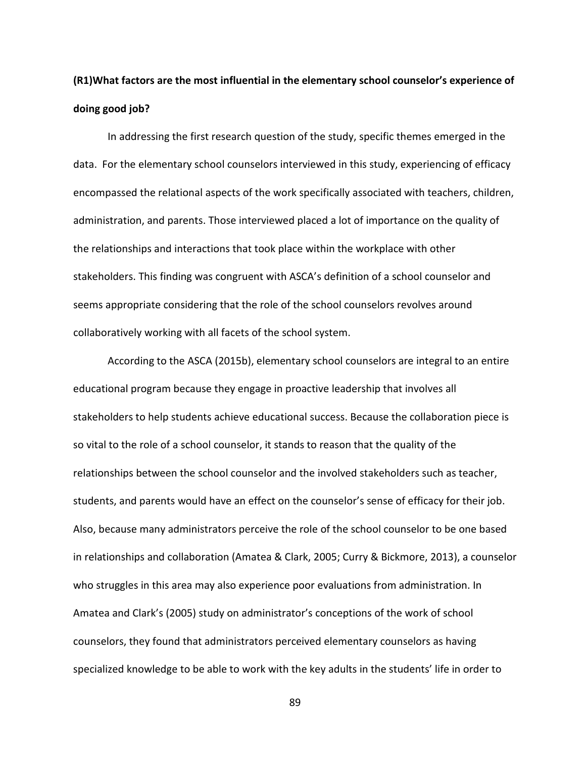# **(R1)What factors are the most influential in the elementary school counselor's experience of doing good job?**

 In addressing the first research question of the study, specific themes emerged in the data. For the elementary school counselors interviewed in this study, experiencing of efficacy encompassed the relational aspects of the work specifically associated with teachers, children, administration, and parents. Those interviewed placed a lot of importance on the quality of the relationships and interactions that took place within the workplace with other stakeholders. This finding was congruent with ASCA's definition of a school counselor and seems appropriate considering that the role of the school counselors revolves around collaboratively working with all facets of the school system.

According to the ASCA (2015b), elementary school counselors are integral to an entire educational program because they engage in proactive leadership that involves all stakeholders to help students achieve educational success. Because the collaboration piece is so vital to the role of a school counselor, it stands to reason that the quality of the relationships between the school counselor and the involved stakeholders such as teacher, students, and parents would have an effect on the counselor's sense of efficacy for their job. Also, because many administrators perceive the role of the school counselor to be one based in relationships and collaboration (Amatea & Clark, 2005; Curry & Bickmore, 2013), a counselor who struggles in this area may also experience poor evaluations from administration. In Amatea and Clark's (2005) study on administrator's conceptions of the work of school counselors, they found that administrators perceived elementary counselors as having specialized knowledge to be able to work with the key adults in the students' life in order to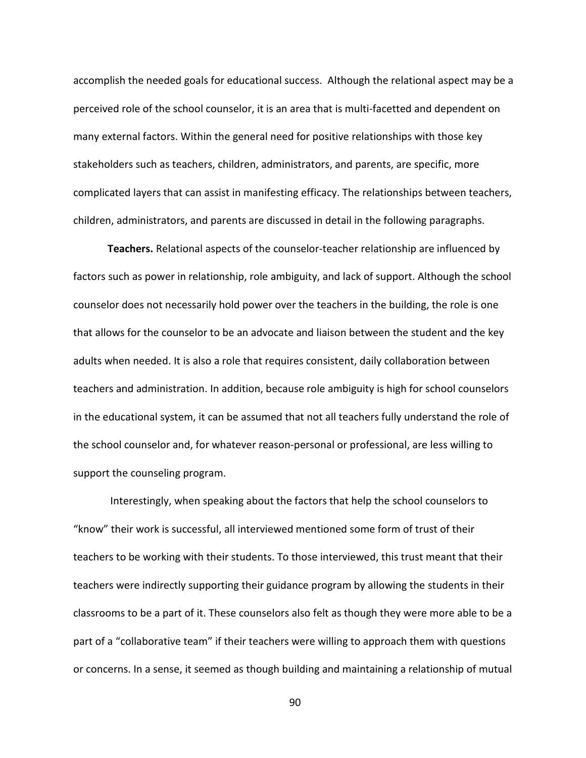accomplish the needed goals for educational success. Although the relational aspect may be a perceived role of the school counselor, it is an area that is multi-facetted and dependent on many external factors. Within the general need for positive relationships with those key stakeholders such as teachers, children, administrators, and parents, are specific, more complicated layers that can assist in manifesting efficacy. The relationships between teachers, children, administrators, and parents are discussed in detail in the following paragraphs.

**Teachers.** Relational aspects of the counselor-teacher relationship are influenced by factors such as power in relationship, role ambiguity, and lack of support. Although the school counselor does not necessarily hold power over the teachers in the building, the role is one that allows for the counselor to be an advocate and liaison between the student and the key adults when needed. It is also a role that requires consistent, daily collaboration between teachers and administration. In addition, because role ambiguity is high for school counselors in the educational system, it can be assumed that not all teachers fully understand the role of the school counselor and, for whatever reason-personal or professional, are less willing to support the counseling program.

 Interestingly, when speaking about the factors that help the school counselors to "know" their work is successful, all interviewed mentioned some form of trust of their teachers to be working with their students. To those interviewed, this trust meant that their teachers were indirectly supporting their guidance program by allowing the students in their classrooms to be a part of it. These counselors also felt as though they were more able to be a part of a "collaborative team" if their teachers were willing to approach them with questions or concerns. In a sense, it seemed as though building and maintaining a relationship of mutual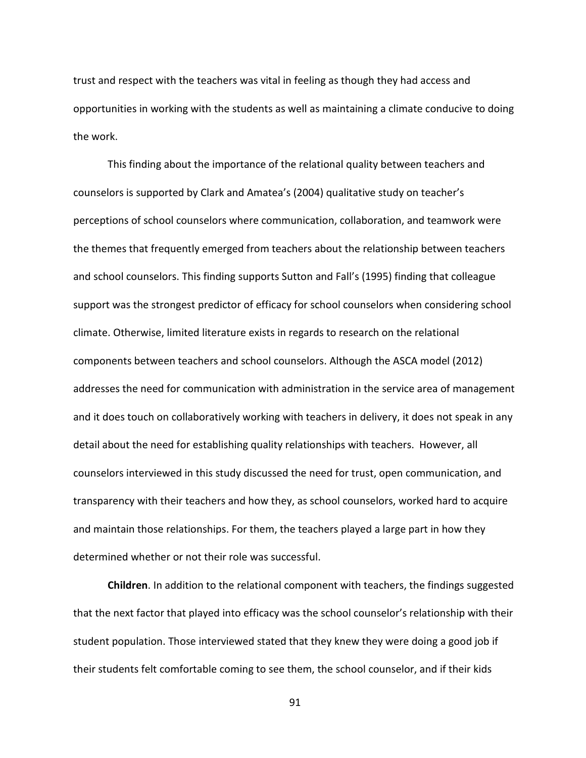trust and respect with the teachers was vital in feeling as though they had access and opportunities in working with the students as well as maintaining a climate conducive to doing the work.

This finding about the importance of the relational quality between teachers and counselors is supported by Clark and Amatea's (2004) qualitative study on teacher's perceptions of school counselors where communication, collaboration, and teamwork were the themes that frequently emerged from teachers about the relationship between teachers and school counselors. This finding supports Sutton and Fall's (1995) finding that colleague support was the strongest predictor of efficacy for school counselors when considering school climate. Otherwise, limited literature exists in regards to research on the relational components between teachers and school counselors. Although the ASCA model (2012) addresses the need for communication with administration in the service area of management and it does touch on collaboratively working with teachers in delivery, it does not speak in any detail about the need for establishing quality relationships with teachers. However, all counselors interviewed in this study discussed the need for trust, open communication, and transparency with their teachers and how they, as school counselors, worked hard to acquire and maintain those relationships. For them, the teachers played a large part in how they determined whether or not their role was successful.

 **Children**. In addition to the relational component with teachers, the findings suggested that the next factor that played into efficacy was the school counselor's relationship with their student population. Those interviewed stated that they knew they were doing a good job if their students felt comfortable coming to see them, the school counselor, and if their kids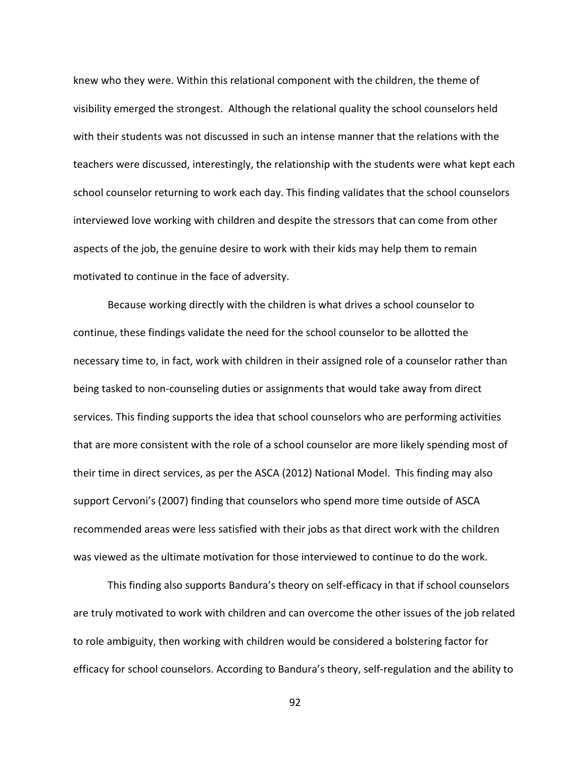knew who they were. Within this relational component with the children, the theme of visibility emerged the strongest. Although the relational quality the school counselors held with their students was not discussed in such an intense manner that the relations with the teachers were discussed, interestingly, the relationship with the students were what kept each school counselor returning to work each day. This finding validates that the school counselors interviewed love working with children and despite the stressors that can come from other aspects of the job, the genuine desire to work with their kids may help them to remain motivated to continue in the face of adversity.

Because working directly with the children is what drives a school counselor to continue, these findings validate the need for the school counselor to be allotted the necessary time to, in fact, work with children in their assigned role of a counselor rather than being tasked to non-counseling duties or assignments that would take away from direct services. This finding supports the idea that school counselors who are performing activities that are more consistent with the role of a school counselor are more likely spending most of their time in direct services, as per the ASCA (2012) National Model. This finding may also support Cervoni's (2007) finding that counselors who spend more time outside of ASCA recommended areas were less satisfied with their jobs as that direct work with the children was viewed as the ultimate motivation for those interviewed to continue to do the work.

This finding also supports Bandura's theory on self-efficacy in that if school counselors are truly motivated to work with children and can overcome the other issues of the job related to role ambiguity, then working with children would be considered a bolstering factor for efficacy for school counselors. According to Bandura's theory, self-regulation and the ability to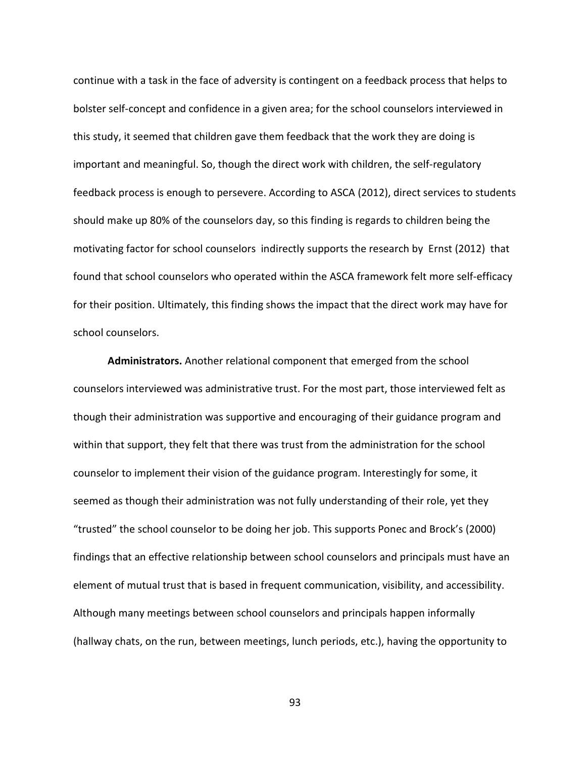continue with a task in the face of adversity is contingent on a feedback process that helps to bolster self-concept and confidence in a given area; for the school counselors interviewed in this study, it seemed that children gave them feedback that the work they are doing is important and meaningful. So, though the direct work with children, the self-regulatory feedback process is enough to persevere. According to ASCA (2012), direct services to students should make up 80% of the counselors day, so this finding is regards to children being the motivating factor for school counselors indirectly supports the research by Ernst (2012) that found that school counselors who operated within the ASCA framework felt more self-efficacy for their position. Ultimately, this finding shows the impact that the direct work may have for school counselors.

**Administrators.** Another relational component that emerged from the school counselors interviewed was administrative trust. For the most part, those interviewed felt as though their administration was supportive and encouraging of their guidance program and within that support, they felt that there was trust from the administration for the school counselor to implement their vision of the guidance program. Interestingly for some, it seemed as though their administration was not fully understanding of their role, yet they "trusted" the school counselor to be doing her job. This supports Ponec and Brock's (2000) findings that an effective relationship between school counselors and principals must have an element of mutual trust that is based in frequent communication, visibility, and accessibility. Although many meetings between school counselors and principals happen informally (hallway chats, on the run, between meetings, lunch periods, etc.), having the opportunity to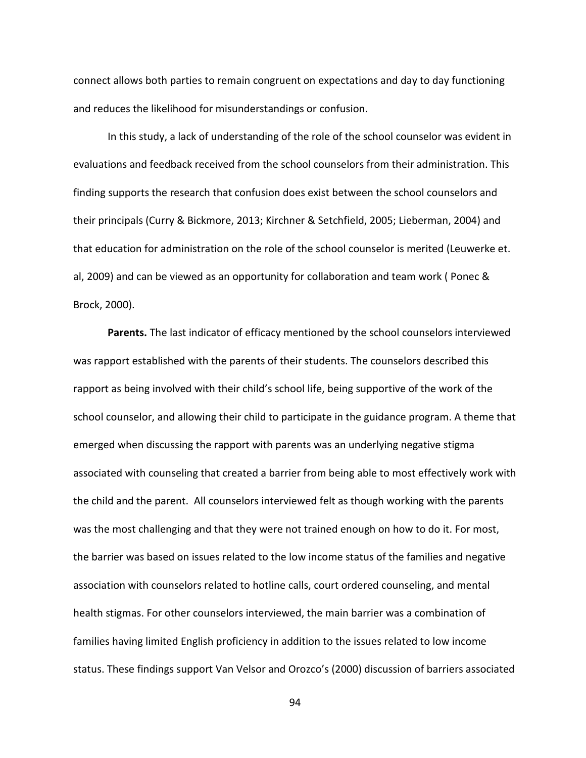connect allows both parties to remain congruent on expectations and day to day functioning and reduces the likelihood for misunderstandings or confusion.

In this study, a lack of understanding of the role of the school counselor was evident in evaluations and feedback received from the school counselors from their administration. This finding supports the research that confusion does exist between the school counselors and their principals (Curry & Bickmore, 2013; Kirchner & Setchfield, 2005; Lieberman, 2004) and that education for administration on the role of the school counselor is merited (Leuwerke et. al, 2009) and can be viewed as an opportunity for collaboration and team work ( Ponec & Brock, 2000).

**Parents.** The last indicator of efficacy mentioned by the school counselors interviewed was rapport established with the parents of their students. The counselors described this rapport as being involved with their child's school life, being supportive of the work of the school counselor, and allowing their child to participate in the guidance program. A theme that emerged when discussing the rapport with parents was an underlying negative stigma associated with counseling that created a barrier from being able to most effectively work with the child and the parent. All counselors interviewed felt as though working with the parents was the most challenging and that they were not trained enough on how to do it. For most, the barrier was based on issues related to the low income status of the families and negative association with counselors related to hotline calls, court ordered counseling, and mental health stigmas. For other counselors interviewed, the main barrier was a combination of families having limited English proficiency in addition to the issues related to low income status. These findings support Van Velsor and Orozco's (2000) discussion of barriers associated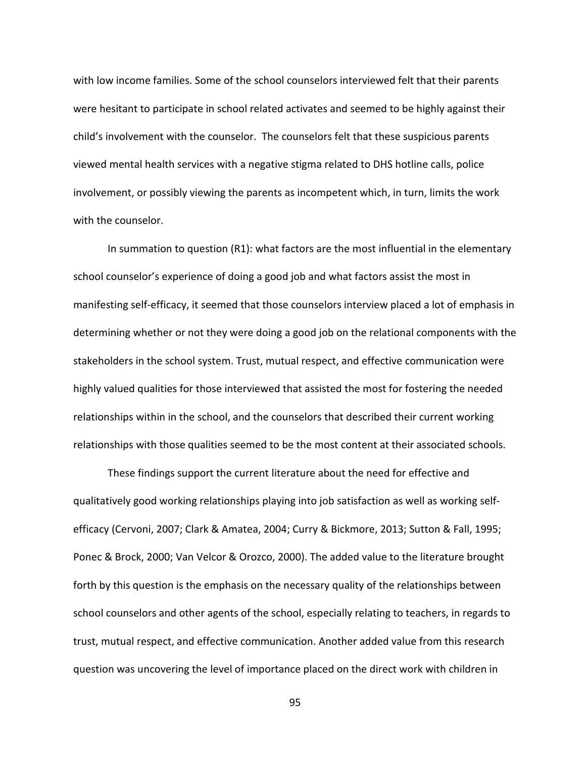with low income families. Some of the school counselors interviewed felt that their parents were hesitant to participate in school related activates and seemed to be highly against their child's involvement with the counselor. The counselors felt that these suspicious parents viewed mental health services with a negative stigma related to DHS hotline calls, police involvement, or possibly viewing the parents as incompetent which, in turn, limits the work with the counselor.

In summation to question (R1): what factors are the most influential in the elementary school counselor's experience of doing a good job and what factors assist the most in manifesting self-efficacy, it seemed that those counselors interview placed a lot of emphasis in determining whether or not they were doing a good job on the relational components with the stakeholders in the school system. Trust, mutual respect, and effective communication were highly valued qualities for those interviewed that assisted the most for fostering the needed relationships within in the school, and the counselors that described their current working relationships with those qualities seemed to be the most content at their associated schools.

These findings support the current literature about the need for effective and qualitatively good working relationships playing into job satisfaction as well as working selfefficacy (Cervoni, 2007; Clark & Amatea, 2004; Curry & Bickmore, 2013; Sutton & Fall, 1995; Ponec & Brock, 2000; Van Velcor & Orozco, 2000). The added value to the literature brought forth by this question is the emphasis on the necessary quality of the relationships between school counselors and other agents of the school, especially relating to teachers, in regards to trust, mutual respect, and effective communication. Another added value from this research question was uncovering the level of importance placed on the direct work with children in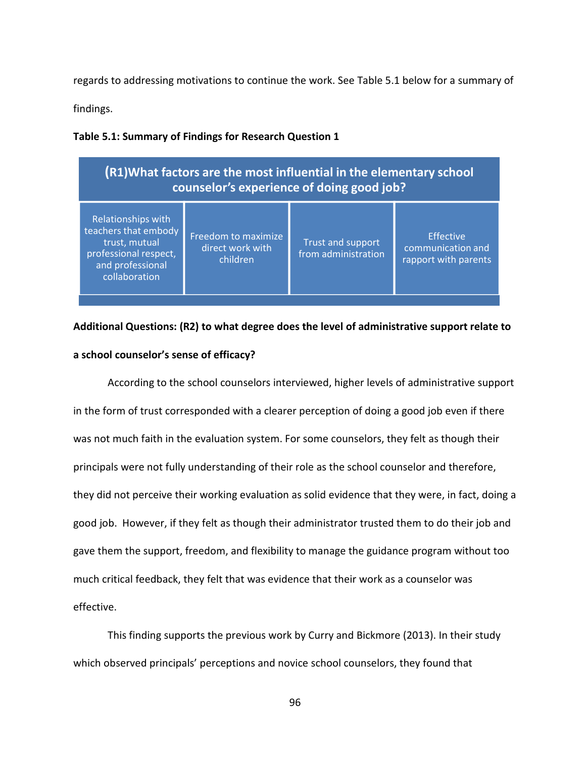regards to addressing motivations to continue the work. See Table 5.1 below for a summary of

findings.

**Table 5.1: Summary of Findings for Research Question 1**

| Relationships with<br>teachers that embody<br>Freedom to maximize<br><b>Effective</b><br>trust, mutual<br>Trust and support<br>direct work with | (R1) What factors are the most influential in the elementary school<br>counselor's experience of doing good job? |  |                     |                                           |  |
|-------------------------------------------------------------------------------------------------------------------------------------------------|------------------------------------------------------------------------------------------------------------------|--|---------------------|-------------------------------------------|--|
| children<br>and professional<br>collaboration                                                                                                   | professional respect,                                                                                            |  | from administration | communication and<br>rapport with parents |  |

# **Additional Questions: (R2) to what degree does the level of administrative support relate to a school counselor's sense of efficacy?**

According to the school counselors interviewed, higher levels of administrative support in the form of trust corresponded with a clearer perception of doing a good job even if there was not much faith in the evaluation system. For some counselors, they felt as though their principals were not fully understanding of their role as the school counselor and therefore, they did not perceive their working evaluation as solid evidence that they were, in fact, doing a good job. However, if they felt as though their administrator trusted them to do their job and gave them the support, freedom, and flexibility to manage the guidance program without too much critical feedback, they felt that was evidence that their work as a counselor was effective.

This finding supports the previous work by Curry and Bickmore (2013). In their study which observed principals' perceptions and novice school counselors, they found that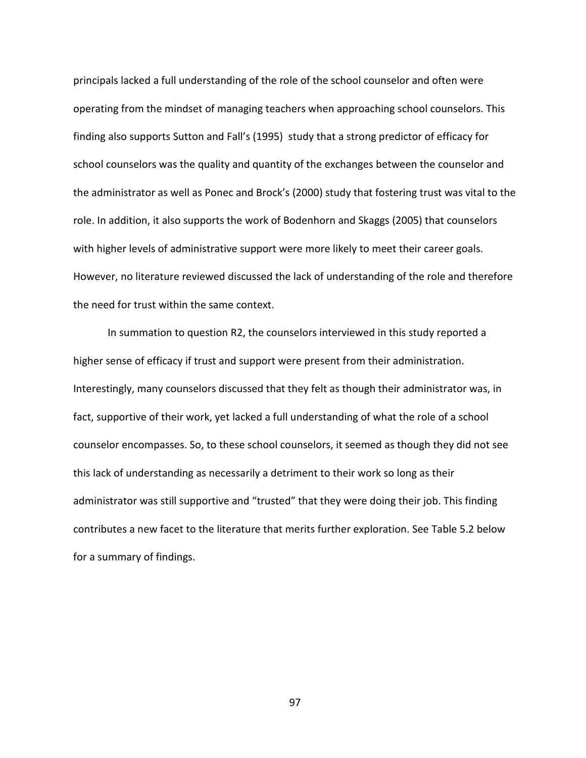principals lacked a full understanding of the role of the school counselor and often were operating from the mindset of managing teachers when approaching school counselors. This finding also supports Sutton and Fall's (1995) study that a strong predictor of efficacy for school counselors was the quality and quantity of the exchanges between the counselor and the administrator as well as Ponec and Brock's (2000) study that fostering trust was vital to the role. In addition, it also supports the work of Bodenhorn and Skaggs (2005) that counselors with higher levels of administrative support were more likely to meet their career goals. However, no literature reviewed discussed the lack of understanding of the role and therefore the need for trust within the same context.

In summation to question R2, the counselors interviewed in this study reported a higher sense of efficacy if trust and support were present from their administration. Interestingly, many counselors discussed that they felt as though their administrator was, in fact, supportive of their work, yet lacked a full understanding of what the role of a school counselor encompasses. So, to these school counselors, it seemed as though they did not see this lack of understanding as necessarily a detriment to their work so long as their administrator was still supportive and "trusted" that they were doing their job. This finding contributes a new facet to the literature that merits further exploration. See Table 5.2 below for a summary of findings.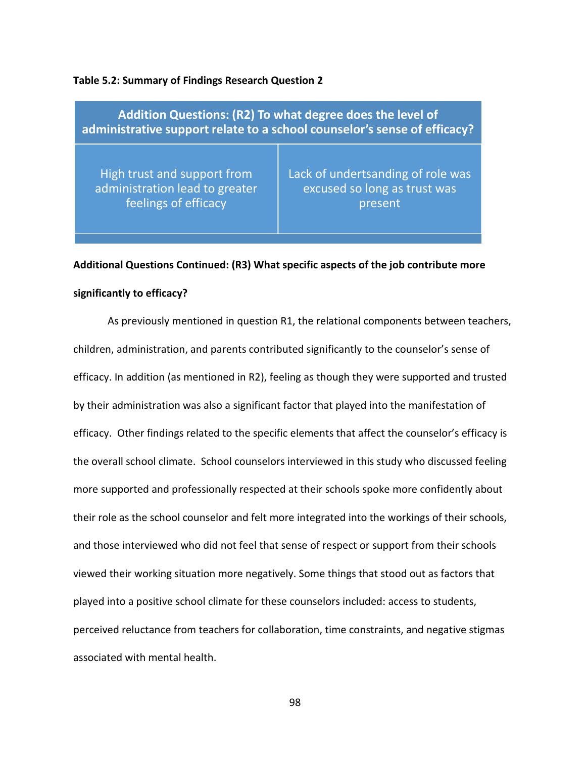#### **Table 5.2: Summary of Findings Research Question 2**

| Addition Questions: (R2) To what degree does the level of<br>administrative support relate to a school counselor's sense of efficacy? |                                   |  |  |  |
|---------------------------------------------------------------------------------------------------------------------------------------|-----------------------------------|--|--|--|
| High trust and support from                                                                                                           | Lack of undertsanding of role was |  |  |  |
| administration lead to greater                                                                                                        | excused so long as trust was      |  |  |  |
| feelings of efficacy                                                                                                                  | present                           |  |  |  |

# **Additional Questions Continued: (R3) What specific aspects of the job contribute more significantly to efficacy?**

 As previously mentioned in question R1, the relational components between teachers, children, administration, and parents contributed significantly to the counselor's sense of efficacy. In addition (as mentioned in R2), feeling as though they were supported and trusted by their administration was also a significant factor that played into the manifestation of efficacy. Other findings related to the specific elements that affect the counselor's efficacy is the overall school climate. School counselors interviewed in this study who discussed feeling more supported and professionally respected at their schools spoke more confidently about their role as the school counselor and felt more integrated into the workings of their schools, and those interviewed who did not feel that sense of respect or support from their schools viewed their working situation more negatively. Some things that stood out as factors that played into a positive school climate for these counselors included: access to students, perceived reluctance from teachers for collaboration, time constraints, and negative stigmas associated with mental health.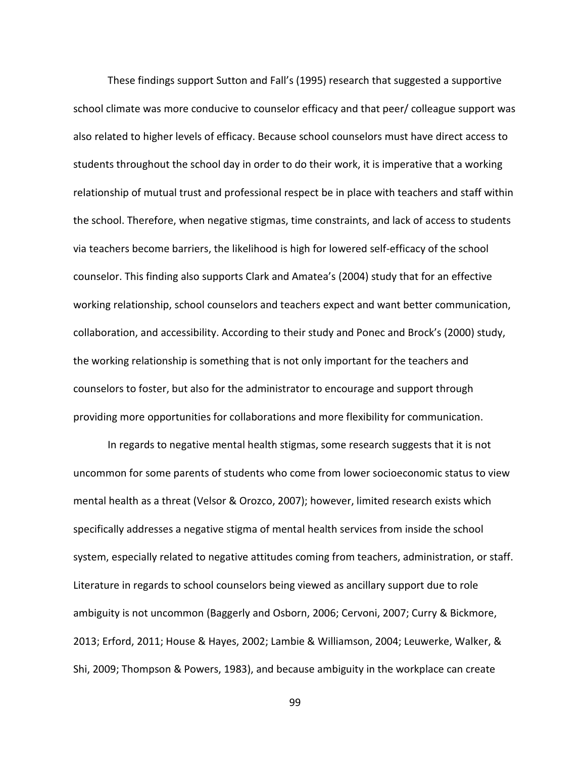These findings support Sutton and Fall's (1995) research that suggested a supportive school climate was more conducive to counselor efficacy and that peer/ colleague support was also related to higher levels of efficacy. Because school counselors must have direct access to students throughout the school day in order to do their work, it is imperative that a working relationship of mutual trust and professional respect be in place with teachers and staff within the school. Therefore, when negative stigmas, time constraints, and lack of access to students via teachers become barriers, the likelihood is high for lowered self-efficacy of the school counselor. This finding also supports Clark and Amatea's (2004) study that for an effective working relationship, school counselors and teachers expect and want better communication, collaboration, and accessibility. According to their study and Ponec and Brock's (2000) study, the working relationship is something that is not only important for the teachers and counselors to foster, but also for the administrator to encourage and support through providing more opportunities for collaborations and more flexibility for communication.

 In regards to negative mental health stigmas, some research suggests that it is not uncommon for some parents of students who come from lower socioeconomic status to view mental health as a threat (Velsor & Orozco, 2007); however, limited research exists which specifically addresses a negative stigma of mental health services from inside the school system, especially related to negative attitudes coming from teachers, administration, or staff. Literature in regards to school counselors being viewed as ancillary support due to role ambiguity is not uncommon (Baggerly and Osborn, 2006; Cervoni, 2007; Curry & Bickmore, 2013; Erford, 2011; House & Hayes, 2002; Lambie & Williamson, 2004; Leuwerke, Walker, & Shi, 2009; Thompson & Powers, 1983), and because ambiguity in the workplace can create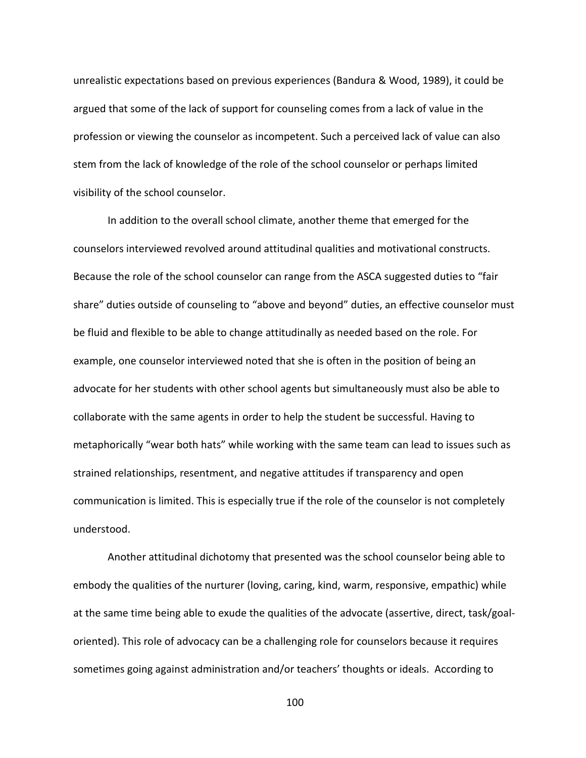unrealistic expectations based on previous experiences (Bandura & Wood, 1989), it could be argued that some of the lack of support for counseling comes from a lack of value in the profession or viewing the counselor as incompetent. Such a perceived lack of value can also stem from the lack of knowledge of the role of the school counselor or perhaps limited visibility of the school counselor.

 In addition to the overall school climate, another theme that emerged for the counselors interviewed revolved around attitudinal qualities and motivational constructs. Because the role of the school counselor can range from the ASCA suggested duties to "fair share" duties outside of counseling to "above and beyond" duties, an effective counselor must be fluid and flexible to be able to change attitudinally as needed based on the role. For example, one counselor interviewed noted that she is often in the position of being an advocate for her students with other school agents but simultaneously must also be able to collaborate with the same agents in order to help the student be successful. Having to metaphorically "wear both hats" while working with the same team can lead to issues such as strained relationships, resentment, and negative attitudes if transparency and open communication is limited. This is especially true if the role of the counselor is not completely understood.

Another attitudinal dichotomy that presented was the school counselor being able to embody the qualities of the nurturer (loving, caring, kind, warm, responsive, empathic) while at the same time being able to exude the qualities of the advocate (assertive, direct, task/goaloriented). This role of advocacy can be a challenging role for counselors because it requires sometimes going against administration and/or teachers' thoughts or ideals. According to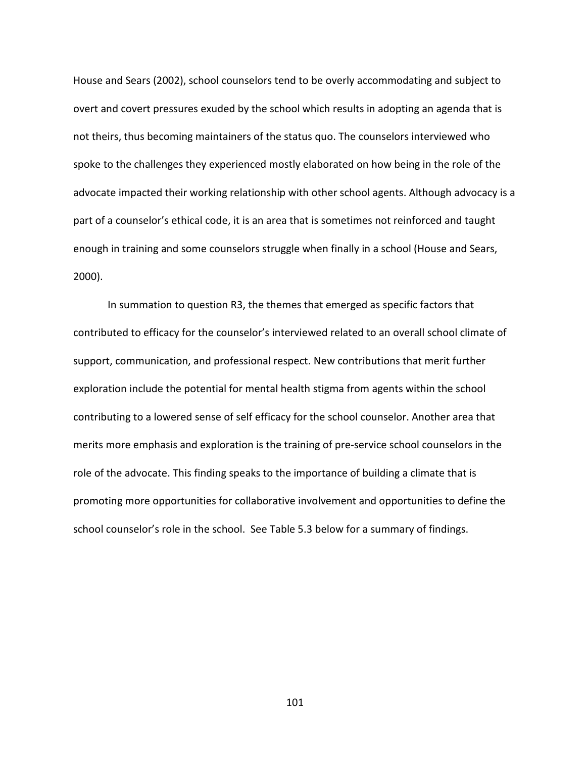House and Sears (2002), school counselors tend to be overly accommodating and subject to overt and covert pressures exuded by the school which results in adopting an agenda that is not theirs, thus becoming maintainers of the status quo. The counselors interviewed who spoke to the challenges they experienced mostly elaborated on how being in the role of the advocate impacted their working relationship with other school agents. Although advocacy is a part of a counselor's ethical code, it is an area that is sometimes not reinforced and taught enough in training and some counselors struggle when finally in a school (House and Sears, 2000).

 In summation to question R3, the themes that emerged as specific factors that contributed to efficacy for the counselor's interviewed related to an overall school climate of support, communication, and professional respect. New contributions that merit further exploration include the potential for mental health stigma from agents within the school contributing to a lowered sense of self efficacy for the school counselor. Another area that merits more emphasis and exploration is the training of pre-service school counselors in the role of the advocate. This finding speaks to the importance of building a climate that is promoting more opportunities for collaborative involvement and opportunities to define the school counselor's role in the school. See Table 5.3 below for a summary of findings.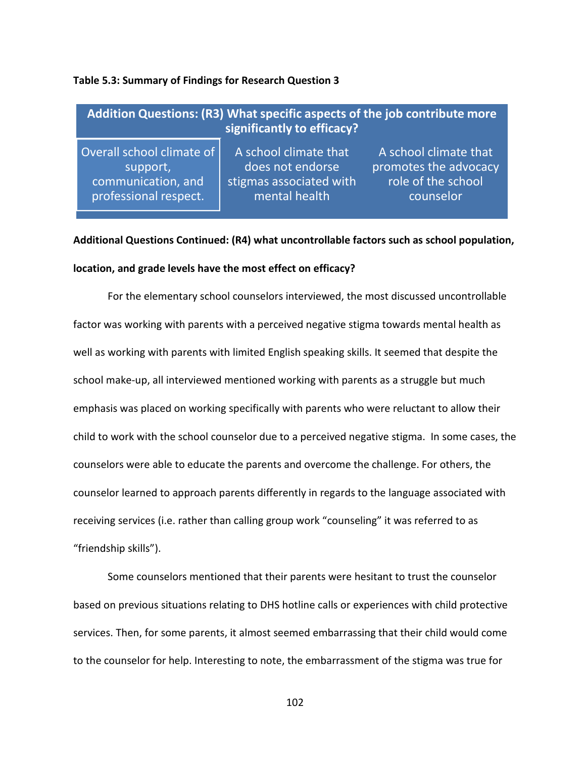### **Table 5.3: Summary of Findings for Research Question 3**

| Addition Questions: (R3) What specific aspects of the job contribute more<br>significantly to efficacy? |                         |                       |  |
|---------------------------------------------------------------------------------------------------------|-------------------------|-----------------------|--|
| Overall school climate of                                                                               | A school climate that   | A school climate that |  |
| support,                                                                                                | does not endorse        | promotes the advocacy |  |
| communication, and                                                                                      | stigmas associated with | role of the school    |  |
| professional respect.                                                                                   | mental health           | counselor             |  |

# **Additional Questions Continued: (R4) what uncontrollable factors such as school population,**

## **location, and grade levels have the most effect on efficacy?**

 For the elementary school counselors interviewed, the most discussed uncontrollable factor was working with parents with a perceived negative stigma towards mental health as well as working with parents with limited English speaking skills. It seemed that despite the school make-up, all interviewed mentioned working with parents as a struggle but much emphasis was placed on working specifically with parents who were reluctant to allow their child to work with the school counselor due to a perceived negative stigma. In some cases, the counselors were able to educate the parents and overcome the challenge. For others, the counselor learned to approach parents differently in regards to the language associated with receiving services (i.e. rather than calling group work "counseling" it was referred to as "friendship skills").

Some counselors mentioned that their parents were hesitant to trust the counselor based on previous situations relating to DHS hotline calls or experiences with child protective services. Then, for some parents, it almost seemed embarrassing that their child would come to the counselor for help. Interesting to note, the embarrassment of the stigma was true for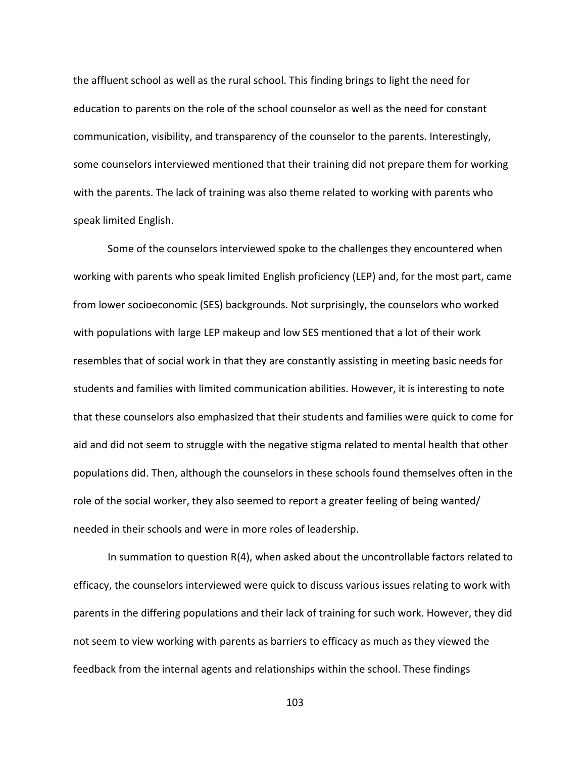the affluent school as well as the rural school. This finding brings to light the need for education to parents on the role of the school counselor as well as the need for constant communication, visibility, and transparency of the counselor to the parents. Interestingly, some counselors interviewed mentioned that their training did not prepare them for working with the parents. The lack of training was also theme related to working with parents who speak limited English.

 Some of the counselors interviewed spoke to the challenges they encountered when working with parents who speak limited English proficiency (LEP) and, for the most part, came from lower socioeconomic (SES) backgrounds. Not surprisingly, the counselors who worked with populations with large LEP makeup and low SES mentioned that a lot of their work resembles that of social work in that they are constantly assisting in meeting basic needs for students and families with limited communication abilities. However, it is interesting to note that these counselors also emphasized that their students and families were quick to come for aid and did not seem to struggle with the negative stigma related to mental health that other populations did. Then, although the counselors in these schools found themselves often in the role of the social worker, they also seemed to report a greater feeling of being wanted/ needed in their schools and were in more roles of leadership.

 In summation to question R(4), when asked about the uncontrollable factors related to efficacy, the counselors interviewed were quick to discuss various issues relating to work with parents in the differing populations and their lack of training for such work. However, they did not seem to view working with parents as barriers to efficacy as much as they viewed the feedback from the internal agents and relationships within the school. These findings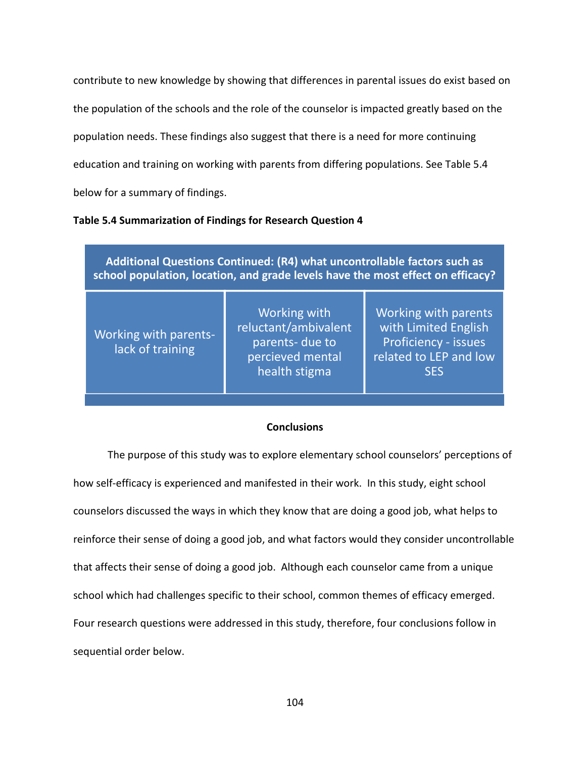contribute to new knowledge by showing that differences in parental issues do exist based on the population of the schools and the role of the counselor is impacted greatly based on the population needs. These findings also suggest that there is a need for more continuing education and training on working with parents from differing populations. See Table 5.4 below for a summary of findings.

## **Table 5.4 Summarization of Findings for Research Question 4**

**Additional Questions Continued: (R4) what uncontrollable factors such as school population, location, and grade levels have the most effect on efficacy?**

| Working with parents-<br>lack of training | Working with<br>reluctant/ambivalent<br>parents- due to<br>percieved mental<br>health stigma | Working with parents<br>with Limited English<br><b>Proficiency - issues</b><br>related to LEP and low<br><b>SES</b> |
|-------------------------------------------|----------------------------------------------------------------------------------------------|---------------------------------------------------------------------------------------------------------------------|
|                                           |                                                                                              |                                                                                                                     |

## **Conclusions**

The purpose of this study was to explore elementary school counselors' perceptions of how self-efficacy is experienced and manifested in their work. In this study, eight school counselors discussed the ways in which they know that are doing a good job, what helps to reinforce their sense of doing a good job, and what factors would they consider uncontrollable that affects their sense of doing a good job. Although each counselor came from a unique school which had challenges specific to their school, common themes of efficacy emerged. Four research questions were addressed in this study, therefore, four conclusions follow in sequential order below.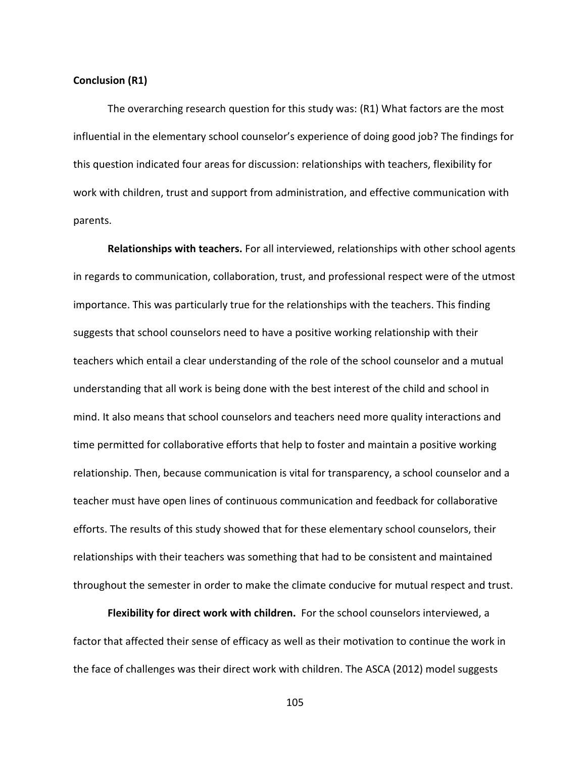#### **Conclusion (R1)**

The overarching research question for this study was: (R1) What factors are the most influential in the elementary school counselor's experience of doing good job? The findings for this question indicated four areas for discussion: relationships with teachers, flexibility for work with children, trust and support from administration, and effective communication with parents.

**Relationships with teachers.** For all interviewed, relationships with other school agents in regards to communication, collaboration, trust, and professional respect were of the utmost importance. This was particularly true for the relationships with the teachers. This finding suggests that school counselors need to have a positive working relationship with their teachers which entail a clear understanding of the role of the school counselor and a mutual understanding that all work is being done with the best interest of the child and school in mind. It also means that school counselors and teachers need more quality interactions and time permitted for collaborative efforts that help to foster and maintain a positive working relationship. Then, because communication is vital for transparency, a school counselor and a teacher must have open lines of continuous communication and feedback for collaborative efforts. The results of this study showed that for these elementary school counselors, their relationships with their teachers was something that had to be consistent and maintained throughout the semester in order to make the climate conducive for mutual respect and trust.

**Flexibility for direct work with children.** For the school counselors interviewed, a factor that affected their sense of efficacy as well as their motivation to continue the work in the face of challenges was their direct work with children. The ASCA (2012) model suggests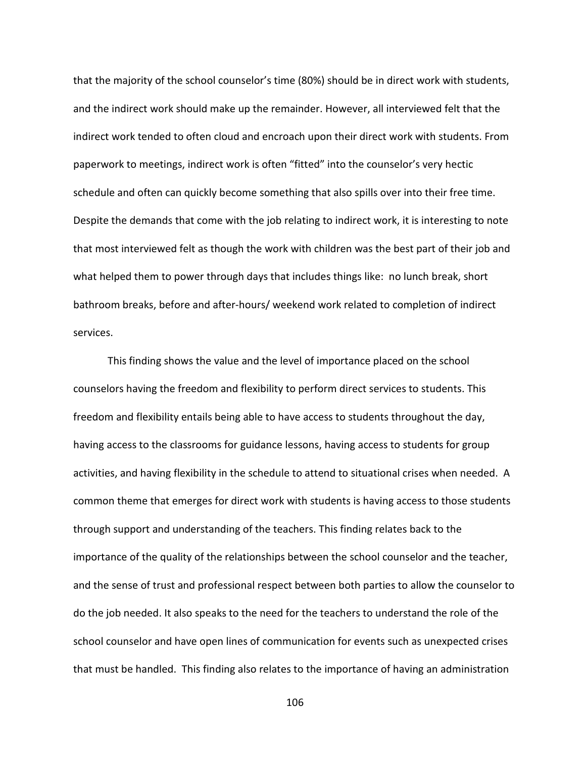that the majority of the school counselor's time (80%) should be in direct work with students, and the indirect work should make up the remainder. However, all interviewed felt that the indirect work tended to often cloud and encroach upon their direct work with students. From paperwork to meetings, indirect work is often "fitted" into the counselor's very hectic schedule and often can quickly become something that also spills over into their free time. Despite the demands that come with the job relating to indirect work, it is interesting to note that most interviewed felt as though the work with children was the best part of their job and what helped them to power through days that includes things like: no lunch break, short bathroom breaks, before and after-hours/ weekend work related to completion of indirect services.

This finding shows the value and the level of importance placed on the school counselors having the freedom and flexibility to perform direct services to students. This freedom and flexibility entails being able to have access to students throughout the day, having access to the classrooms for guidance lessons, having access to students for group activities, and having flexibility in the schedule to attend to situational crises when needed. A common theme that emerges for direct work with students is having access to those students through support and understanding of the teachers. This finding relates back to the importance of the quality of the relationships between the school counselor and the teacher, and the sense of trust and professional respect between both parties to allow the counselor to do the job needed. It also speaks to the need for the teachers to understand the role of the school counselor and have open lines of communication for events such as unexpected crises that must be handled. This finding also relates to the importance of having an administration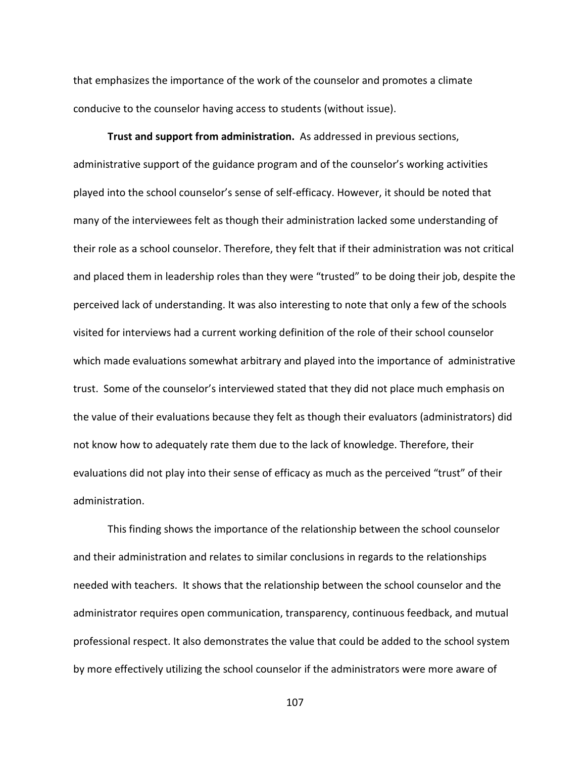that emphasizes the importance of the work of the counselor and promotes a climate conducive to the counselor having access to students (without issue).

**Trust and support from administration.** As addressed in previous sections, administrative support of the guidance program and of the counselor's working activities played into the school counselor's sense of self-efficacy. However, it should be noted that many of the interviewees felt as though their administration lacked some understanding of their role as a school counselor. Therefore, they felt that if their administration was not critical and placed them in leadership roles than they were "trusted" to be doing their job, despite the perceived lack of understanding. It was also interesting to note that only a few of the schools visited for interviews had a current working definition of the role of their school counselor which made evaluations somewhat arbitrary and played into the importance of administrative trust. Some of the counselor's interviewed stated that they did not place much emphasis on the value of their evaluations because they felt as though their evaluators (administrators) did not know how to adequately rate them due to the lack of knowledge. Therefore, their evaluations did not play into their sense of efficacy as much as the perceived "trust" of their administration.

This finding shows the importance of the relationship between the school counselor and their administration and relates to similar conclusions in regards to the relationships needed with teachers. It shows that the relationship between the school counselor and the administrator requires open communication, transparency, continuous feedback, and mutual professional respect. It also demonstrates the value that could be added to the school system by more effectively utilizing the school counselor if the administrators were more aware of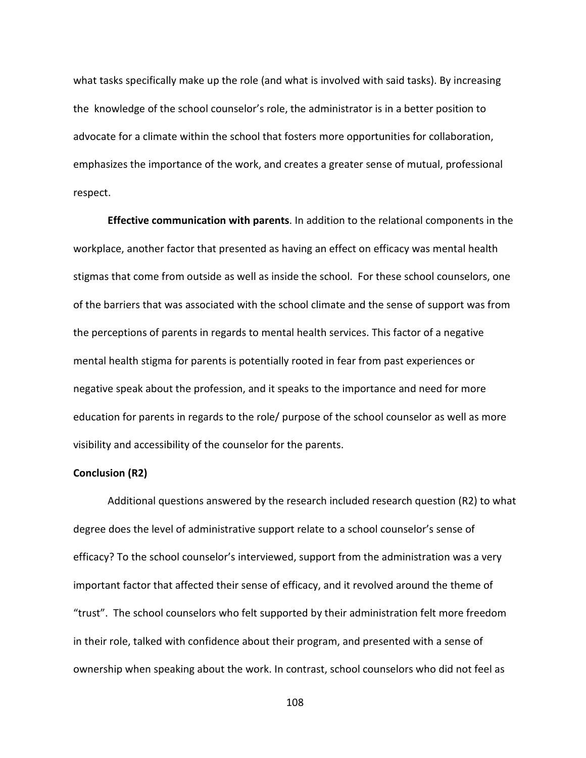what tasks specifically make up the role (and what is involved with said tasks). By increasing the knowledge of the school counselor's role, the administrator is in a better position to advocate for a climate within the school that fosters more opportunities for collaboration, emphasizes the importance of the work, and creates a greater sense of mutual, professional respect.

**Effective communication with parents**. In addition to the relational components in the workplace, another factor that presented as having an effect on efficacy was mental health stigmas that come from outside as well as inside the school. For these school counselors, one of the barriers that was associated with the school climate and the sense of support was from the perceptions of parents in regards to mental health services. This factor of a negative mental health stigma for parents is potentially rooted in fear from past experiences or negative speak about the profession, and it speaks to the importance and need for more education for parents in regards to the role/ purpose of the school counselor as well as more visibility and accessibility of the counselor for the parents.

## **Conclusion (R2)**

Additional questions answered by the research included research question (R2) to what degree does the level of administrative support relate to a school counselor's sense of efficacy? To the school counselor's interviewed, support from the administration was a very important factor that affected their sense of efficacy, and it revolved around the theme of "trust". The school counselors who felt supported by their administration felt more freedom in their role, talked with confidence about their program, and presented with a sense of ownership when speaking about the work. In contrast, school counselors who did not feel as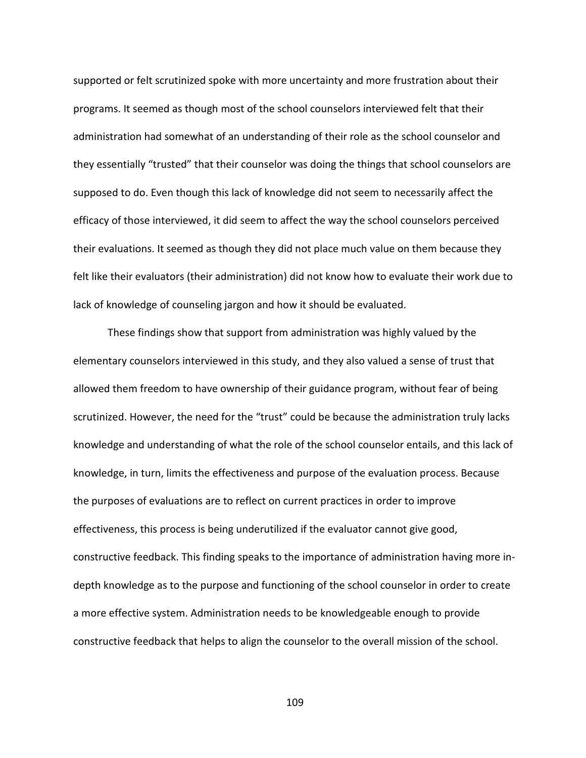supported or felt scrutinized spoke with more uncertainty and more frustration about their programs. It seemed as though most of the school counselors interviewed felt that their administration had somewhat of an understanding of their role as the school counselor and they essentially "trusted" that their counselor was doing the things that school counselors are supposed to do. Even though this lack of knowledge did not seem to necessarily affect the efficacy of those interviewed, it did seem to affect the way the school counselors perceived their evaluations. It seemed as though they did not place much value on them because they felt like their evaluators (their administration) did not know how to evaluate their work due to lack of knowledge of counseling jargon and how it should be evaluated.

 These findings show that support from administration was highly valued by the elementary counselors interviewed in this study, and they also valued a sense of trust that allowed them freedom to have ownership of their guidance program, without fear of being scrutinized. However, the need for the "trust" could be because the administration truly lacks knowledge and understanding of what the role of the school counselor entails, and this lack of knowledge, in turn, limits the effectiveness and purpose of the evaluation process. Because the purposes of evaluations are to reflect on current practices in order to improve effectiveness, this process is being underutilized if the evaluator cannot give good, constructive feedback. This finding speaks to the importance of administration having more indepth knowledge as to the purpose and functioning of the school counselor in order to create a more effective system. Administration needs to be knowledgeable enough to provide constructive feedback that helps to align the counselor to the overall mission of the school.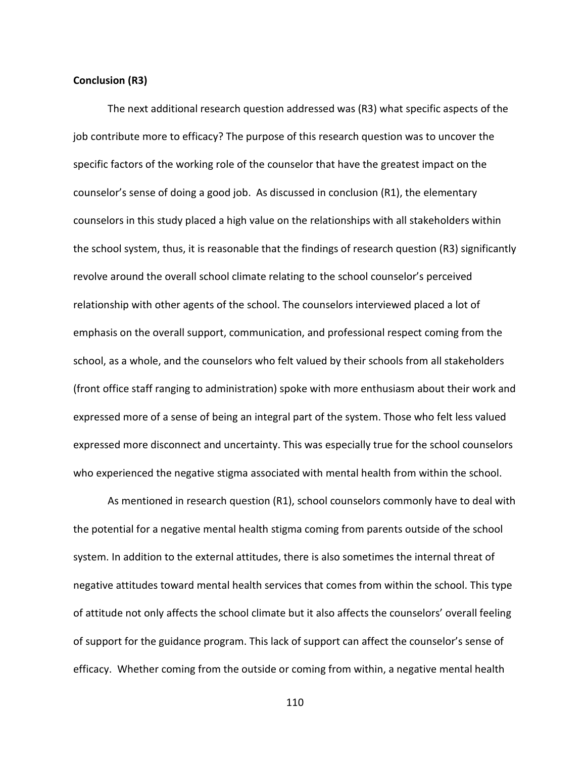#### **Conclusion (R3)**

 The next additional research question addressed was (R3) what specific aspects of the job contribute more to efficacy? The purpose of this research question was to uncover the specific factors of the working role of the counselor that have the greatest impact on the counselor's sense of doing a good job. As discussed in conclusion (R1), the elementary counselors in this study placed a high value on the relationships with all stakeholders within the school system, thus, it is reasonable that the findings of research question (R3) significantly revolve around the overall school climate relating to the school counselor's perceived relationship with other agents of the school. The counselors interviewed placed a lot of emphasis on the overall support, communication, and professional respect coming from the school, as a whole, and the counselors who felt valued by their schools from all stakeholders (front office staff ranging to administration) spoke with more enthusiasm about their work and expressed more of a sense of being an integral part of the system. Those who felt less valued expressed more disconnect and uncertainty. This was especially true for the school counselors who experienced the negative stigma associated with mental health from within the school.

As mentioned in research question (R1), school counselors commonly have to deal with the potential for a negative mental health stigma coming from parents outside of the school system. In addition to the external attitudes, there is also sometimes the internal threat of negative attitudes toward mental health services that comes from within the school. This type of attitude not only affects the school climate but it also affects the counselors' overall feeling of support for the guidance program. This lack of support can affect the counselor's sense of efficacy. Whether coming from the outside or coming from within, a negative mental health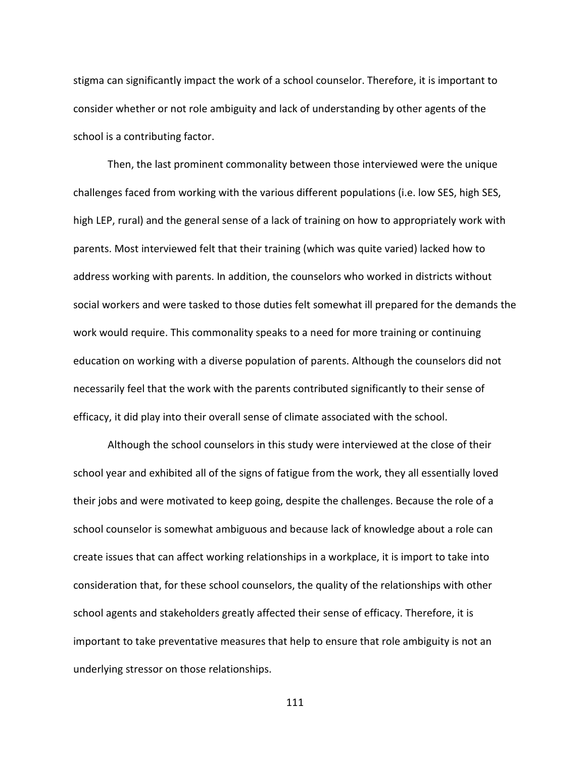stigma can significantly impact the work of a school counselor. Therefore, it is important to consider whether or not role ambiguity and lack of understanding by other agents of the school is a contributing factor.

Then, the last prominent commonality between those interviewed were the unique challenges faced from working with the various different populations (i.e. low SES, high SES, high LEP, rural) and the general sense of a lack of training on how to appropriately work with parents. Most interviewed felt that their training (which was quite varied) lacked how to address working with parents. In addition, the counselors who worked in districts without social workers and were tasked to those duties felt somewhat ill prepared for the demands the work would require. This commonality speaks to a need for more training or continuing education on working with a diverse population of parents. Although the counselors did not necessarily feel that the work with the parents contributed significantly to their sense of efficacy, it did play into their overall sense of climate associated with the school.

Although the school counselors in this study were interviewed at the close of their school year and exhibited all of the signs of fatigue from the work, they all essentially loved their jobs and were motivated to keep going, despite the challenges. Because the role of a school counselor is somewhat ambiguous and because lack of knowledge about a role can create issues that can affect working relationships in a workplace, it is import to take into consideration that, for these school counselors, the quality of the relationships with other school agents and stakeholders greatly affected their sense of efficacy. Therefore, it is important to take preventative measures that help to ensure that role ambiguity is not an underlying stressor on those relationships.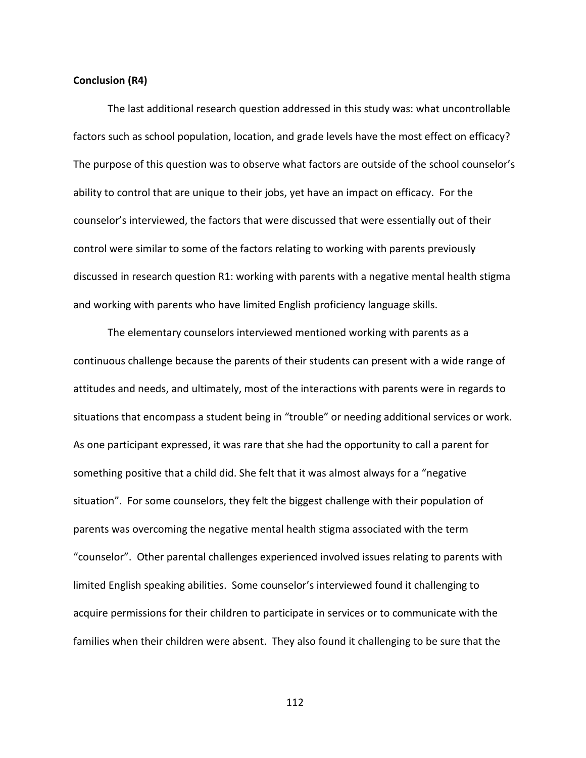#### **Conclusion (R4)**

The last additional research question addressed in this study was: what uncontrollable factors such as school population, location, and grade levels have the most effect on efficacy? The purpose of this question was to observe what factors are outside of the school counselor's ability to control that are unique to their jobs, yet have an impact on efficacy. For the counselor's interviewed, the factors that were discussed that were essentially out of their control were similar to some of the factors relating to working with parents previously discussed in research question R1: working with parents with a negative mental health stigma and working with parents who have limited English proficiency language skills.

 The elementary counselors interviewed mentioned working with parents as a continuous challenge because the parents of their students can present with a wide range of attitudes and needs, and ultimately, most of the interactions with parents were in regards to situations that encompass a student being in "trouble" or needing additional services or work. As one participant expressed, it was rare that she had the opportunity to call a parent for something positive that a child did. She felt that it was almost always for a "negative situation". For some counselors, they felt the biggest challenge with their population of parents was overcoming the negative mental health stigma associated with the term "counselor". Other parental challenges experienced involved issues relating to parents with limited English speaking abilities. Some counselor's interviewed found it challenging to acquire permissions for their children to participate in services or to communicate with the families when their children were absent. They also found it challenging to be sure that the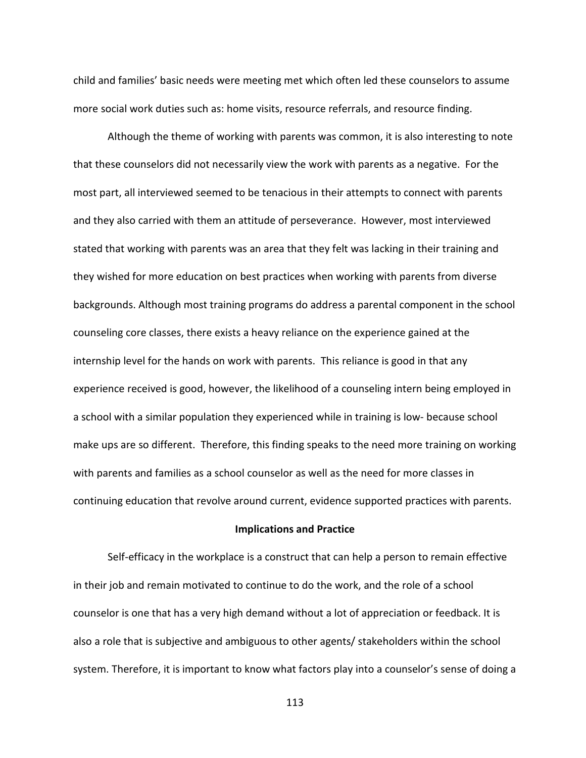child and families' basic needs were meeting met which often led these counselors to assume more social work duties such as: home visits, resource referrals, and resource finding.

 Although the theme of working with parents was common, it is also interesting to note that these counselors did not necessarily view the work with parents as a negative. For the most part, all interviewed seemed to be tenacious in their attempts to connect with parents and they also carried with them an attitude of perseverance. However, most interviewed stated that working with parents was an area that they felt was lacking in their training and they wished for more education on best practices when working with parents from diverse backgrounds. Although most training programs do address a parental component in the school counseling core classes, there exists a heavy reliance on the experience gained at the internship level for the hands on work with parents. This reliance is good in that any experience received is good, however, the likelihood of a counseling intern being employed in a school with a similar population they experienced while in training is low- because school make ups are so different. Therefore, this finding speaks to the need more training on working with parents and families as a school counselor as well as the need for more classes in continuing education that revolve around current, evidence supported practices with parents.

#### **Implications and Practice**

Self-efficacy in the workplace is a construct that can help a person to remain effective in their job and remain motivated to continue to do the work, and the role of a school counselor is one that has a very high demand without a lot of appreciation or feedback. It is also a role that is subjective and ambiguous to other agents/ stakeholders within the school system. Therefore, it is important to know what factors play into a counselor's sense of doing a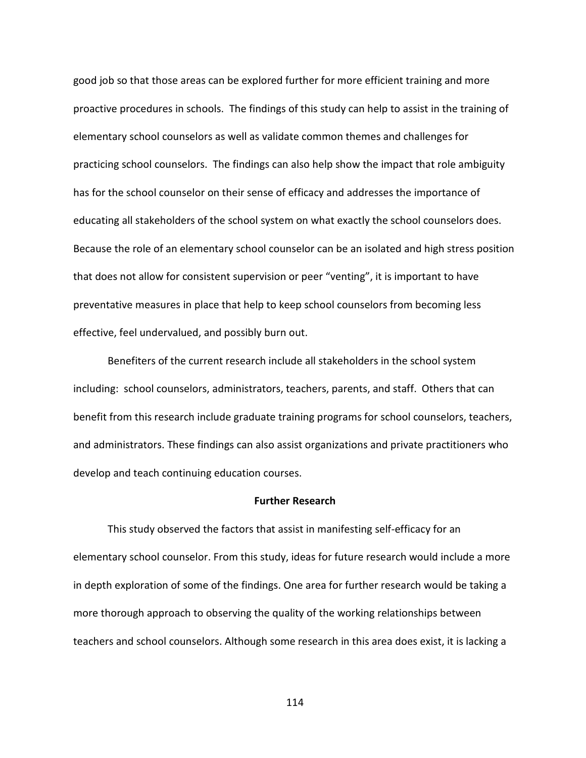good job so that those areas can be explored further for more efficient training and more proactive procedures in schools. The findings of this study can help to assist in the training of elementary school counselors as well as validate common themes and challenges for practicing school counselors. The findings can also help show the impact that role ambiguity has for the school counselor on their sense of efficacy and addresses the importance of educating all stakeholders of the school system on what exactly the school counselors does. Because the role of an elementary school counselor can be an isolated and high stress position that does not allow for consistent supervision or peer "venting", it is important to have preventative measures in place that help to keep school counselors from becoming less effective, feel undervalued, and possibly burn out.

Benefiters of the current research include all stakeholders in the school system including: school counselors, administrators, teachers, parents, and staff. Others that can benefit from this research include graduate training programs for school counselors, teachers, and administrators. These findings can also assist organizations and private practitioners who develop and teach continuing education courses.

### **Further Research**

This study observed the factors that assist in manifesting self-efficacy for an elementary school counselor. From this study, ideas for future research would include a more in depth exploration of some of the findings. One area for further research would be taking a more thorough approach to observing the quality of the working relationships between teachers and school counselors. Although some research in this area does exist, it is lacking a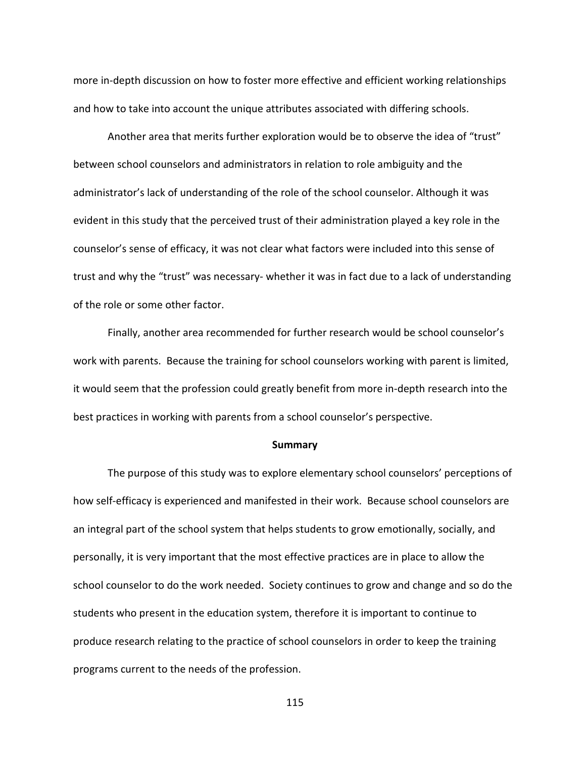more in-depth discussion on how to foster more effective and efficient working relationships and how to take into account the unique attributes associated with differing schools.

 Another area that merits further exploration would be to observe the idea of "trust" between school counselors and administrators in relation to role ambiguity and the administrator's lack of understanding of the role of the school counselor. Although it was evident in this study that the perceived trust of their administration played a key role in the counselor's sense of efficacy, it was not clear what factors were included into this sense of trust and why the "trust" was necessary- whether it was in fact due to a lack of understanding of the role or some other factor.

 Finally, another area recommended for further research would be school counselor's work with parents. Because the training for school counselors working with parent is limited, it would seem that the profession could greatly benefit from more in-depth research into the best practices in working with parents from a school counselor's perspective.

#### **Summary**

 The purpose of this study was to explore elementary school counselors' perceptions of how self-efficacy is experienced and manifested in their work. Because school counselors are an integral part of the school system that helps students to grow emotionally, socially, and personally, it is very important that the most effective practices are in place to allow the school counselor to do the work needed. Society continues to grow and change and so do the students who present in the education system, therefore it is important to continue to produce research relating to the practice of school counselors in order to keep the training programs current to the needs of the profession.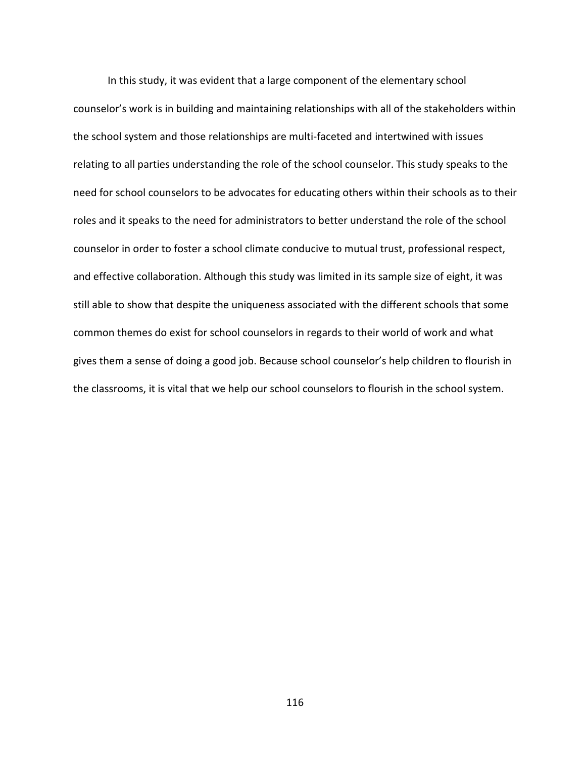In this study, it was evident that a large component of the elementary school counselor's work is in building and maintaining relationships with all of the stakeholders within the school system and those relationships are multi-faceted and intertwined with issues relating to all parties understanding the role of the school counselor. This study speaks to the need for school counselors to be advocates for educating others within their schools as to their roles and it speaks to the need for administrators to better understand the role of the school counselor in order to foster a school climate conducive to mutual trust, professional respect, and effective collaboration. Although this study was limited in its sample size of eight, it was still able to show that despite the uniqueness associated with the different schools that some common themes do exist for school counselors in regards to their world of work and what gives them a sense of doing a good job. Because school counselor's help children to flourish in the classrooms, it is vital that we help our school counselors to flourish in the school system.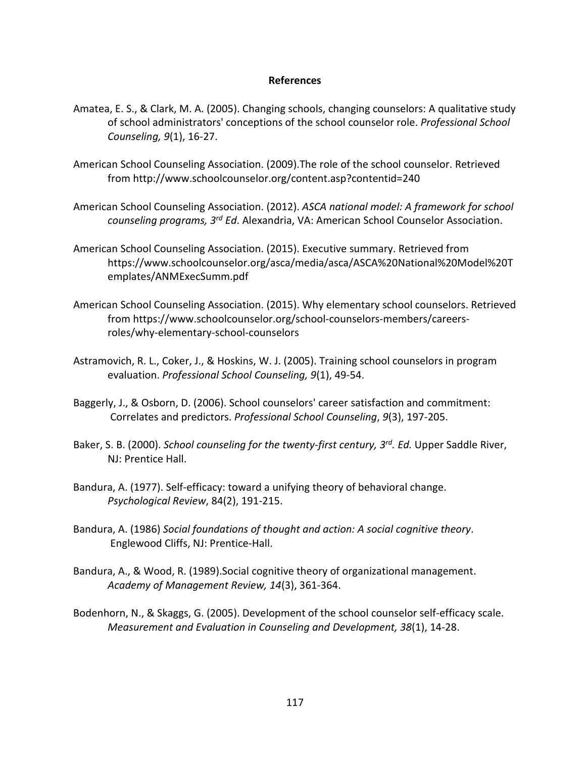## **References**

- Amatea, E. S., & Clark, M. A. (2005). Changing schools, changing counselors: A qualitative study of school administrators' conceptions of the school counselor role. *Professional School Counseling, 9*(1), 16-27.
- American School Counseling Association. (2009).The role of the school counselor. Retrieved from http://www.schoolcounselor.org/content.asp?contentid=240
- American School Counseling Association. (2012). *ASCA national model: A framework for school counseling programs, 3rd Ed*. Alexandria, VA: American School Counselor Association.
- American School Counseling Association. (2015). Executive summary. Retrieved from https://www.schoolcounselor.org/asca/media/asca/ASCA%20National%20Model%20T emplates/ANMExecSumm.pdf
- American School Counseling Association. (2015). Why elementary school counselors. Retrieved from https://www.schoolcounselor.org/school-counselors-members/careersroles/why-elementary-school-counselors
- Astramovich, R. L., Coker, J., & Hoskins, W. J. (2005). Training school counselors in program evaluation. *Professional School Counseling, 9*(1), 49-54.
- Baggerly, J., & Osborn, D. (2006). School counselors' career satisfaction and commitment: Correlates and predictors. *Professional School Counseling*, *9*(3), 197-205.
- Baker, S. B. (2000). *School counseling for the twenty-first century, 3rd. Ed.* Upper Saddle River, NJ: Prentice Hall.
- Bandura, A. (1977). Self-efficacy: toward a unifying theory of behavioral change. *Psychological Review*, 84(2), 191-215.
- Bandura, A. (1986) *Social foundations of thought and action: A social cognitive theory*. Englewood Cliffs, NJ: Prentice-Hall.
- Bandura, A., & Wood, R. (1989).Social cognitive theory of organizational management. *Academy of Management Review, 14*(3), 361-364.
- Bodenhorn, N., & Skaggs, G. (2005). Development of the school counselor self-efficacy scale.  *Measurement and Evaluation in Counseling and Development, 38*(1), 14-28.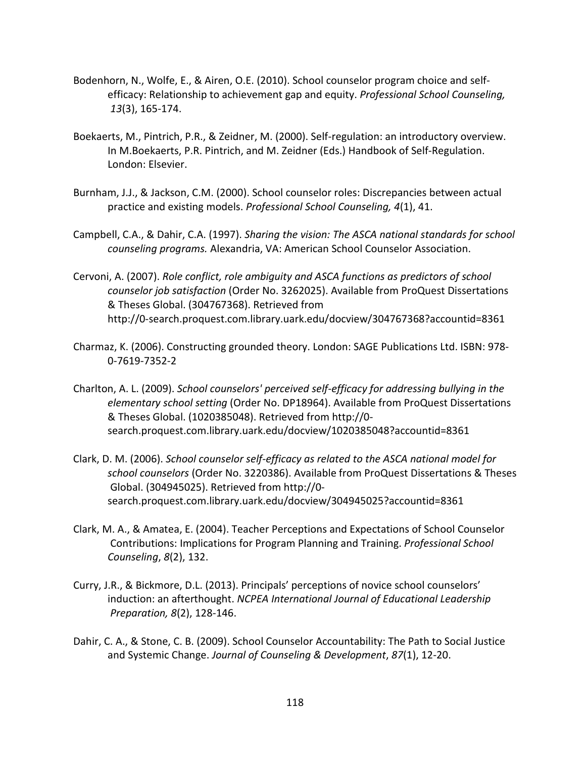- Bodenhorn, N., Wolfe, E., & Airen, O.E. (2010). School counselor program choice and self efficacy: Relationship to achievement gap and equity. *Professional School Counseling, 13*(3), 165-174.
- Boekaerts, M., Pintrich, P.R., & Zeidner, M. (2000). Self-regulation: an introductory overview. In M.Boekaerts, P.R. Pintrich, and M. Zeidner (Eds.) Handbook of Self-Regulation. London: Elsevier.
- Burnham, J.J., & Jackson, C.M. (2000). School counselor roles: Discrepancies between actual practice and existing models. *Professional School Counseling, 4*(1), 41.
- Campbell, C.A., & Dahir, C.A. (1997). *Sharing the vision: The ASCA national standards for school counseling programs.* Alexandria, VA: American School Counselor Association.
- Cervoni, A. (2007). *Role conflict, role ambiguity and ASCA functions as predictors of school counselor job satisfaction* (Order No. 3262025). Available from ProQuest Dissertations & Theses Global. (304767368). Retrieved from http://0-search.proquest.com.library.uark.edu/docview/304767368?accountid=8361
- Charmaz, K. (2006). Constructing grounded theory. London: SAGE Publications Ltd. ISBN: 978- 0-7619-7352-2
- Charlton, A. L. (2009). *School counselors' perceived self-efficacy for addressing bullying in the elementary school setting* (Order No. DP18964). Available from ProQuest Dissertations & Theses Global. (1020385048). Retrieved from http://0 search.proquest.com.library.uark.edu/docview/1020385048?accountid=8361
- Clark, D. M. (2006). *School counselor self-efficacy as related to the ASCA national model for school counselors* (Order No. 3220386). Available from ProQuest Dissertations & Theses Global. (304945025). Retrieved from http://0 search.proquest.com.library.uark.edu/docview/304945025?accountid=8361
- Clark, M. A., & Amatea, E. (2004). Teacher Perceptions and Expectations of School Counselor Contributions: Implications for Program Planning and Training. *Professional School Counseling*, *8*(2), 132.
- Curry, J.R., & Bickmore, D.L. (2013). Principals' perceptions of novice school counselors' induction: an afterthought. *NCPEA International Journal of Educational Leadership Preparation, 8*(2), 128-146.
- Dahir, C. A., & Stone, C. B. (2009). School Counselor Accountability: The Path to Social Justice and Systemic Change. *Journal of Counseling & Development*, *87*(1), 12-20.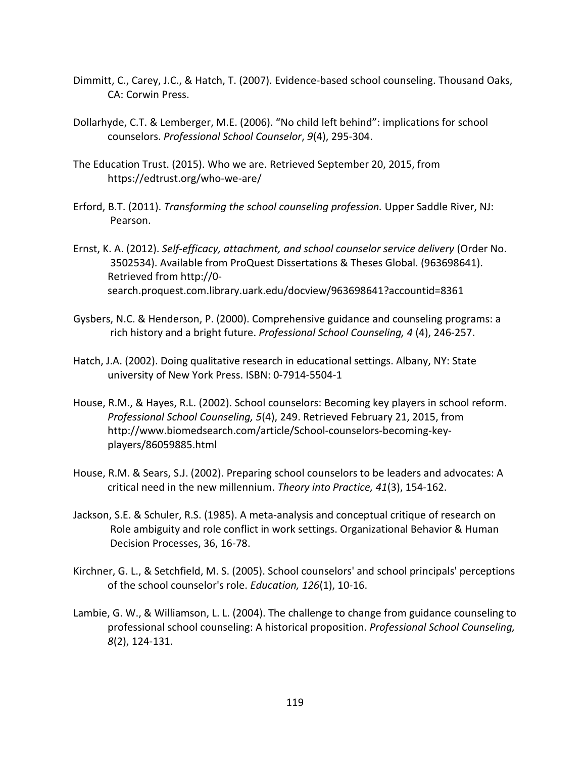- Dimmitt, C., Carey, J.C., & Hatch, T. (2007). Evidence-based school counseling. Thousand Oaks, CA: Corwin Press.
- Dollarhyde, C.T. & Lemberger, M.E. (2006). "No child left behind": implications for school counselors. *Professional School Counselor*, *9*(4), 295-304.
- The Education Trust. (2015). Who we are. Retrieved September 20, 2015, from https://edtrust.org/who-we-are/
- Erford, B.T. (2011). *Transforming the school counseling profession.* Upper Saddle River, NJ: Pearson.
- Ernst, K. A. (2012). *Self-efficacy, attachment, and school counselor service delivery* (Order No. 3502534). Available from ProQuest Dissertations & Theses Global. (963698641). Retrieved from http://0 search.proquest.com.library.uark.edu/docview/963698641?accountid=8361
- Gysbers, N.C. & Henderson, P. (2000). Comprehensive guidance and counseling programs: a rich history and a bright future. *Professional School Counseling, 4* (4), 246-257.
- Hatch, J.A. (2002). Doing qualitative research in educational settings. Albany, NY: State university of New York Press. ISBN: 0-7914-5504-1
- House, R.M., & Hayes, R.L. (2002). School counselors: Becoming key players in school reform. *Professional School Counseling, 5*(4), 249. Retrieved February 21, 2015, from http://www.biomedsearch.com/article/School-counselors-becoming-keyplayers/86059885.html
- House, R.M. & Sears, S.J. (2002). Preparing school counselors to be leaders and advocates: A critical need in the new millennium. *Theory into Practice, 41*(3), 154-162.
- Jackson, S.E. & Schuler, R.S. (1985). A meta-analysis and conceptual critique of research on Role ambiguity and role conflict in work settings. Organizational Behavior & Human Decision Processes, 36, 16-78.
- Kirchner, G. L., & Setchfield, M. S. (2005). School counselors' and school principals' perceptions of the school counselor's role. *Education, 126*(1), 10-16.
- Lambie, G. W., & Williamson, L. L. (2004). The challenge to change from guidance counseling to professional school counseling: A historical proposition. *Professional School Counseling, 8*(2), 124-131.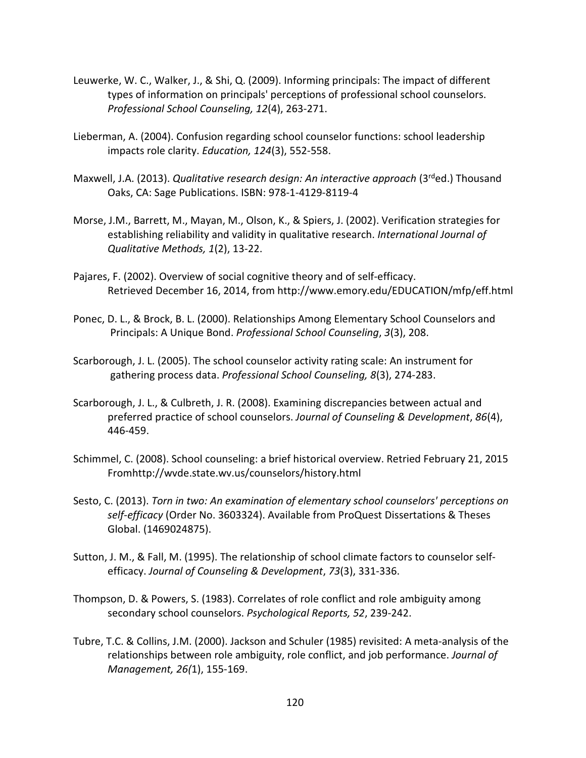- Leuwerke, W. C., Walker, J., & Shi, Q. (2009). Informing principals: The impact of different types of information on principals' perceptions of professional school counselors. *Professional School Counseling, 12*(4), 263-271.
- Lieberman, A. (2004). Confusion regarding school counselor functions: school leadership impacts role clarity. *Education, 124*(3), 552-558.
- Maxwell, J.A. (2013). *Qualitative research design: An interactive approach* (3rded.) Thousand Oaks, CA: Sage Publications. ISBN: 978-1-4129-8119-4
- Morse, J.M., Barrett, M., Mayan, M., Olson, K., & Spiers, J. (2002). Verification strategies for establishing reliability and validity in qualitative research. *International Journal of Qualitative Methods, 1*(2), 13-22.
- Pajares, F. (2002). Overview of social cognitive theory and of self-efficacy. Retrieved December 16, 2014, from http://www.emory.edu/EDUCATION/mfp/eff.html
- Ponec, D. L., & Brock, B. L. (2000). Relationships Among Elementary School Counselors and Principals: A Unique Bond. *Professional School Counseling*, *3*(3), 208.
- Scarborough, J. L. (2005). The school counselor activity rating scale: An instrument for gathering process data. *Professional School Counseling, 8*(3), 274-283.
- Scarborough, J. L., & Culbreth, J. R. (2008). Examining discrepancies between actual and preferred practice of school counselors. *Journal of Counseling & Development*, *86*(4), 446-459.
- Schimmel, C. (2008). School counseling: a brief historical overview. Retried February 21, 2015 Fromhttp://wvde.state.wv.us/counselors/history.html
- Sesto, C. (2013). *Torn in two: An examination of elementary school counselors' perceptions on self-efficacy* (Order No. 3603324). Available from ProQuest Dissertations & Theses Global. (1469024875).
- Sutton, J. M., & Fall, M. (1995). The relationship of school climate factors to counselor self efficacy. *Journal of Counseling & Development*, *73*(3), 331-336.
- Thompson, D. & Powers, S. (1983). Correlates of role conflict and role ambiguity among secondary school counselors. *Psychological Reports, 52*, 239-242.
- Tubre, T.C. & Collins, J.M. (2000). Jackson and Schuler (1985) revisited: A meta-analysis of the relationships between role ambiguity, role conflict, and job performance. *Journal of Management, 26(*1), 155-169.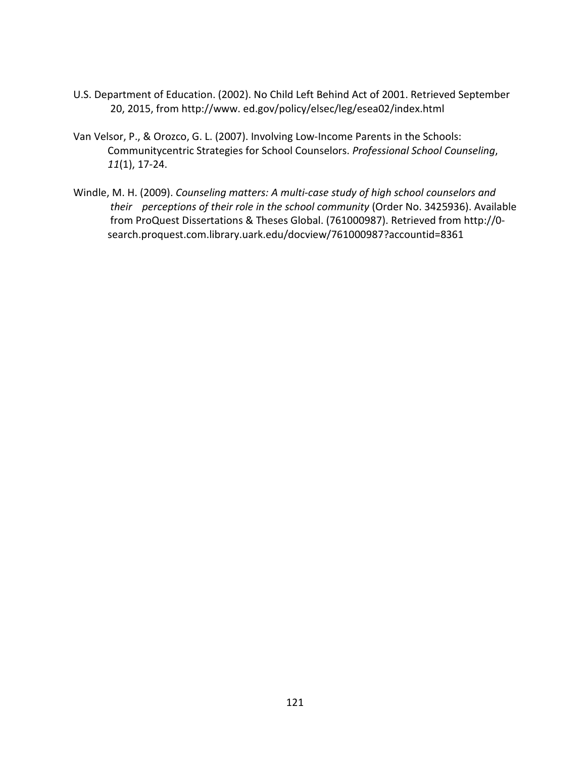- U.S. Department of Education. (2002). No Child Left Behind Act of 2001. Retrieved September 20, 2015, from http://www. ed.gov/policy/elsec/leg/esea02/index.html
- Van Velsor, P., & Orozco, G. L. (2007). Involving Low-Income Parents in the Schools: Communitycentric Strategies for School Counselors. *Professional School Counseling*, *11*(1), 17-24.
- Windle, M. H. (2009). *Counseling matters: A multi-case study of high school counselors and their perceptions of their role in the school community* (Order No. 3425936). Available from ProQuest Dissertations & Theses Global. (761000987). Retrieved from http://0 search.proquest.com.library.uark.edu/docview/761000987?accountid=8361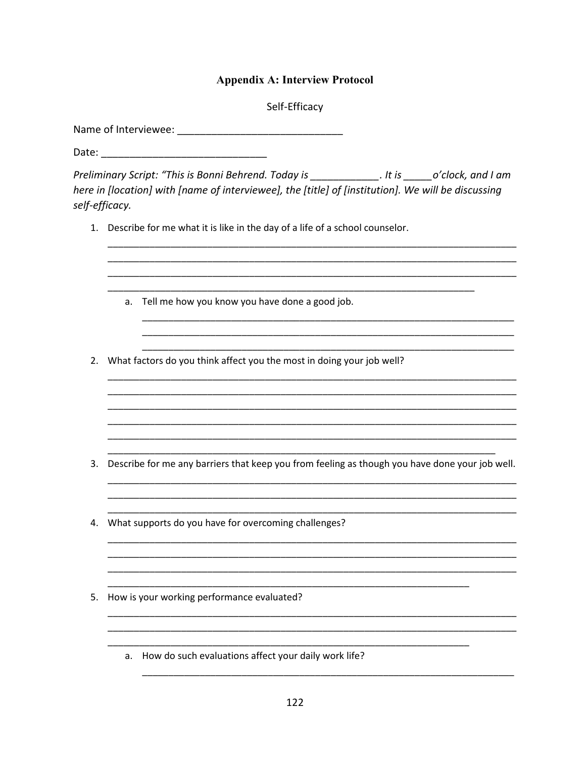## **Appendix A: Interview Protocol**

Self-Efficacy

Preliminary Script: "This is Bonni Behrend. Today is The Mannison of the Script: "This is Bonni Behrend. Today is here in [location] with [name of interviewee], the [title] of [institution]. We will be discussing self-efficacy.

1. Describe for me what it is like in the day of a life of a school counselor.

|    | a. | Tell me how you know you have done a good job.                                                 |
|----|----|------------------------------------------------------------------------------------------------|
|    |    |                                                                                                |
| 2. |    | What factors do you think affect you the most in doing your job well?                          |
|    |    |                                                                                                |
|    |    |                                                                                                |
|    |    |                                                                                                |
| 3. |    | Describe for me any barriers that keep you from feeling as though you have done your job well. |
|    |    |                                                                                                |
| 4. |    | What supports do you have for overcoming challenges?                                           |
|    |    |                                                                                                |
|    |    |                                                                                                |

- 5. How is your working performance evaluated?
	- a. How do such evaluations affect your daily work life?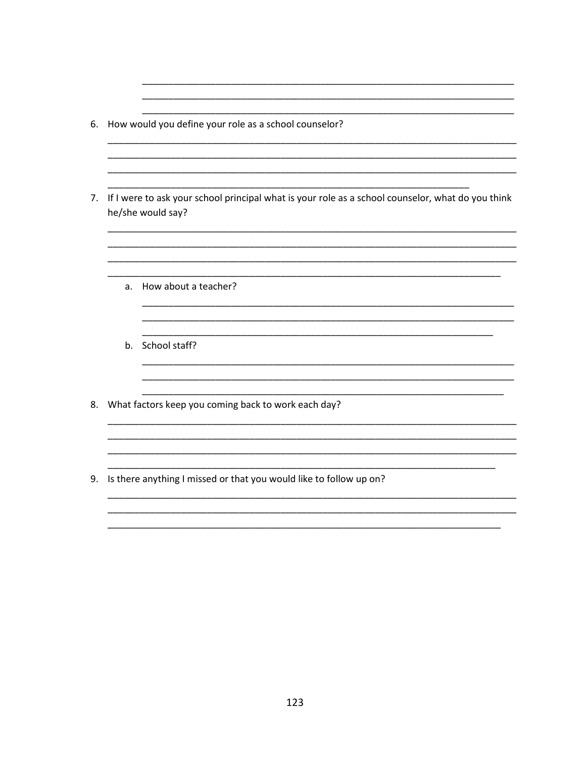- 6. How would you define your role as a school counselor?
- 7. If I were to ask your school principal what is your role as a school counselor, what do you think he/she would say?

 $\overline{\phantom{0}}$ 

 $\overline{\phantom{0}}$ 

- a. How about a teacher?
- b. School staff?

8. What factors keep you coming back to work each day?

9. Is there anything I missed or that you would like to follow up on?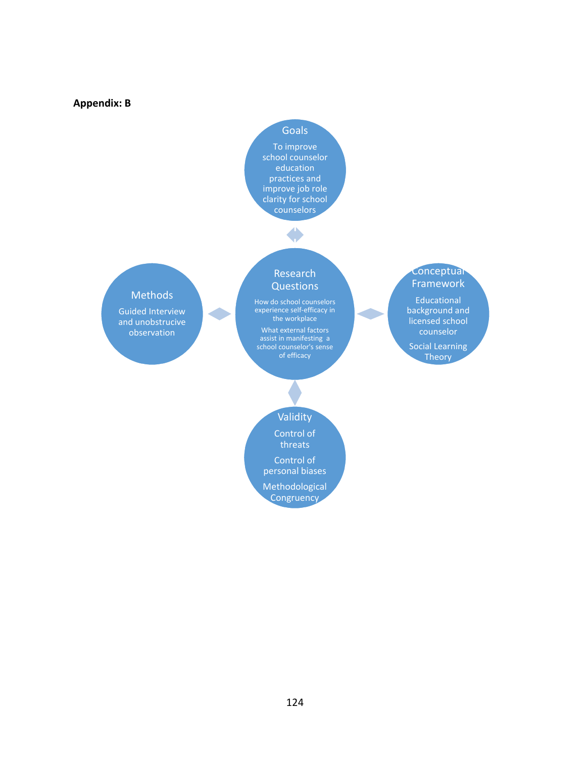